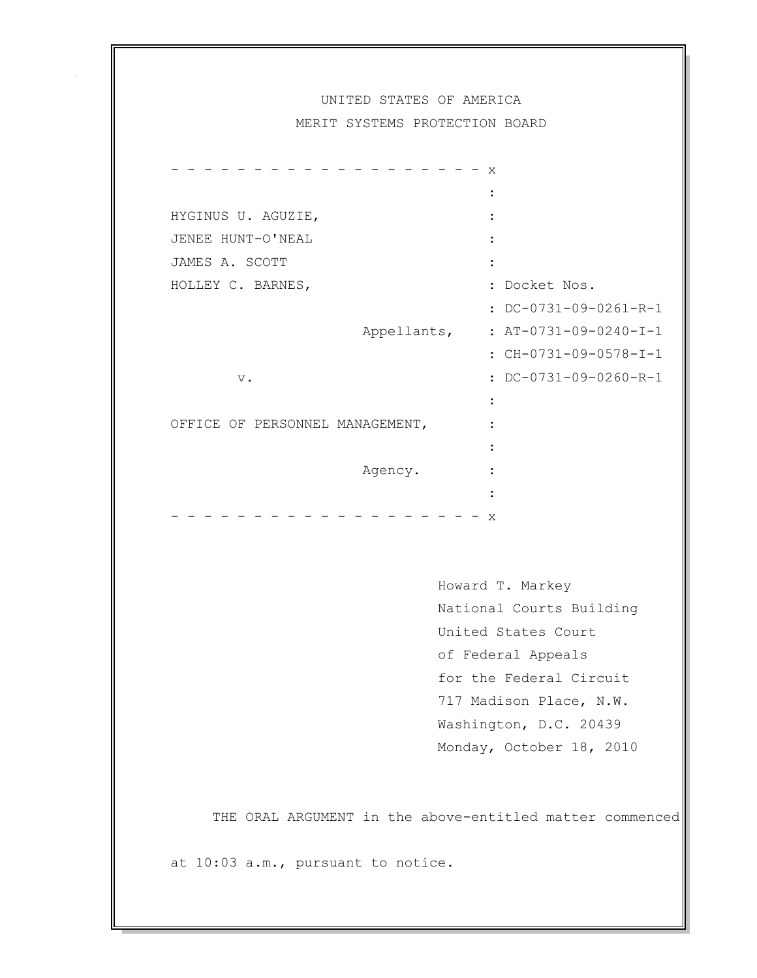## UNITED STATES OF AMERICA

MERIT SYSTEMS PROTECTION BOARD

|                                 |             | X |                                                              |
|---------------------------------|-------------|---|--------------------------------------------------------------|
|                                 |             |   |                                                              |
| HYGINUS U. AGUZIE,              |             |   |                                                              |
| JENEE HUNT-O'NEAL               |             |   |                                                              |
| JAMES A. SCOTT                  |             |   |                                                              |
| HOLLEY C. BARNES,               |             |   | : Docket Nos.                                                |
|                                 |             |   | : DC-0731-09-0261-R-1                                        |
|                                 | Appellants, |   | : $AT-0731-09-0240-I-1$                                      |
|                                 |             |   | : CH-0731-09-0578-I-1                                        |
| $\mathbf v$ .                   |             |   | $:$ DC-0731-09-0260-R-1                                      |
|                                 |             |   |                                                              |
| OFFICE OF PERSONNEL MANAGEMENT, |             |   |                                                              |
|                                 |             |   |                                                              |
|                                 | Agency.     |   |                                                              |
|                                 |             |   |                                                              |
|                                 |             | X |                                                              |
|                                 |             |   |                                                              |
|                                 |             |   |                                                              |
|                                 |             |   | $U_{\cap U} \cap r$ $\cap$ $\cap$ $\cap$ $M_{\cap Y}$ $\cap$ |

 Howard T. Markey National Courts Building United States Court of Federal Appeals for the Federal Circuit 717 Madison Place, N.W. Washington, D.C. 20439 Monday, October 18, 2010

THE ORAL ARGUMENT in the above-entitled matter commenced

at 10:03 a.m., pursuant to notice.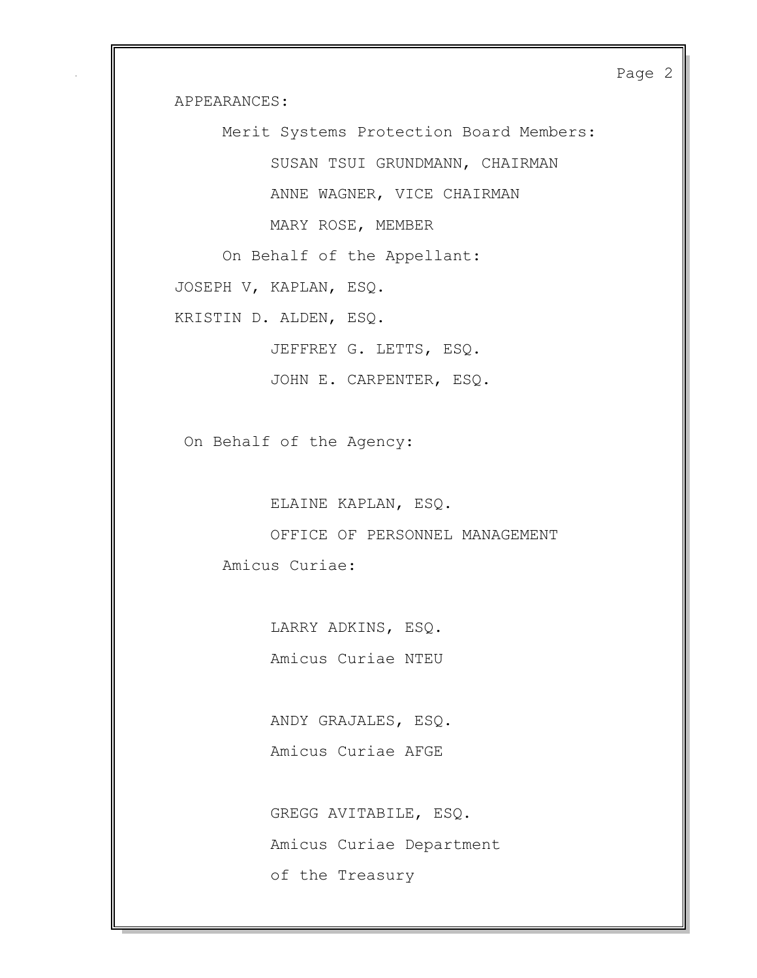Page 2

APPEARANCES:

Merit Systems Protection Board Members:

SUSAN TSUI GRUNDMANN, CHAIRMAN

ANNE WAGNER, VICE CHAIRMAN

MARY ROSE, MEMBER

On Behalf of the Appellant:

JOSEPH V, KAPLAN, ESQ.

KRISTIN D. ALDEN, ESQ.

JEFFREY G. LETTS, ESQ.

JOHN E. CARPENTER, ESQ.

On Behalf of the Agency:

ELAINE KAPLAN, ESQ.

 OFFICE OF PERSONNEL MANAGEMENT Amicus Curiae:

> LARRY ADKINS, ESQ. Amicus Curiae NTEU

 ANDY GRAJALES, ESQ. Amicus Curiae AFGE

 GREGG AVITABILE, ESQ. Amicus Curiae Department of the Treasury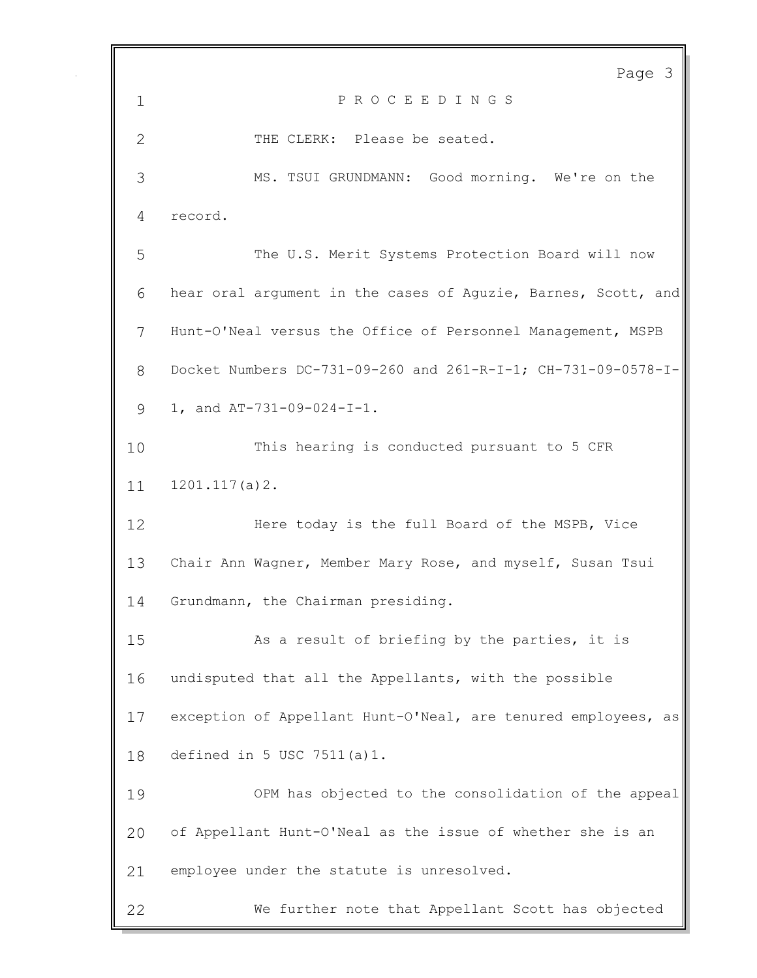Page 3 P R O C E E D I N G S 2 THE CLERK: Please be seated. MS. TSUI GRUNDMANN: Good morning. We're on the record. The U.S. Merit Systems Protection Board will now hear oral argument in the cases of Aguzie, Barnes, Scott, and Hunt-O'Neal versus the Office of Personnel Management, MSPB Docket Numbers DC-731-09-260 and 261-R-I-1; CH-731-09-0578-I- 1, and AT-731-09-024-I-1. This hearing is conducted pursuant to 5 CFR 1201.117(a)2. Here today is the full Board of the MSPB, Vice Chair Ann Wagner, Member Mary Rose, and myself, Susan Tsui Grundmann, the Chairman presiding. As a result of briefing by the parties, it is undisputed that all the Appellants, with the possible exception of Appellant Hunt-O'Neal, are tenured employees, as defined in 5 USC 7511(a)1. OPM has objected to the consolidation of the appeal of Appellant Hunt-O'Neal as the issue of whether she is an employee under the statute is unresolved. We further note that Appellant Scott has objected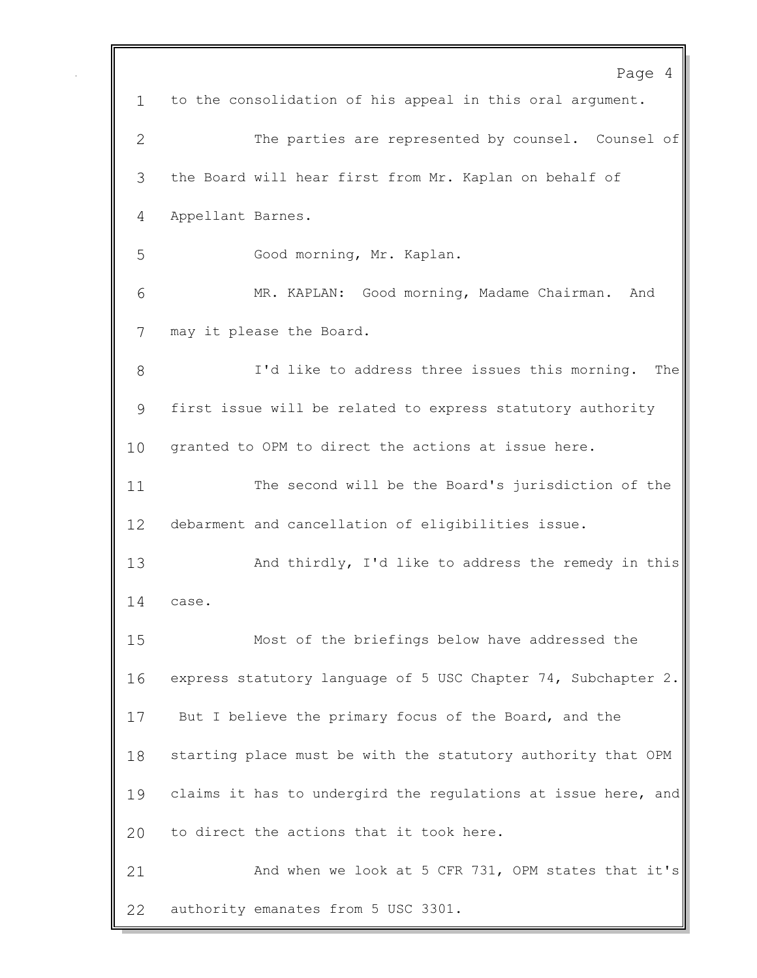Page 4 to the consolidation of his appeal in this oral argument. The parties are represented by counsel. Counsel of the Board will hear first from Mr. Kaplan on behalf of Appellant Barnes. Good morning, Mr. Kaplan. MR. KAPLAN: Good morning, Madame Chairman. And may it please the Board. I'd like to address three issues this morning. The first issue will be related to express statutory authority granted to OPM to direct the actions at issue here. The second will be the Board's jurisdiction of the debarment and cancellation of eligibilities issue. And thirdly, I'd like to address the remedy in this case. Most of the briefings below have addressed the express statutory language of 5 USC Chapter 74, Subchapter 2. 17 But I believe the primary focus of the Board, and the starting place must be with the statutory authority that OPM claims it has to undergird the regulations at issue here, and to direct the actions that it took here. And when we look at 5 CFR 731, OPM states that it's authority emanates from 5 USC 3301.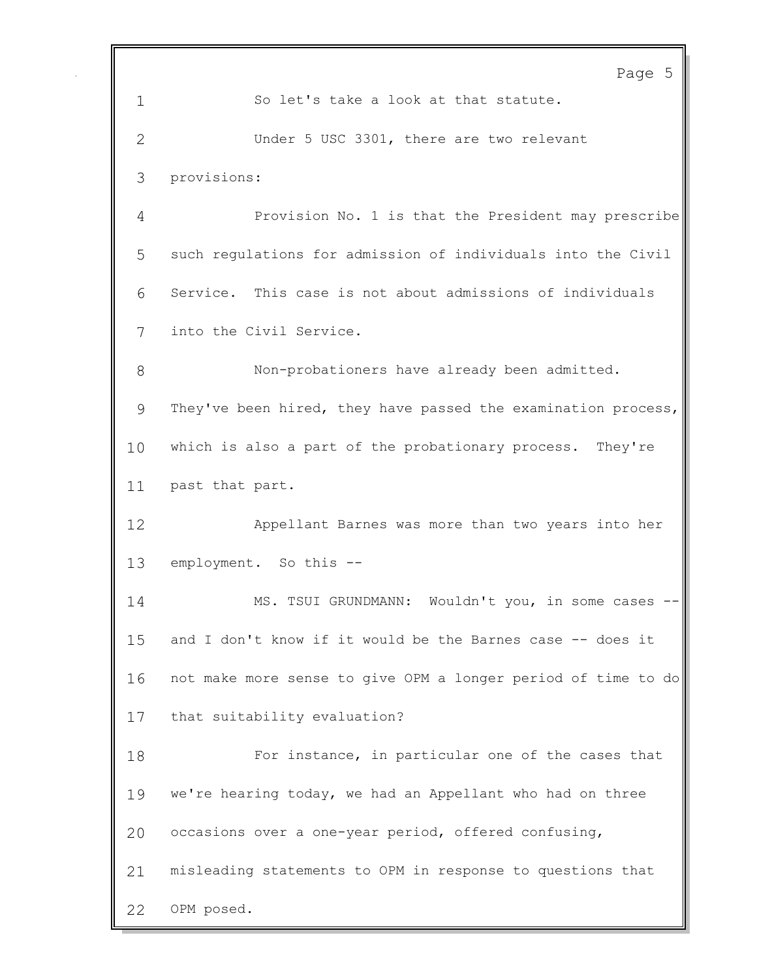Page 5 1 So let's take a look at that statute. Under 5 USC 3301, there are two relevant provisions: Provision No. 1 is that the President may prescribe such regulations for admission of individuals into the Civil Service. This case is not about admissions of individuals into the Civil Service. Non-probationers have already been admitted. They've been hired, they have passed the examination process, which is also a part of the probationary process. They're past that part. Appellant Barnes was more than two years into her employment. So this -- MS. TSUI GRUNDMANN: Wouldn't you, in some cases -- and I don't know if it would be the Barnes case -- does it not make more sense to give OPM a longer period of time to do that suitability evaluation? For instance, in particular one of the cases that we're hearing today, we had an Appellant who had on three occasions over a one-year period, offered confusing, misleading statements to OPM in response to questions that OPM posed.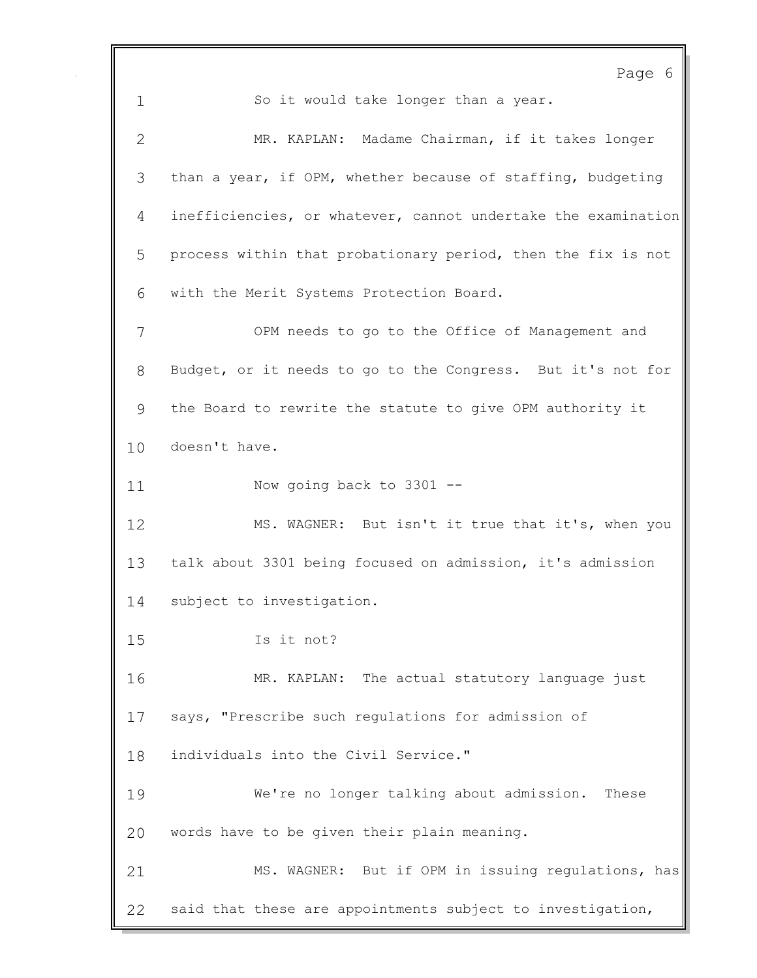Page 6 1 So it would take longer than a year. MR. KAPLAN: Madame Chairman, if it takes longer than a year, if OPM, whether because of staffing, budgeting inefficiencies, or whatever, cannot undertake the examination process within that probationary period, then the fix is not with the Merit Systems Protection Board. OPM needs to go to the Office of Management and Budget, or it needs to go to the Congress. But it's not for the Board to rewrite the statute to give OPM authority it doesn't have. Now going back to 3301 -- MS. WAGNER: But isn't it true that it's, when you talk about 3301 being focused on admission, it's admission subject to investigation. Is it not? MR. KAPLAN: The actual statutory language just says, "Prescribe such regulations for admission of individuals into the Civil Service." We're no longer talking about admission. These words have to be given their plain meaning. MS. WAGNER: But if OPM in issuing regulations, has said that these are appointments subject to investigation,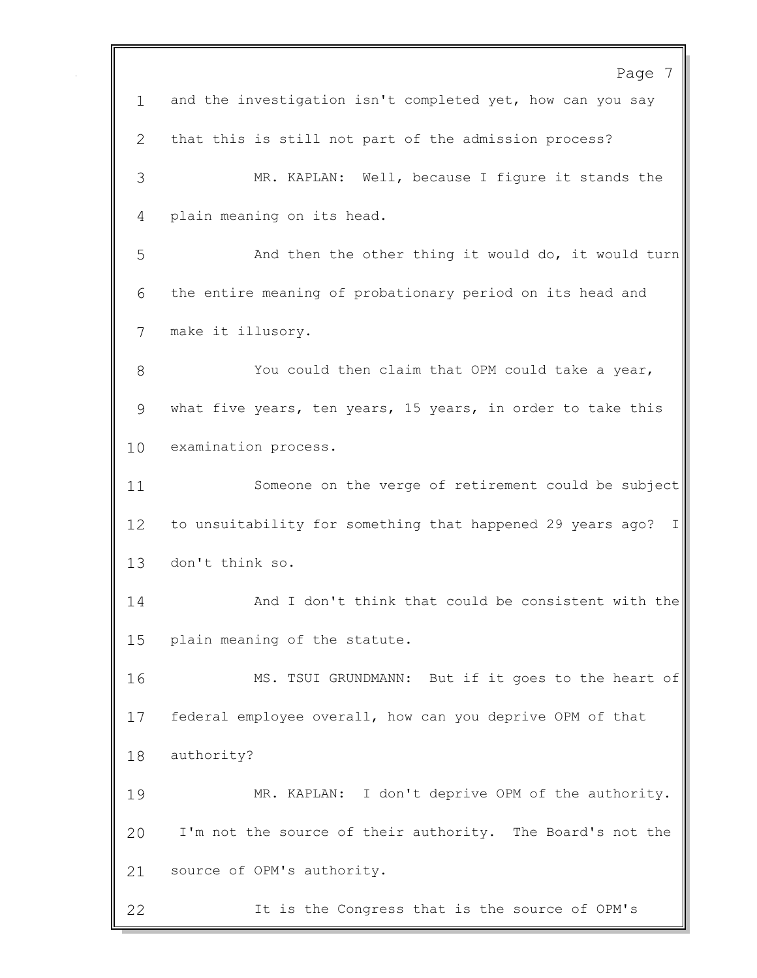Page 7 and the investigation isn't completed yet, how can you say that this is still not part of the admission process? MR. KAPLAN: Well, because I figure it stands the plain meaning on its head. And then the other thing it would do, it would turn the entire meaning of probationary period on its head and make it illusory. You could then claim that OPM could take a year, what five years, ten years, 15 years, in order to take this examination process. Someone on the verge of retirement could be subject to unsuitability for something that happened 29 years ago? I don't think so. And I don't think that could be consistent with the plain meaning of the statute. MS. TSUI GRUNDMANN: But if it goes to the heart of federal employee overall, how can you deprive OPM of that authority? MR. KAPLAN: I don't deprive OPM of the authority. I'm not the source of their authority. The Board's not the source of OPM's authority. It is the Congress that is the source of OPM's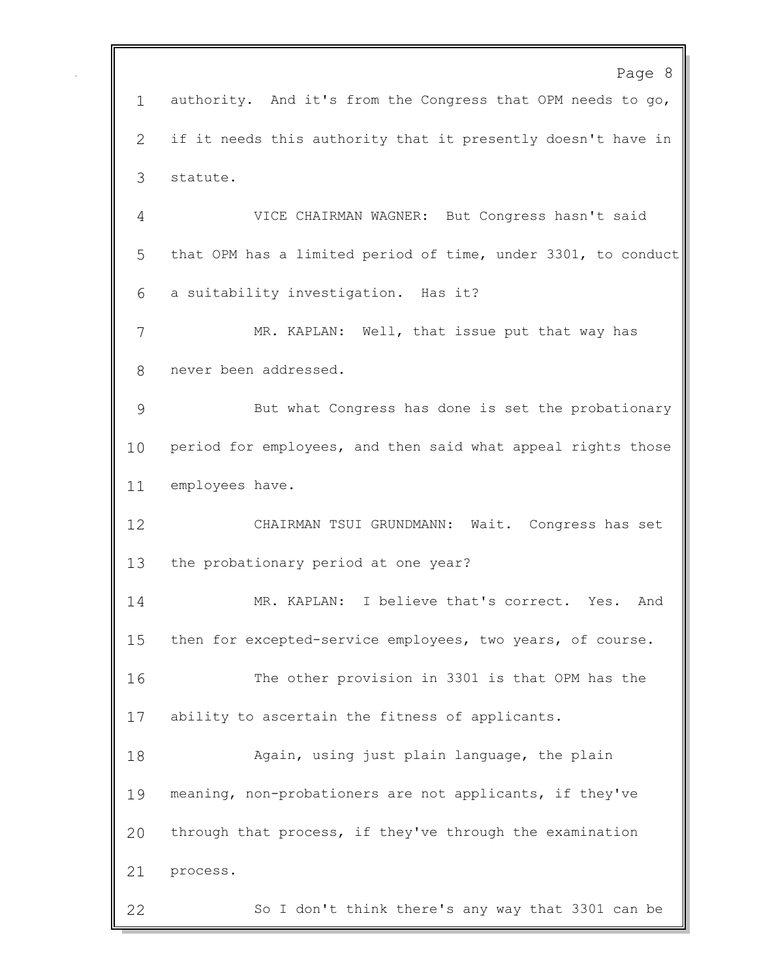Page 8 authority. And it's from the Congress that OPM needs to go, if it needs this authority that it presently doesn't have in statute. VICE CHAIRMAN WAGNER: But Congress hasn't said that OPM has a limited period of time, under 3301, to conduct a suitability investigation. Has it? MR. KAPLAN: Well, that issue put that way has never been addressed. But what Congress has done is set the probationary period for employees, and then said what appeal rights those employees have. CHAIRMAN TSUI GRUNDMANN: Wait. Congress has set the probationary period at one year? MR. KAPLAN: I believe that's correct. Yes. And then for excepted-service employees, two years, of course. The other provision in 3301 is that OPM has the ability to ascertain the fitness of applicants. Again, using just plain language, the plain meaning, non-probationers are not applicants, if they've through that process, if they've through the examination process. So I don't think there's any way that 3301 can be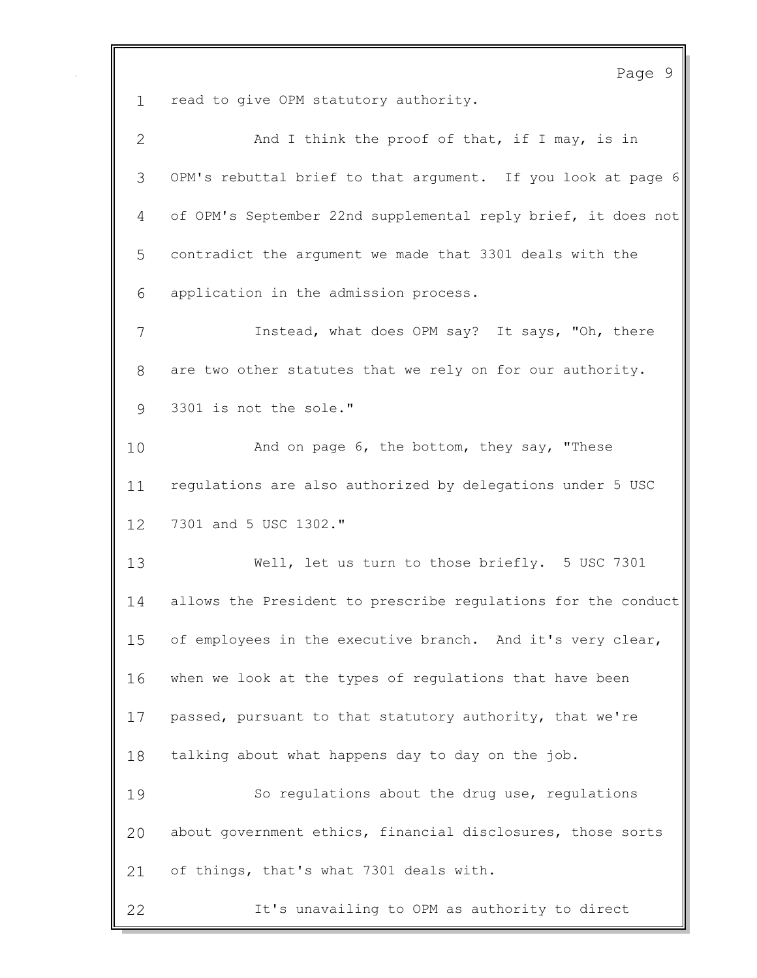Page 9 read to give OPM statutory authority. 2 And I think the proof of that, if I may, is in OPM's rebuttal brief to that argument. If you look at page 6 of OPM's September 22nd supplemental reply brief, it does not contradict the argument we made that 3301 deals with the application in the admission process. Instead, what does OPM say? It says, "Oh, there are two other statutes that we rely on for our authority. 3301 is not the sole." And on page 6, the bottom, they say, "These regulations are also authorized by delegations under 5 USC 7301 and 5 USC 1302." Well, let us turn to those briefly. 5 USC 7301 allows the President to prescribe regulations for the conduct 15 of employees in the executive branch. And it's very clear, when we look at the types of regulations that have been passed, pursuant to that statutory authority, that we're talking about what happens day to day on the job. So regulations about the drug use, regulations about government ethics, financial disclosures, those sorts of things, that's what 7301 deals with. It's unavailing to OPM as authority to direct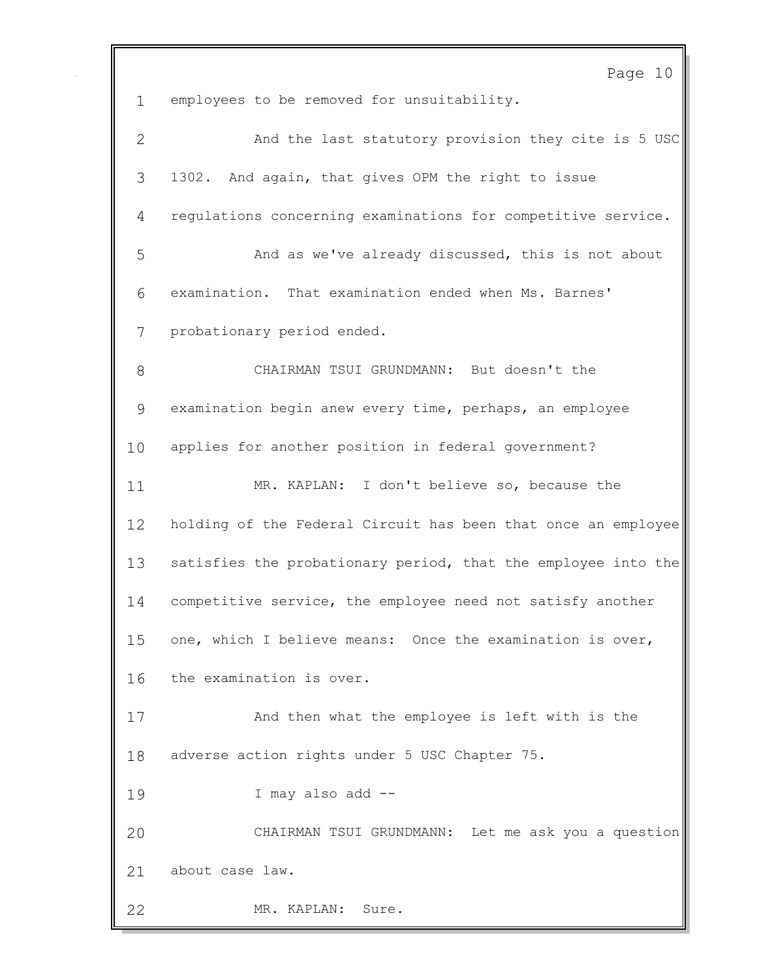Page 10 employees to be removed for unsuitability. And the last statutory provision they cite is 5 USC 1302. And again, that gives OPM the right to issue regulations concerning examinations for competitive service. And as we've already discussed, this is not about examination. That examination ended when Ms. Barnes' probationary period ended. CHAIRMAN TSUI GRUNDMANN: But doesn't the examination begin anew every time, perhaps, an employee applies for another position in federal government? MR. KAPLAN: I don't believe so, because the holding of the Federal Circuit has been that once an employee satisfies the probationary period, that the employee into the competitive service, the employee need not satisfy another one, which I believe means: Once the examination is over, the examination is over. And then what the employee is left with is the adverse action rights under 5 USC Chapter 75. I may also add -- CHAIRMAN TSUI GRUNDMANN: Let me ask you a question about case law. MR. KAPLAN: Sure.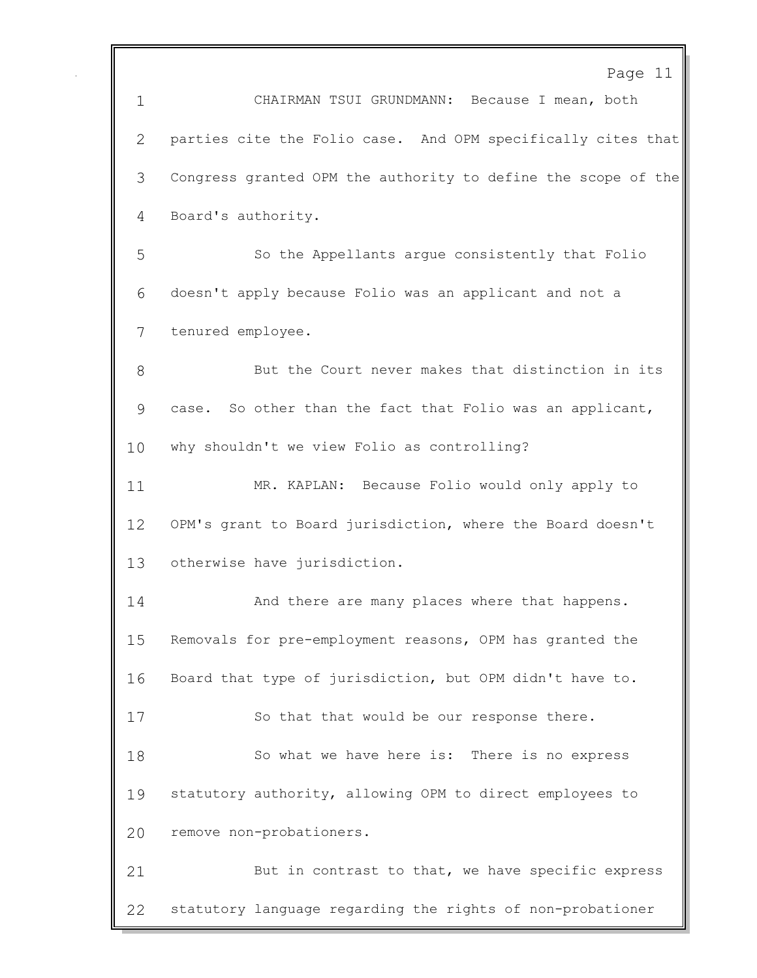Page 11

 CHAIRMAN TSUI GRUNDMANN: Because I mean, both parties cite the Folio case. And OPM specifically cites that Congress granted OPM the authority to define the scope of the Board's authority. So the Appellants argue consistently that Folio doesn't apply because Folio was an applicant and not a tenured employee. But the Court never makes that distinction in its case. So other than the fact that Folio was an applicant, why shouldn't we view Folio as controlling? MR. KAPLAN: Because Folio would only apply to OPM's grant to Board jurisdiction, where the Board doesn't otherwise have jurisdiction. 14 And there are many places where that happens. Removals for pre-employment reasons, OPM has granted the Board that type of jurisdiction, but OPM didn't have to. 17 So that that would be our response there. So what we have here is: There is no express statutory authority, allowing OPM to direct employees to remove non-probationers. But in contrast to that, we have specific express statutory language regarding the rights of non-probationer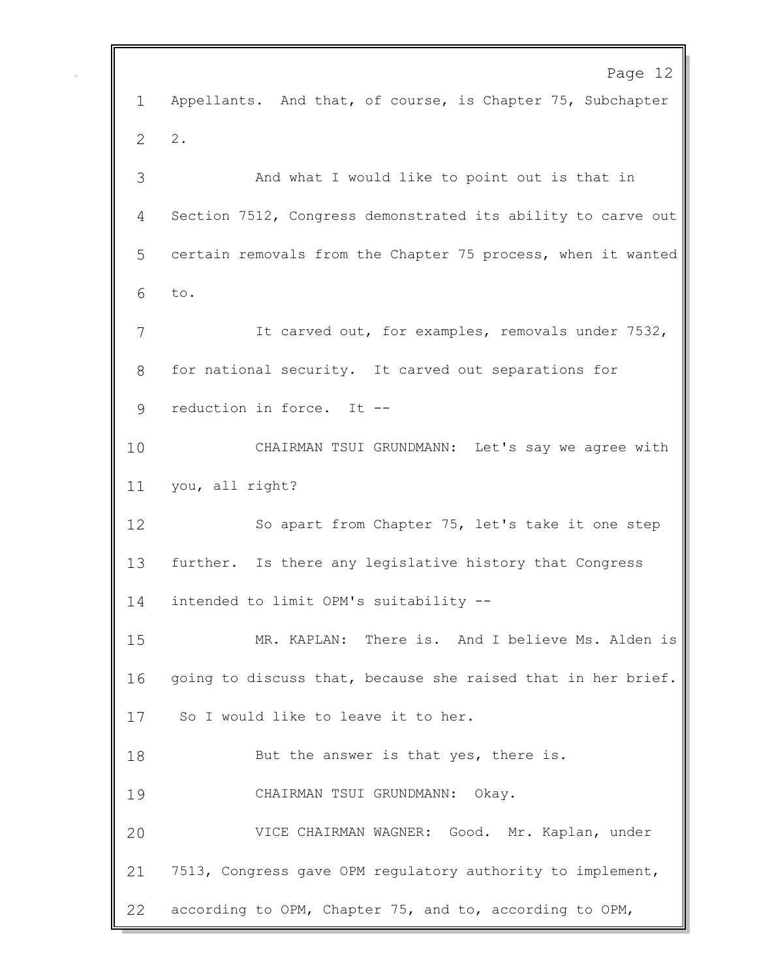Page 12 Appellants. And that, of course, is Chapter 75, Subchapter 2. And what I would like to point out is that in Section 7512, Congress demonstrated its ability to carve out certain removals from the Chapter 75 process, when it wanted to. It carved out, for examples, removals under 7532, for national security. It carved out separations for reduction in force. It -- CHAIRMAN TSUI GRUNDMANN: Let's say we agree with you, all right? So apart from Chapter 75, let's take it one step further. Is there any legislative history that Congress intended to limit OPM's suitability -- MR. KAPLAN: There is. And I believe Ms. Alden is going to discuss that, because she raised that in her brief. So I would like to leave it to her. 18 But the answer is that yes, there is. CHAIRMAN TSUI GRUNDMANN: Okay. VICE CHAIRMAN WAGNER: Good. Mr. Kaplan, under 7513, Congress gave OPM regulatory authority to implement, according to OPM, Chapter 75, and to, according to OPM,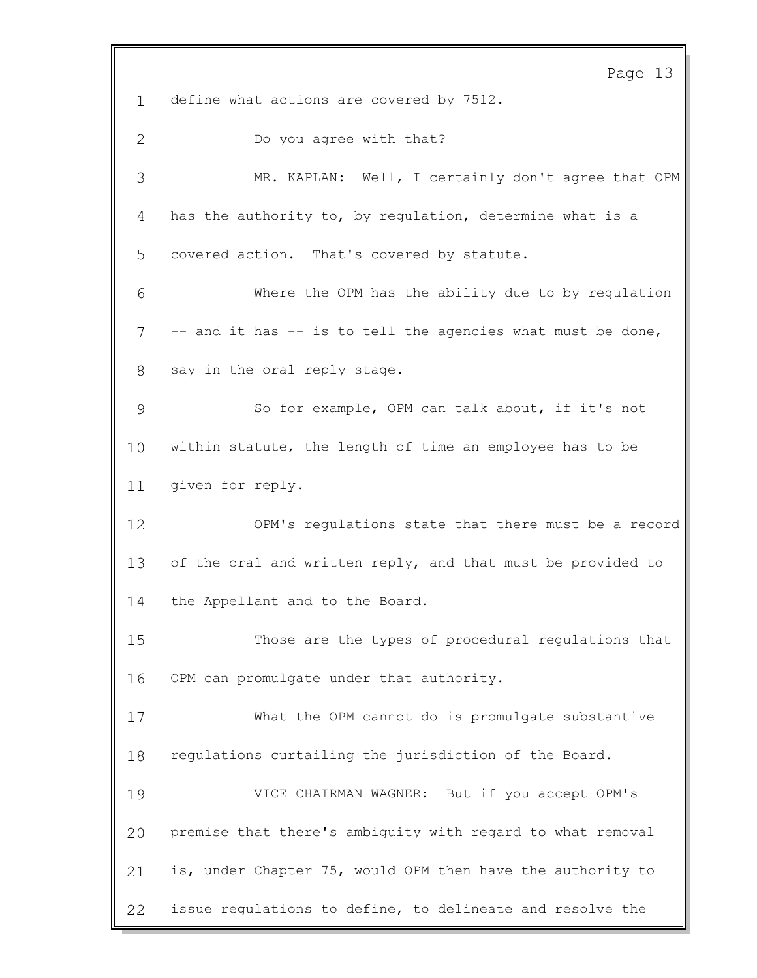Page 13 define what actions are covered by 7512. Do you agree with that? MR. KAPLAN: Well, I certainly don't agree that OPM has the authority to, by regulation, determine what is a covered action. That's covered by statute. Where the OPM has the ability due to by regulation -- and it has -- is to tell the agencies what must be done, say in the oral reply stage. So for example, OPM can talk about, if it's not within statute, the length of time an employee has to be given for reply. OPM's regulations state that there must be a record 13 of the oral and written reply, and that must be provided to the Appellant and to the Board. Those are the types of procedural regulations that OPM can promulgate under that authority. What the OPM cannot do is promulgate substantive regulations curtailing the jurisdiction of the Board. VICE CHAIRMAN WAGNER: But if you accept OPM's premise that there's ambiguity with regard to what removal is, under Chapter 75, would OPM then have the authority to issue regulations to define, to delineate and resolve the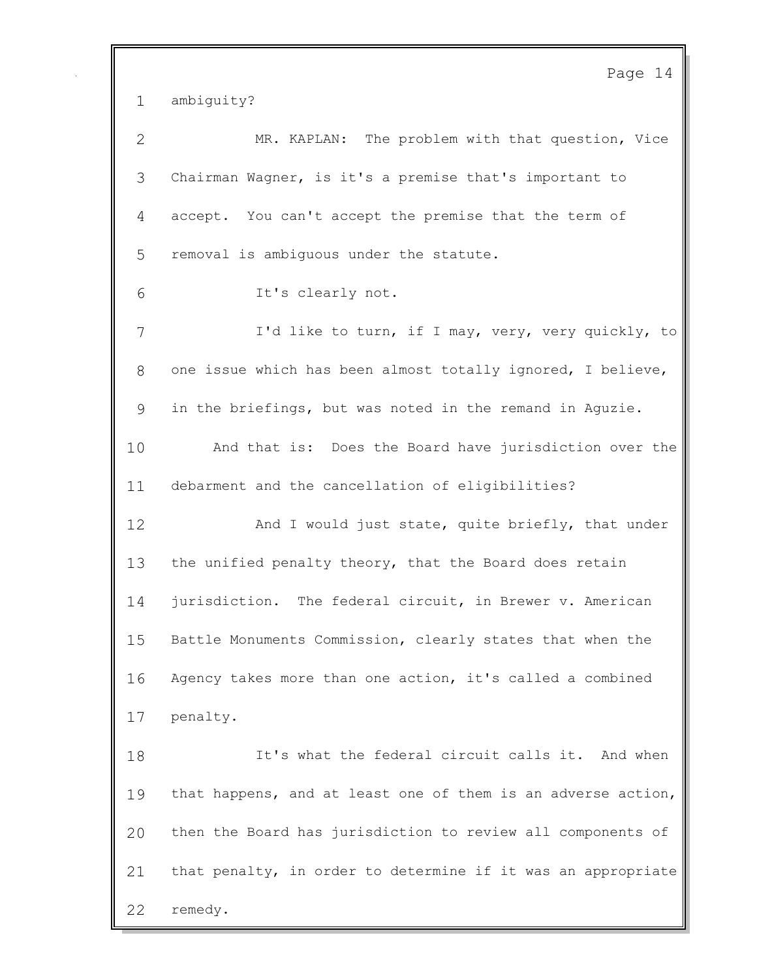Page 14 ambiguity? MR. KAPLAN: The problem with that question, Vice Chairman Wagner, is it's a premise that's important to accept. You can't accept the premise that the term of removal is ambiguous under the statute. It's clearly not. I'd like to turn, if I may, very, very quickly, to one issue which has been almost totally ignored, I believe, in the briefings, but was noted in the remand in Aguzie. And that is: Does the Board have jurisdiction over the debarment and the cancellation of eligibilities? 12 And I would just state, quite briefly, that under the unified penalty theory, that the Board does retain jurisdiction. The federal circuit, in Brewer v. American Battle Monuments Commission, clearly states that when the Agency takes more than one action, it's called a combined penalty. It's what the federal circuit calls it. And when that happens, and at least one of them is an adverse action, then the Board has jurisdiction to review all components of that penalty, in order to determine if it was an appropriate remedy.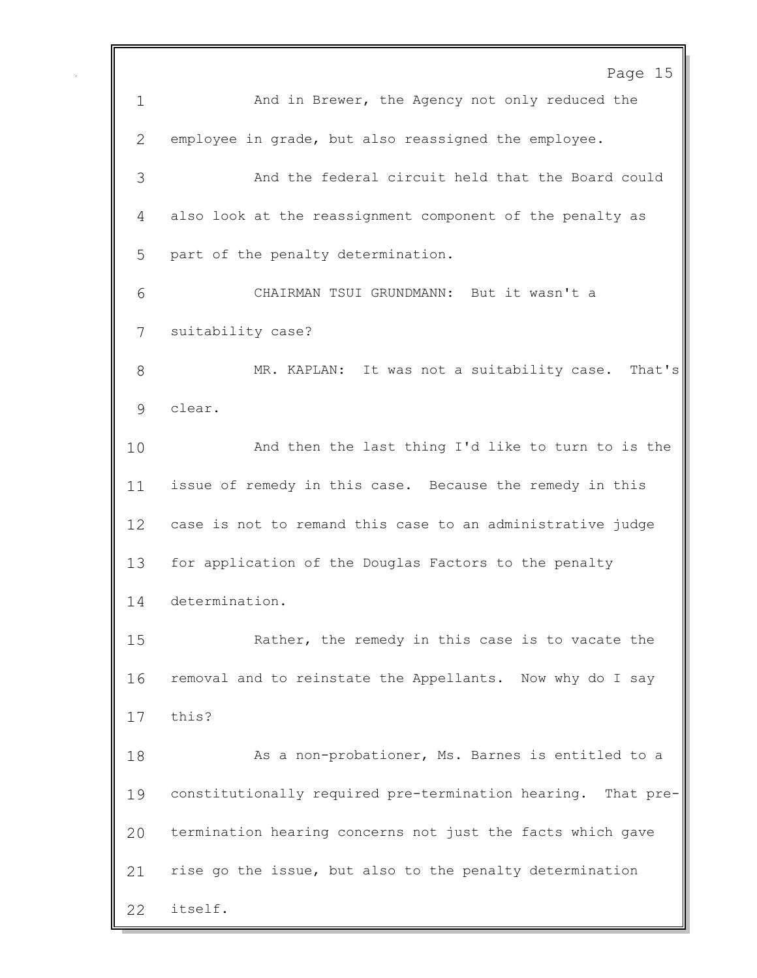Page 15 And in Brewer, the Agency not only reduced the employee in grade, but also reassigned the employee. And the federal circuit held that the Board could also look at the reassignment component of the penalty as part of the penalty determination. CHAIRMAN TSUI GRUNDMANN: But it wasn't a suitability case? MR. KAPLAN: It was not a suitability case. That's clear. And then the last thing I'd like to turn to is the issue of remedy in this case. Because the remedy in this case is not to remand this case to an administrative judge for application of the Douglas Factors to the penalty determination. Rather, the remedy in this case is to vacate the removal and to reinstate the Appellants. Now why do I say this? 18 As a non-probationer, Ms. Barnes is entitled to a constitutionally required pre-termination hearing. That pre- termination hearing concerns not just the facts which gave rise go the issue, but also to the penalty determination itself.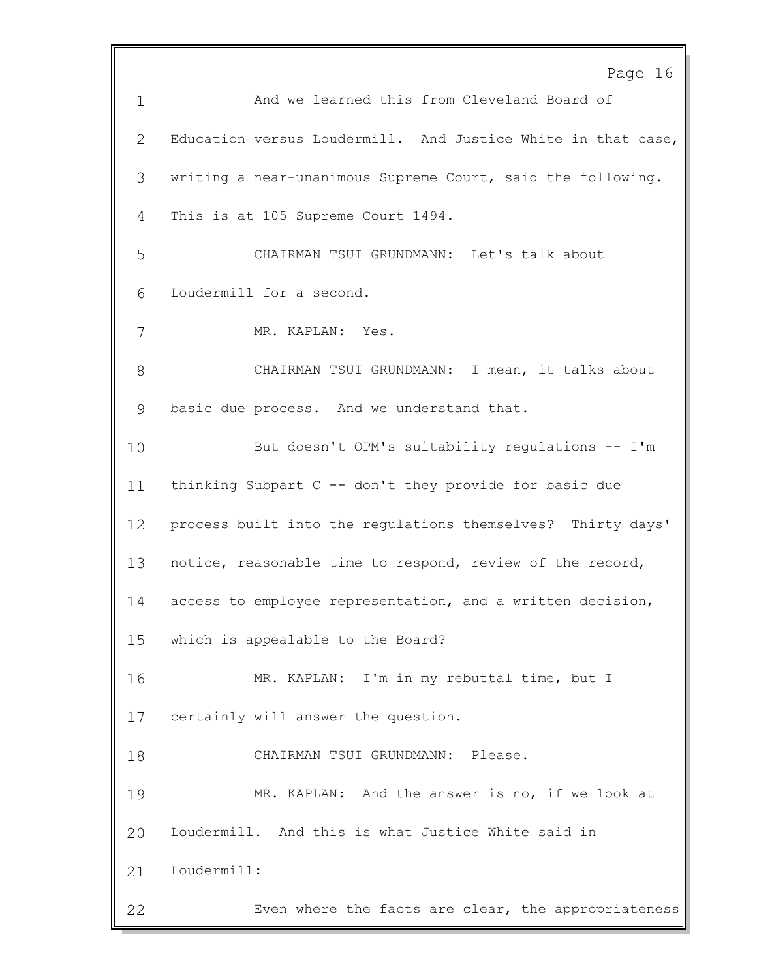|              | Page 16                                                      |
|--------------|--------------------------------------------------------------|
| $\mathbf 1$  | And we learned this from Cleveland Board of                  |
| $\mathbf{2}$ | Education versus Loudermill. And Justice White in that case, |
| 3            | writing a near-unanimous Supreme Court, said the following.  |
| 4            | This is at 105 Supreme Court 1494.                           |
| 5            | CHAIRMAN TSUI GRUNDMANN: Let's talk about                    |
| 6            | Loudermill for a second.                                     |
| 7            | MR. KAPLAN: Yes.                                             |
| 8            | CHAIRMAN TSUI GRUNDMANN: I mean, it talks about              |
| 9            | basic due process. And we understand that.                   |
| 10           | But doesn't OPM's suitability regulations -- I'm             |
| 11           | thinking Subpart C -- don't they provide for basic due       |
| 12           | process built into the regulations themselves? Thirty days'  |
| 13           | notice, reasonable time to respond, review of the record,    |
| 14           | access to employee representation, and a written decision,   |
| 15           | which is appealable to the Board?                            |
| 16           | MR. KAPLAN: I'm in my rebuttal time, but I                   |
| 17           | certainly will answer the question.                          |
| 18           | CHAIRMAN TSUI GRUNDMANN: Please.                             |
| 19           | MR. KAPLAN: And the answer is no, if we look at              |
| 20           | Loudermill. And this is what Justice White said in           |
| 21           | Loudermill:                                                  |
| 22           | Even where the facts are clear, the appropriateness          |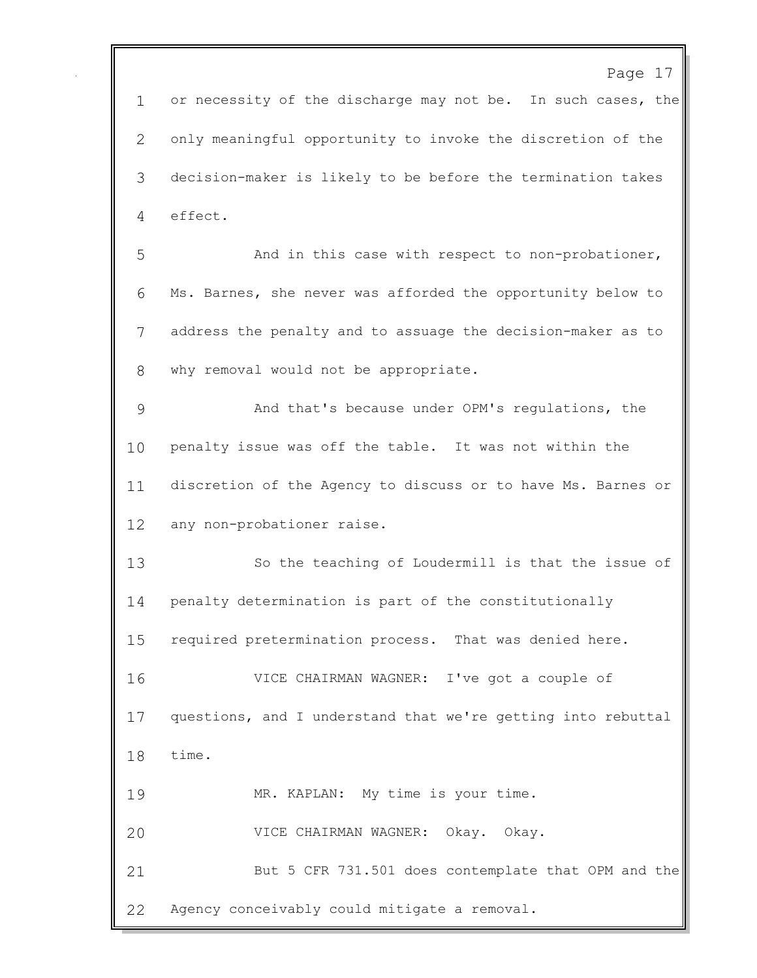Page 17 1 or necessity of the discharge may not be. In such cases, the only meaningful opportunity to invoke the discretion of the decision-maker is likely to be before the termination takes effect. 5 And in this case with respect to non-probationer, Ms. Barnes, she never was afforded the opportunity below to address the penalty and to assuage the decision-maker as to why removal would not be appropriate. And that's because under OPM's regulations, the penalty issue was off the table. It was not within the discretion of the Agency to discuss or to have Ms. Barnes or any non-probationer raise. So the teaching of Loudermill is that the issue of penalty determination is part of the constitutionally required pretermination process. That was denied here. VICE CHAIRMAN WAGNER: I've got a couple of questions, and I understand that we're getting into rebuttal time. MR. KAPLAN: My time is your time. VICE CHAIRMAN WAGNER: Okay. Okay. But 5 CFR 731.501 does contemplate that OPM and the Agency conceivably could mitigate a removal.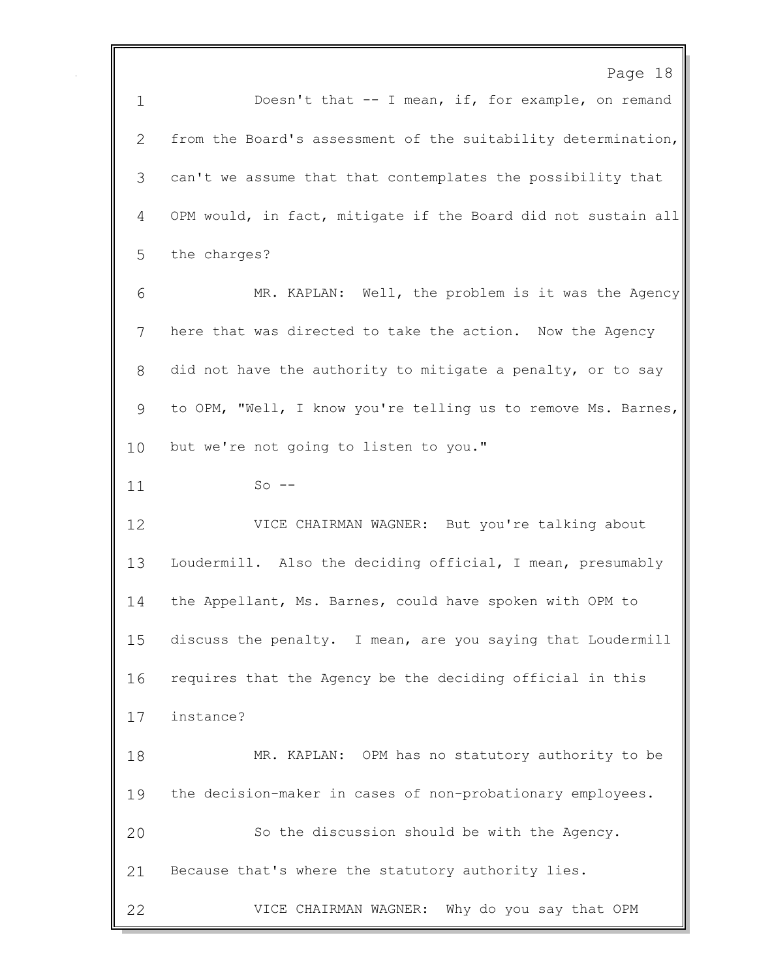Page 18 1 Doesn't that -- I mean, if, for example, on remand from the Board's assessment of the suitability determination, can't we assume that that contemplates the possibility that OPM would, in fact, mitigate if the Board did not sustain all the charges? MR. KAPLAN: Well, the problem is it was the Agency here that was directed to take the action. Now the Agency did not have the authority to mitigate a penalty, or to say to OPM, "Well, I know you're telling us to remove Ms. Barnes, 10 but we're not going to listen to you." So -- VICE CHAIRMAN WAGNER: But you're talking about Loudermill. Also the deciding official, I mean, presumably the Appellant, Ms. Barnes, could have spoken with OPM to discuss the penalty. I mean, are you saying that Loudermill requires that the Agency be the deciding official in this instance? MR. KAPLAN: OPM has no statutory authority to be the decision-maker in cases of non-probationary employees. So the discussion should be with the Agency. Because that's where the statutory authority lies. VICE CHAIRMAN WAGNER: Why do you say that OPM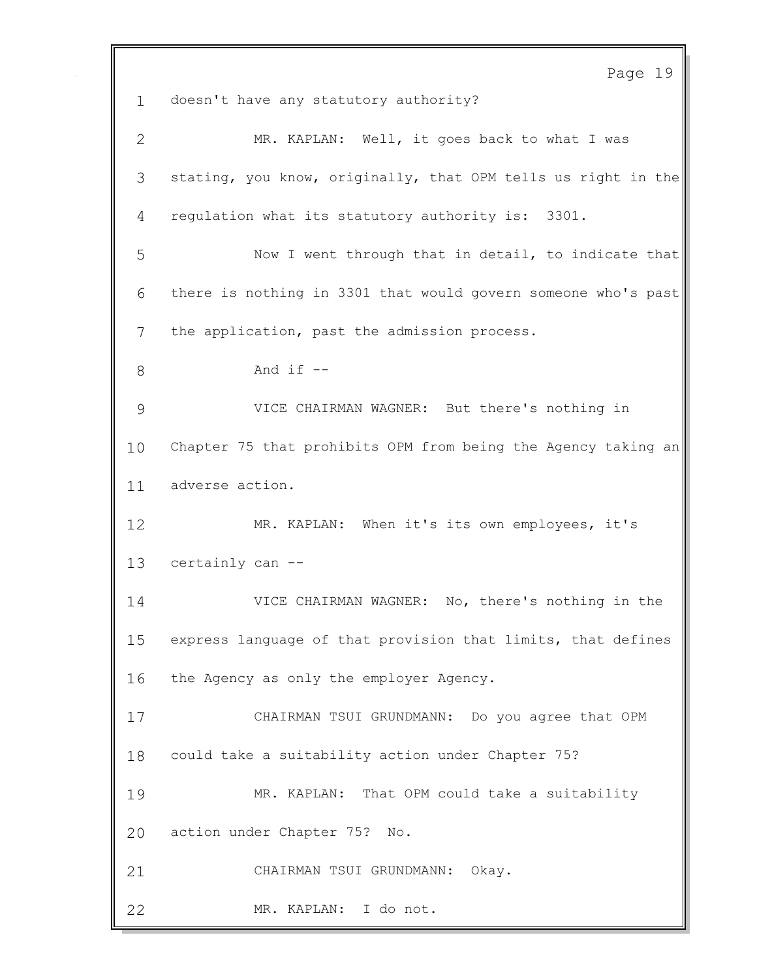Page 19 doesn't have any statutory authority? MR. KAPLAN: Well, it goes back to what I was stating, you know, originally, that OPM tells us right in the regulation what its statutory authority is: 3301. Now I went through that in detail, to indicate that there is nothing in 3301 that would govern someone who's past the application, past the admission process. And if  $-$  VICE CHAIRMAN WAGNER: But there's nothing in Chapter 75 that prohibits OPM from being the Agency taking an adverse action. MR. KAPLAN: When it's its own employees, it's certainly can -- VICE CHAIRMAN WAGNER: No, there's nothing in the express language of that provision that limits, that defines the Agency as only the employer Agency. CHAIRMAN TSUI GRUNDMANN: Do you agree that OPM could take a suitability action under Chapter 75? MR. KAPLAN: That OPM could take a suitability action under Chapter 75? No. CHAIRMAN TSUI GRUNDMANN: Okay. MR. KAPLAN: I do not.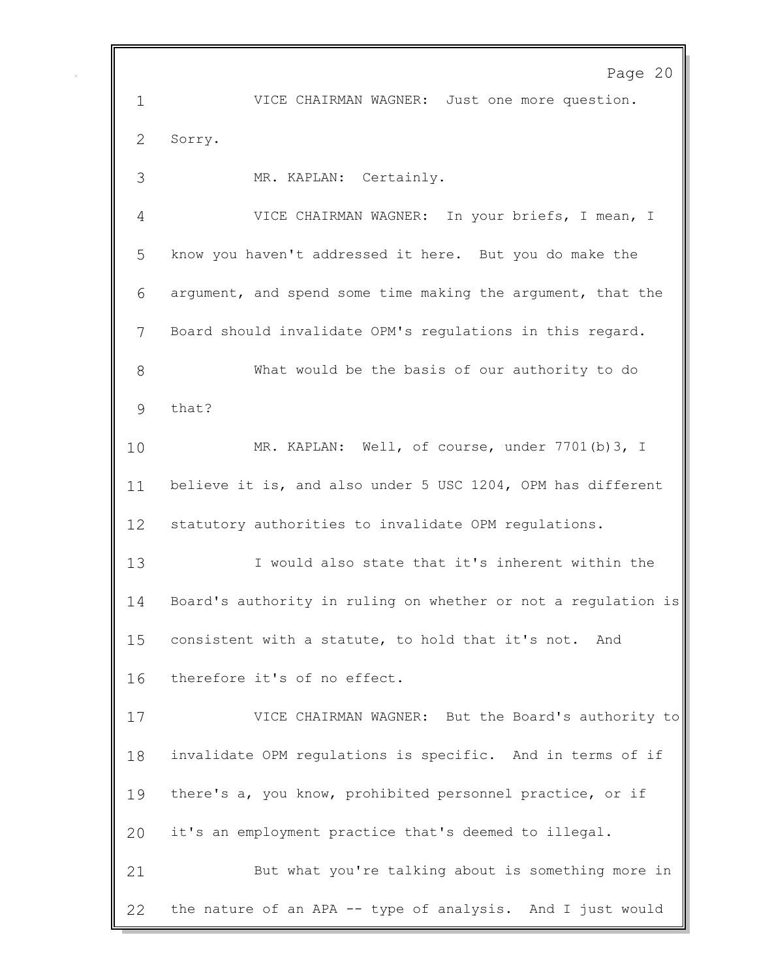Page 20 VICE CHAIRMAN WAGNER: Just one more question. Sorry. MR. KAPLAN: Certainly. VICE CHAIRMAN WAGNER: In your briefs, I mean, I know you haven't addressed it here. But you do make the argument, and spend some time making the argument, that the Board should invalidate OPM's regulations in this regard. What would be the basis of our authority to do that? MR. KAPLAN: Well, of course, under 7701(b)3, I believe it is, and also under 5 USC 1204, OPM has different statutory authorities to invalidate OPM regulations. I would also state that it's inherent within the Board's authority in ruling on whether or not a regulation is consistent with a statute, to hold that it's not. And therefore it's of no effect. VICE CHAIRMAN WAGNER: But the Board's authority to invalidate OPM regulations is specific. And in terms of if there's a, you know, prohibited personnel practice, or if it's an employment practice that's deemed to illegal. But what you're talking about is something more in the nature of an APA -- type of analysis. And I just would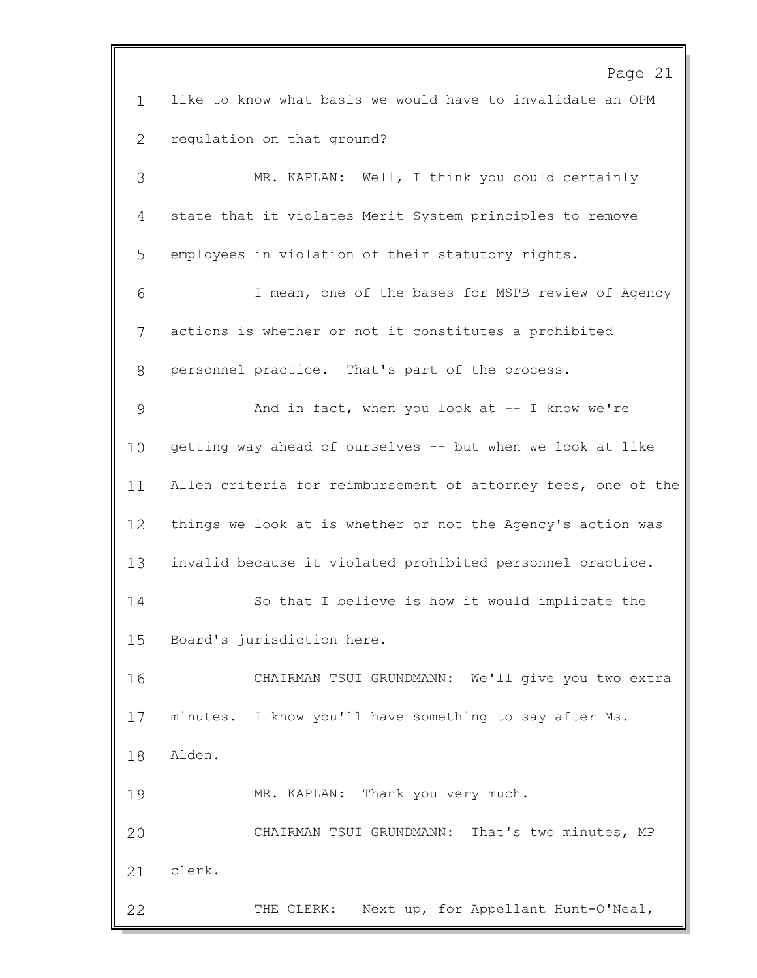Page 21 like to know what basis we would have to invalidate an OPM regulation on that ground? MR. KAPLAN: Well, I think you could certainly state that it violates Merit System principles to remove employees in violation of their statutory rights. I mean, one of the bases for MSPB review of Agency actions is whether or not it constitutes a prohibited personnel practice. That's part of the process. And in fact, when you look at -- I know we're getting way ahead of ourselves -- but when we look at like Allen criteria for reimbursement of attorney fees, one of the things we look at is whether or not the Agency's action was invalid because it violated prohibited personnel practice. So that I believe is how it would implicate the Board's jurisdiction here. CHAIRMAN TSUI GRUNDMANN: We'll give you two extra minutes. I know you'll have something to say after Ms. Alden. MR. KAPLAN: Thank you very much. CHAIRMAN TSUI GRUNDMANN: That's two minutes, MP clerk. THE CLERK: Next up, for Appellant Hunt-O'Neal,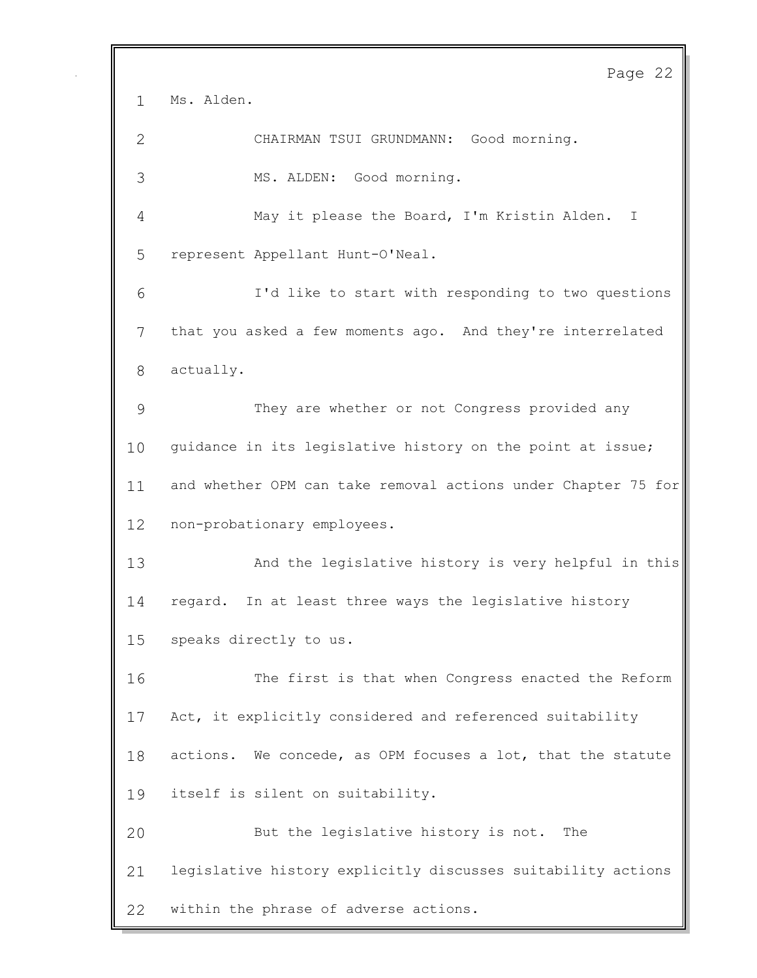Page 22 Ms. Alden. CHAIRMAN TSUI GRUNDMANN: Good morning. MS. ALDEN: Good morning. May it please the Board, I'm Kristin Alden. I represent Appellant Hunt-O'Neal. I'd like to start with responding to two questions that you asked a few moments ago. And they're interrelated actually. They are whether or not Congress provided any guidance in its legislative history on the point at issue; and whether OPM can take removal actions under Chapter 75 for non-probationary employees. And the legislative history is very helpful in this regard. In at least three ways the legislative history speaks directly to us. The first is that when Congress enacted the Reform Act, it explicitly considered and referenced suitability actions. We concede, as OPM focuses a lot, that the statute itself is silent on suitability. But the legislative history is not. The legislative history explicitly discusses suitability actions within the phrase of adverse actions.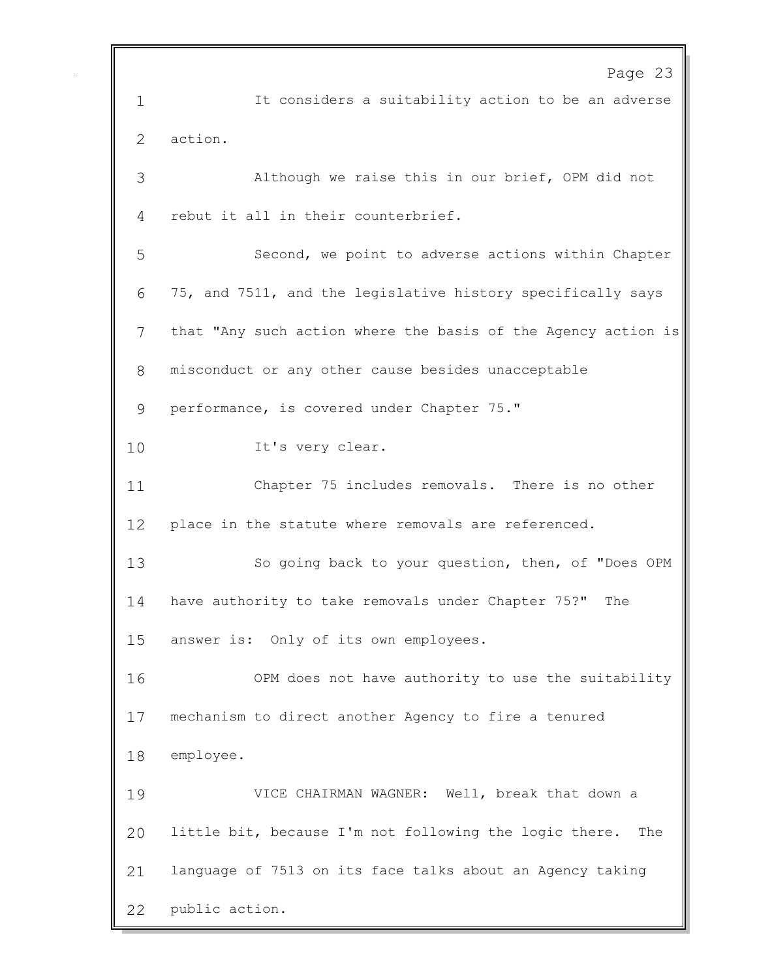Page 23 It considers a suitability action to be an adverse action. Although we raise this in our brief, OPM did not rebut it all in their counterbrief. Second, we point to adverse actions within Chapter 75, and 7511, and the legislative history specifically says that "Any such action where the basis of the Agency action is misconduct or any other cause besides unacceptable performance, is covered under Chapter 75." 10 It's very clear. Chapter 75 includes removals. There is no other place in the statute where removals are referenced. So going back to your question, then, of "Does OPM have authority to take removals under Chapter 75?" The answer is: Only of its own employees. OPM does not have authority to use the suitability mechanism to direct another Agency to fire a tenured employee. VICE CHAIRMAN WAGNER: Well, break that down a little bit, because I'm not following the logic there. The language of 7513 on its face talks about an Agency taking public action.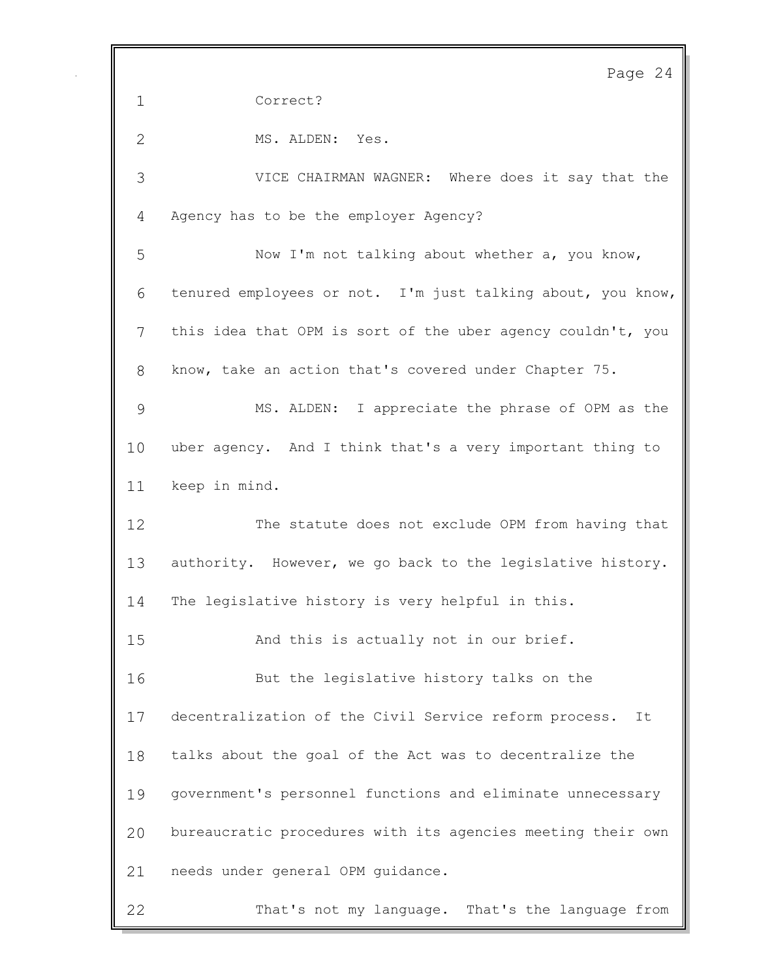Page 24 Correct? 2 MS. ALDEN: Yes. VICE CHAIRMAN WAGNER: Where does it say that the Agency has to be the employer Agency? Now I'm not talking about whether a, you know, tenured employees or not. I'm just talking about, you know, this idea that OPM is sort of the uber agency couldn't, you know, take an action that's covered under Chapter 75. MS. ALDEN: I appreciate the phrase of OPM as the uber agency. And I think that's a very important thing to keep in mind. The statute does not exclude OPM from having that authority. However, we go back to the legislative history. The legislative history is very helpful in this. And this is actually not in our brief. But the legislative history talks on the decentralization of the Civil Service reform process. It talks about the goal of the Act was to decentralize the government's personnel functions and eliminate unnecessary bureaucratic procedures with its agencies meeting their own needs under general OPM guidance. That's not my language. That's the language from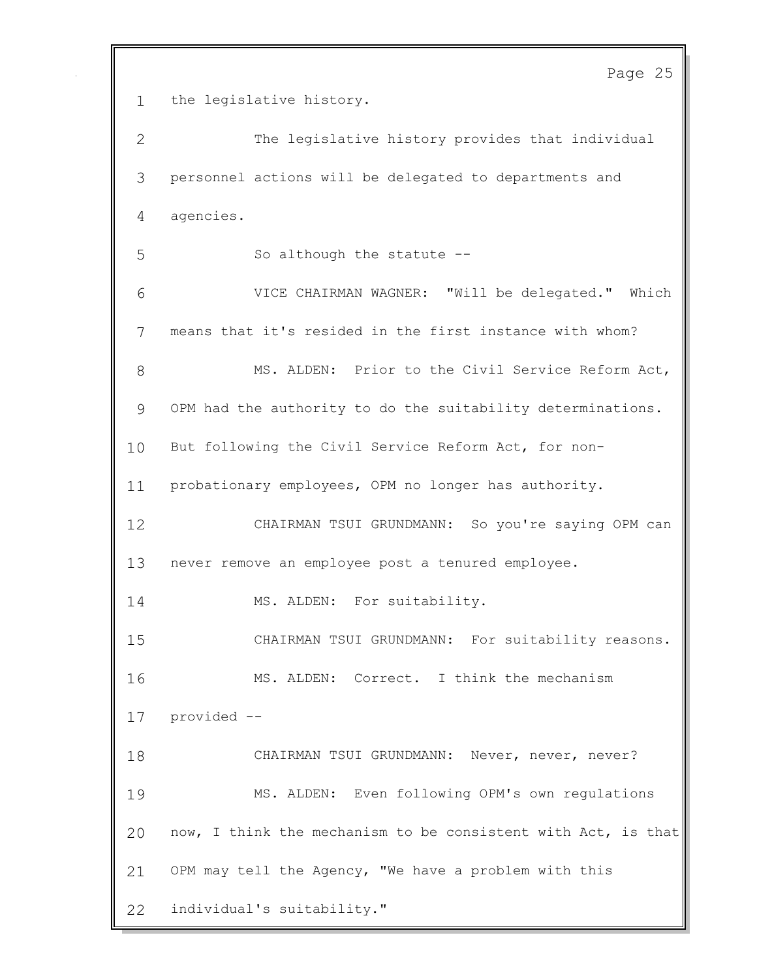Page 25 the legislative history. The legislative history provides that individual personnel actions will be delegated to departments and agencies. 5 So although the statute -- VICE CHAIRMAN WAGNER: "Will be delegated." Which means that it's resided in the first instance with whom? 8 MS. ALDEN: Prior to the Civil Service Reform Act, OPM had the authority to do the suitability determinations. But following the Civil Service Reform Act, for non- probationary employees, OPM no longer has authority. CHAIRMAN TSUI GRUNDMANN: So you're saying OPM can never remove an employee post a tenured employee. 14 MS. ALDEN: For suitability. CHAIRMAN TSUI GRUNDMANN: For suitability reasons. MS. ALDEN: Correct. I think the mechanism provided -- CHAIRMAN TSUI GRUNDMANN: Never, never, never? MS. ALDEN: Even following OPM's own regulations now, I think the mechanism to be consistent with Act, is that OPM may tell the Agency, "We have a problem with this individual's suitability."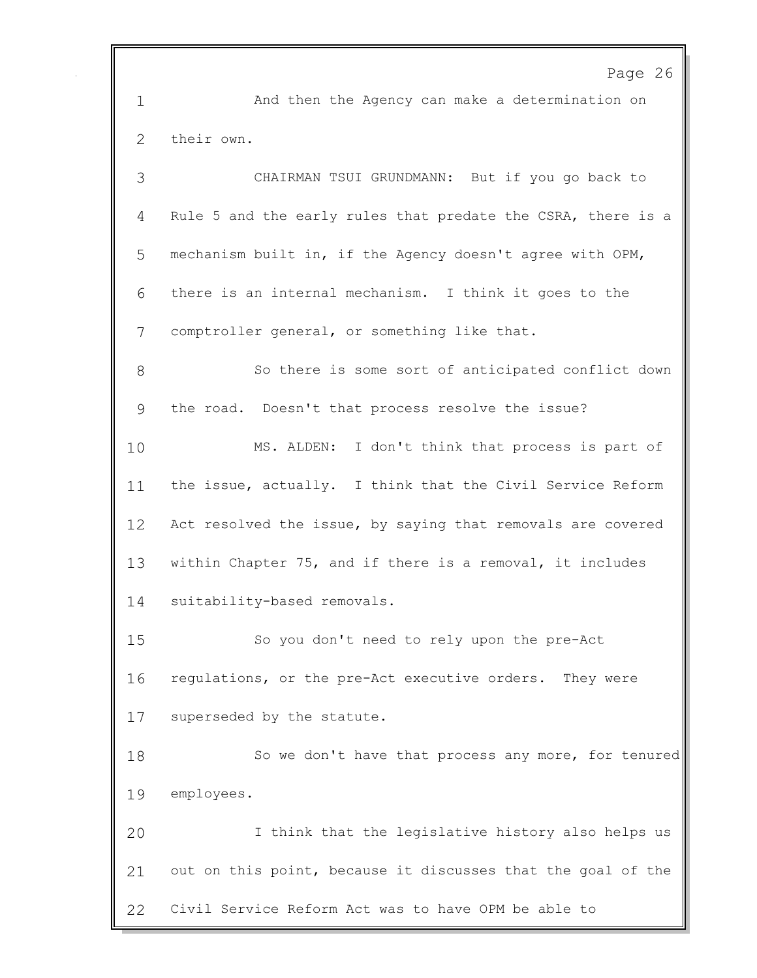Page 26 And then the Agency can make a determination on their own. CHAIRMAN TSUI GRUNDMANN: But if you go back to Rule 5 and the early rules that predate the CSRA, there is a mechanism built in, if the Agency doesn't agree with OPM, there is an internal mechanism. I think it goes to the comptroller general, or something like that. So there is some sort of anticipated conflict down the road. Doesn't that process resolve the issue? MS. ALDEN: I don't think that process is part of the issue, actually. I think that the Civil Service Reform 12 Act resolved the issue, by saying that removals are covered within Chapter 75, and if there is a removal, it includes suitability-based removals. So you don't need to rely upon the pre-Act regulations, or the pre-Act executive orders. They were superseded by the statute. 18 So we don't have that process any more, for tenured employees. I think that the legislative history also helps us out on this point, because it discusses that the goal of the Civil Service Reform Act was to have OPM be able to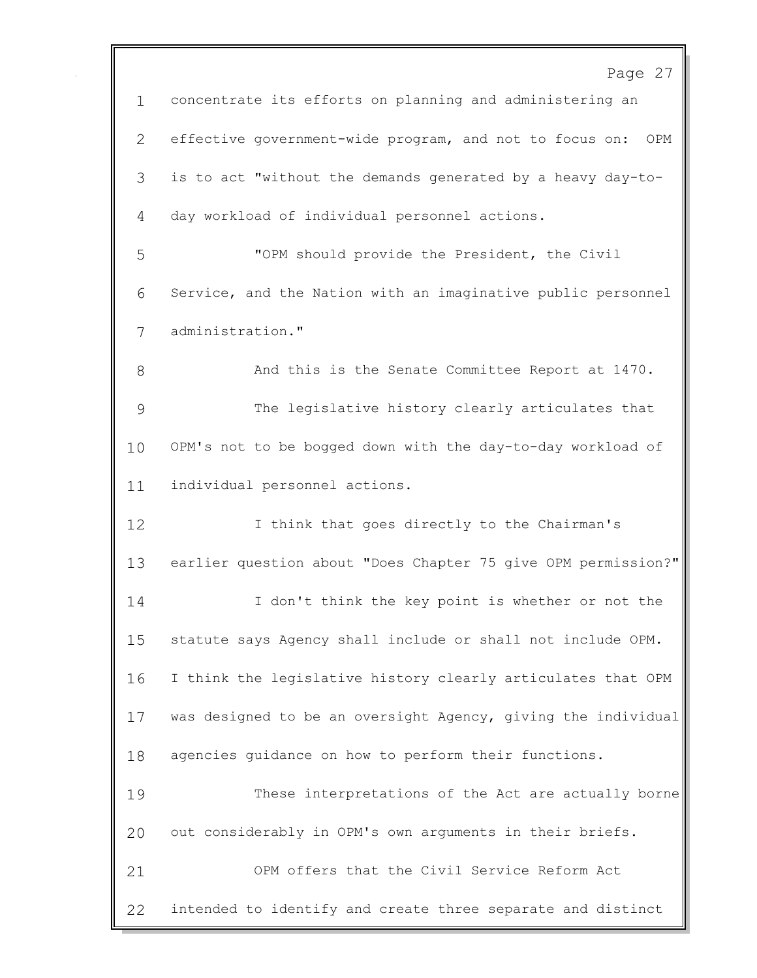|               | Page 27                                                        |
|---------------|----------------------------------------------------------------|
| $\mathbf{1}$  | concentrate its efforts on planning and administering an       |
| 2             | effective government-wide program, and not to focus on:<br>OPM |
| 3             | is to act "without the demands generated by a heavy day-to-    |
| 4             | day workload of individual personnel actions.                  |
| 5             | "OPM should provide the President, the Civil                   |
| 6             | Service, and the Nation with an imaginative public personnel   |
| 7             | administration."                                               |
| 8             | And this is the Senate Committee Report at 1470.               |
| $\mathcal{G}$ | The legislative history clearly articulates that               |
| 10            | OPM's not to be bogged down with the day-to-day workload of    |
| 11            | individual personnel actions.                                  |
| 12            | I think that goes directly to the Chairman's                   |
| 13            | earlier question about "Does Chapter 75 give OPM permission?"  |
| 14            | I don't think the key point is whether or not the              |
| 15            | statute says Agency shall include or shall not include OPM.    |
| 16            | I think the legislative history clearly articulates that OPM   |
| 17            | was designed to be an oversight Agency, giving the individual  |
| 18            | agencies guidance on how to perform their functions.           |
| 19            | These interpretations of the Act are actually borne            |
| 20            | out considerably in OPM's own arguments in their briefs.       |
| 21            | OPM offers that the Civil Service Reform Act                   |
| 22            | intended to identify and create three separate and distinct    |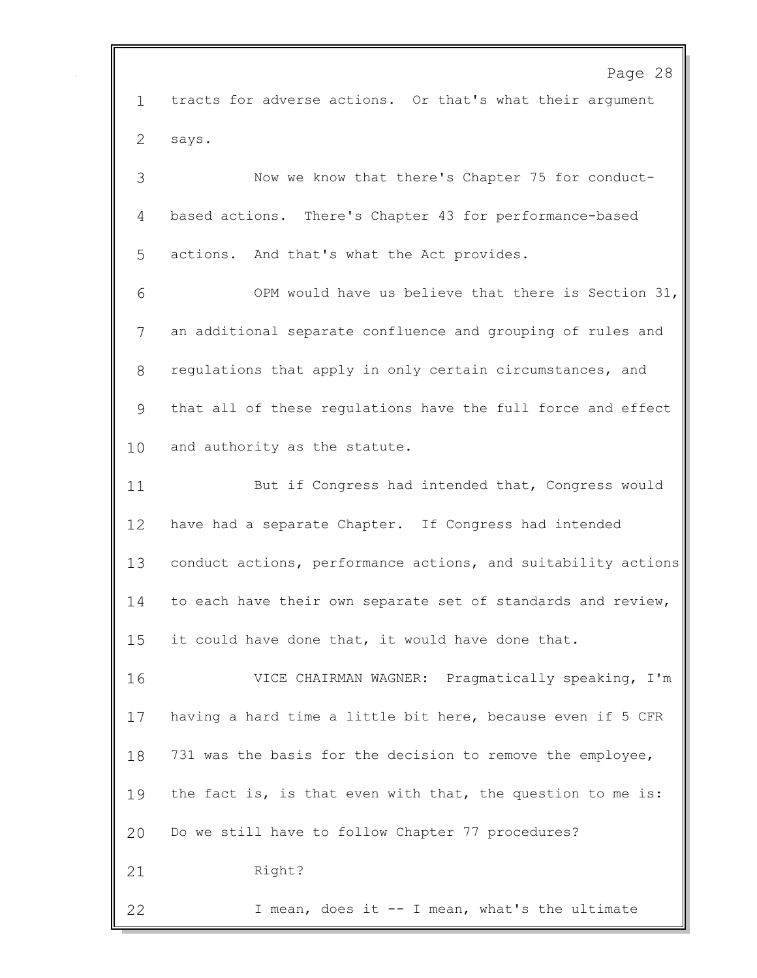Page 28 tracts for adverse actions. Or that's what their argument says. Now we know that there's Chapter 75 for conduct- based actions. There's Chapter 43 for performance-based actions. And that's what the Act provides. OPM would have us believe that there is Section 31, an additional separate confluence and grouping of rules and regulations that apply in only certain circumstances, and that all of these regulations have the full force and effect and authority as the statute. 11 But if Congress had intended that, Congress would have had a separate Chapter. If Congress had intended conduct actions, performance actions, and suitability actions to each have their own separate set of standards and review, it could have done that, it would have done that. VICE CHAIRMAN WAGNER: Pragmatically speaking, I'm having a hard time a little bit here, because even if 5 CFR 731 was the basis for the decision to remove the employee, 19 the fact is, is that even with that, the question to me is: Do we still have to follow Chapter 77 procedures? 21 Right? I mean, does it -- I mean, what's the ultimate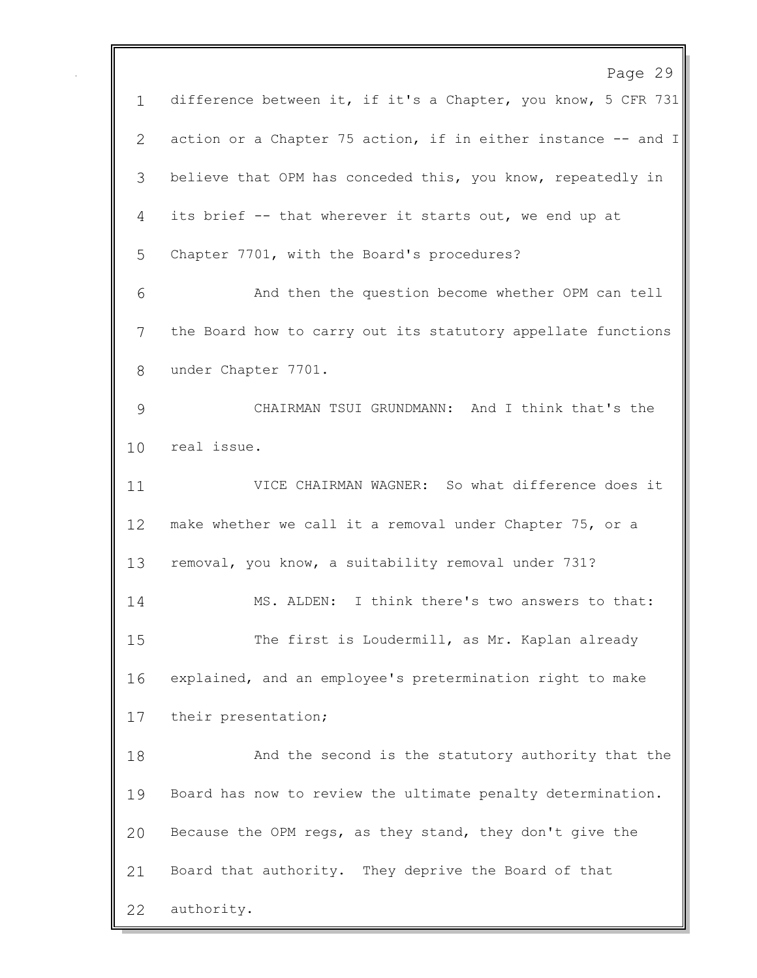Page 29 difference between it, if it's a Chapter, you know, 5 CFR 731 action or a Chapter 75 action, if in either instance -- and I believe that OPM has conceded this, you know, repeatedly in its brief -- that wherever it starts out, we end up at Chapter 7701, with the Board's procedures? And then the question become whether OPM can tell the Board how to carry out its statutory appellate functions under Chapter 7701. CHAIRMAN TSUI GRUNDMANN: And I think that's the real issue. VICE CHAIRMAN WAGNER: So what difference does it make whether we call it a removal under Chapter 75, or a removal, you know, a suitability removal under 731? MS. ALDEN: I think there's two answers to that: The first is Loudermill, as Mr. Kaplan already explained, and an employee's pretermination right to make their presentation; And the second is the statutory authority that the Board has now to review the ultimate penalty determination. Because the OPM regs, as they stand, they don't give the Board that authority. They deprive the Board of that authority.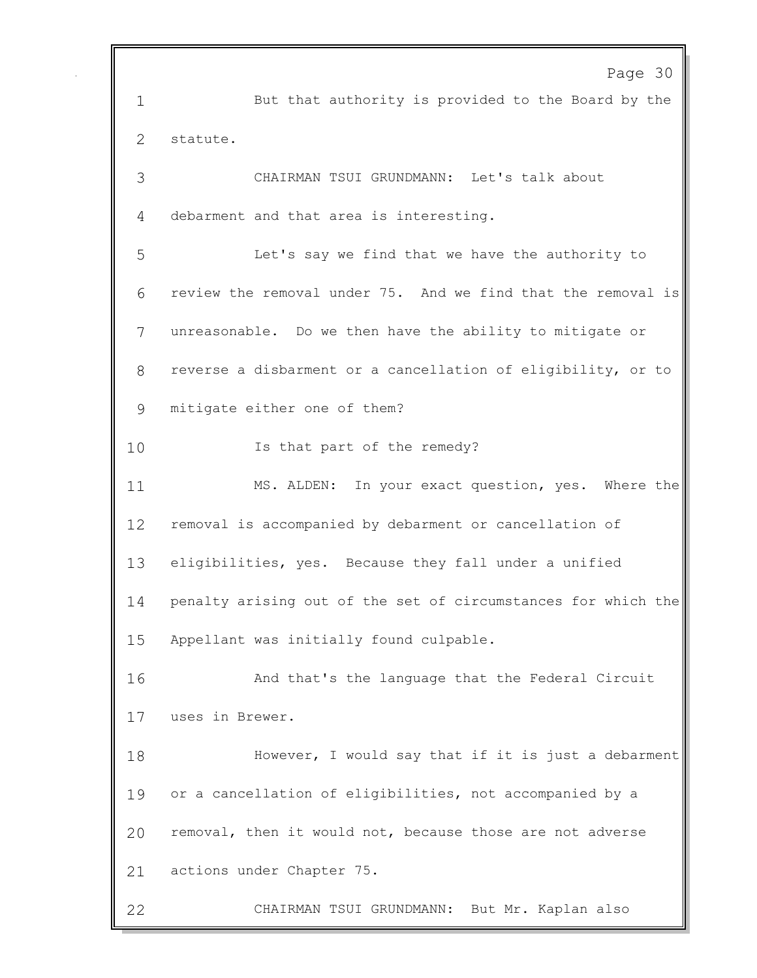Page 30 But that authority is provided to the Board by the statute. CHAIRMAN TSUI GRUNDMANN: Let's talk about debarment and that area is interesting. Let's say we find that we have the authority to review the removal under 75. And we find that the removal is unreasonable. Do we then have the ability to mitigate or reverse a disbarment or a cancellation of eligibility, or to mitigate either one of them? 10 Is that part of the remedy? MS. ALDEN: In your exact question, yes. Where the removal is accompanied by debarment or cancellation of eligibilities, yes. Because they fall under a unified penalty arising out of the set of circumstances for which the Appellant was initially found culpable. And that's the language that the Federal Circuit uses in Brewer. However, I would say that if it is just a debarment or a cancellation of eligibilities, not accompanied by a removal, then it would not, because those are not adverse actions under Chapter 75. CHAIRMAN TSUI GRUNDMANN: But Mr. Kaplan also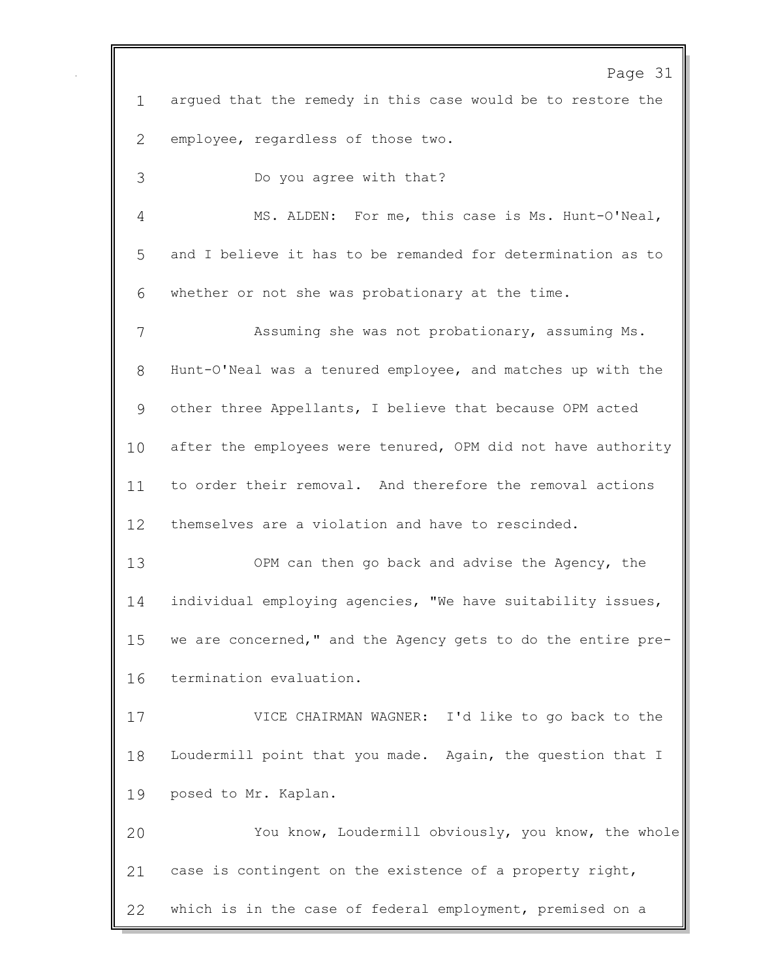Page 31 argued that the remedy in this case would be to restore the employee, regardless of those two. Do you agree with that? MS. ALDEN: For me, this case is Ms. Hunt-O'Neal, and I believe it has to be remanded for determination as to whether or not she was probationary at the time. Assuming she was not probationary, assuming Ms. Hunt-O'Neal was a tenured employee, and matches up with the other three Appellants, I believe that because OPM acted 10 after the employees were tenured, OPM did not have authority to order their removal. And therefore the removal actions themselves are a violation and have to rescinded. OPM can then go back and advise the Agency, the individual employing agencies, "We have suitability issues, we are concerned," and the Agency gets to do the entire pre- termination evaluation. VICE CHAIRMAN WAGNER: I'd like to go back to the Loudermill point that you made. Again, the question that I posed to Mr. Kaplan. You know, Loudermill obviously, you know, the whole case is contingent on the existence of a property right, which is in the case of federal employment, premised on a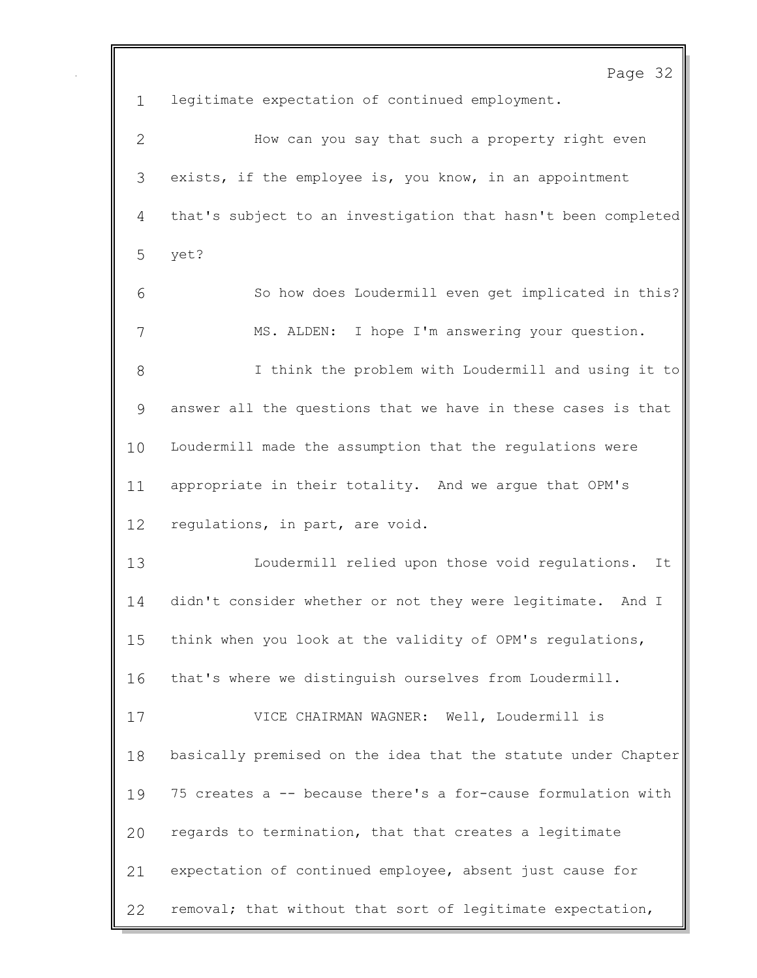Page 32 legitimate expectation of continued employment. How can you say that such a property right even exists, if the employee is, you know, in an appointment that's subject to an investigation that hasn't been completed yet? So how does Loudermill even get implicated in this? MS. ALDEN: I hope I'm answering your question. I think the problem with Loudermill and using it to answer all the questions that we have in these cases is that Loudermill made the assumption that the regulations were appropriate in their totality. And we argue that OPM's regulations, in part, are void. Loudermill relied upon those void regulations. It didn't consider whether or not they were legitimate. And I think when you look at the validity of OPM's regulations, that's where we distinguish ourselves from Loudermill. VICE CHAIRMAN WAGNER: Well, Loudermill is basically premised on the idea that the statute under Chapter 75 creates a -- because there's a for-cause formulation with regards to termination, that that creates a legitimate expectation of continued employee, absent just cause for removal; that without that sort of legitimate expectation,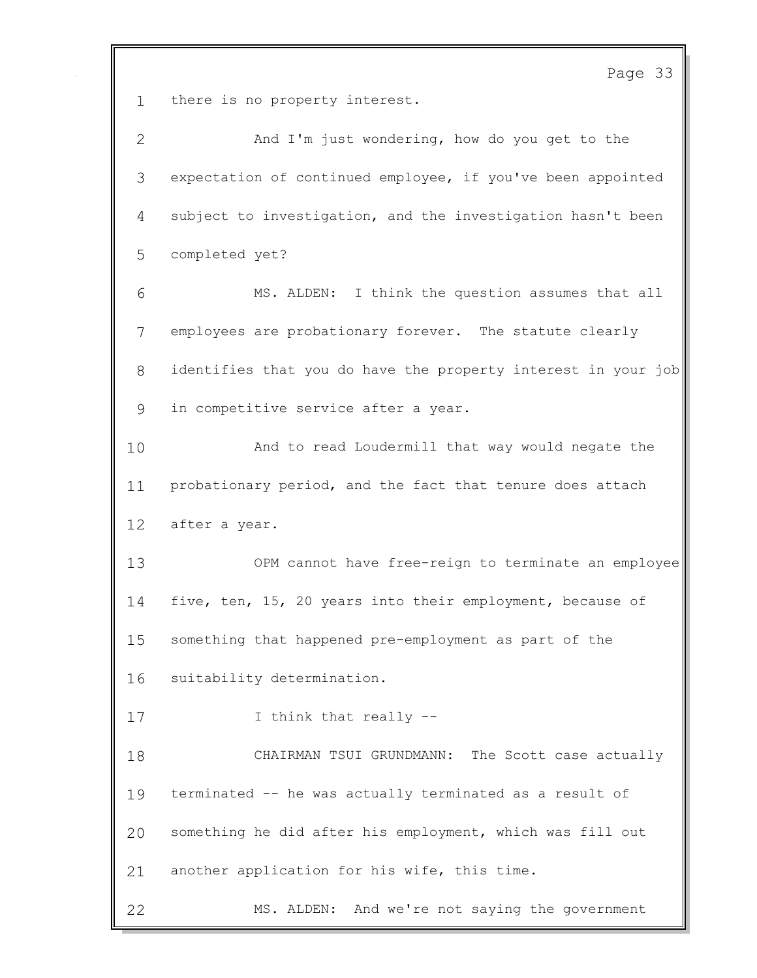Page 33 there is no property interest. And I'm just wondering, how do you get to the expectation of continued employee, if you've been appointed subject to investigation, and the investigation hasn't been completed yet? MS. ALDEN: I think the question assumes that all employees are probationary forever. The statute clearly identifies that you do have the property interest in your job in competitive service after a year. And to read Loudermill that way would negate the probationary period, and the fact that tenure does attach after a year. OPM cannot have free-reign to terminate an employee five, ten, 15, 20 years into their employment, because of something that happened pre-employment as part of the suitability determination. 17 I think that really -- CHAIRMAN TSUI GRUNDMANN: The Scott case actually terminated -- he was actually terminated as a result of something he did after his employment, which was fill out another application for his wife, this time.

MS. ALDEN: And we're not saying the government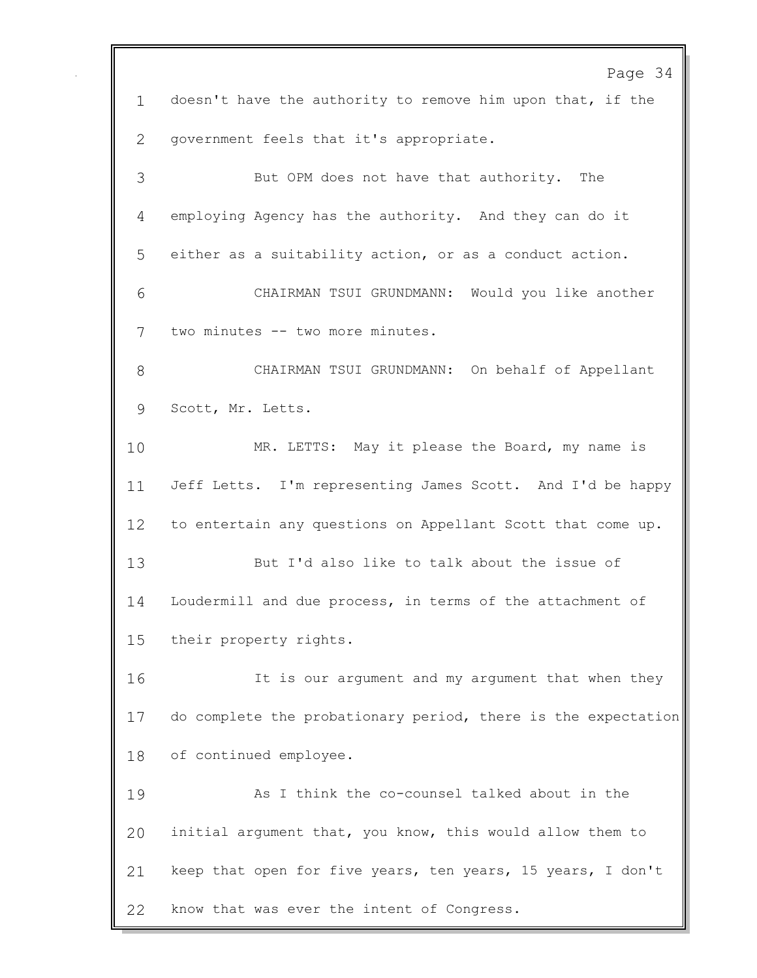Page 34 doesn't have the authority to remove him upon that, if the government feels that it's appropriate. But OPM does not have that authority. The employing Agency has the authority. And they can do it either as a suitability action, or as a conduct action. CHAIRMAN TSUI GRUNDMANN: Would you like another two minutes -- two more minutes. CHAIRMAN TSUI GRUNDMANN: On behalf of Appellant Scott, Mr. Letts. MR. LETTS: May it please the Board, my name is Jeff Letts. I'm representing James Scott. And I'd be happy to entertain any questions on Appellant Scott that come up. But I'd also like to talk about the issue of Loudermill and due process, in terms of the attachment of their property rights. 16 It is our argument and my argument that when they do complete the probationary period, there is the expectation of continued employee. As I think the co-counsel talked about in the initial argument that, you know, this would allow them to keep that open for five years, ten years, 15 years, I don't know that was ever the intent of Congress.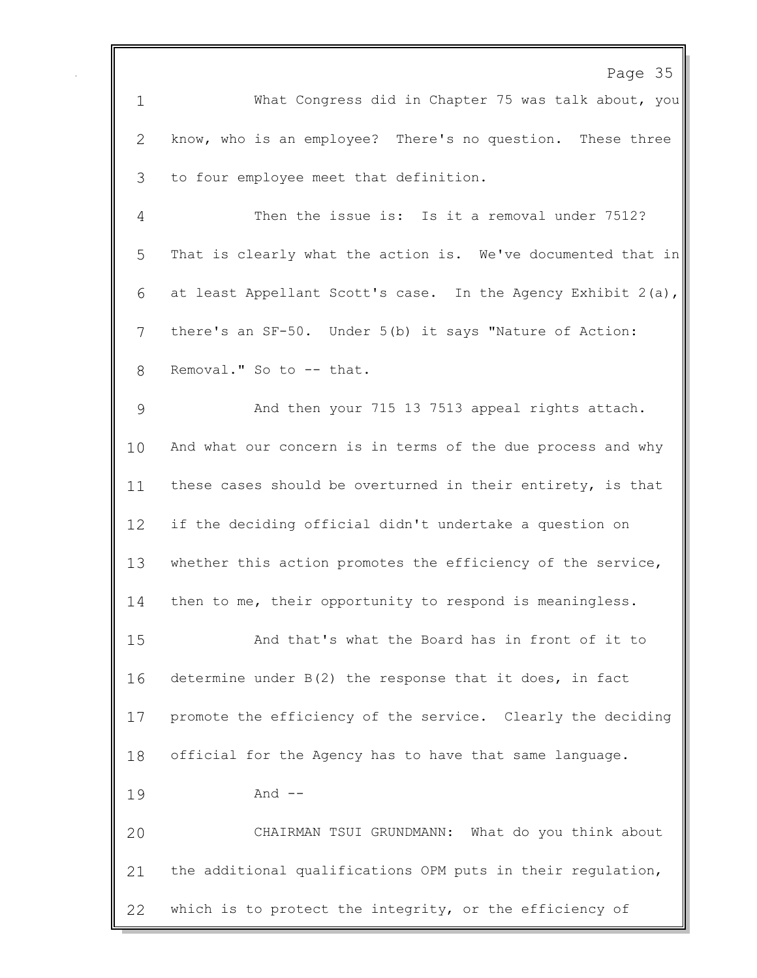Page 35 What Congress did in Chapter 75 was talk about, you know, who is an employee? There's no question. These three to four employee meet that definition. Then the issue is: Is it a removal under 7512? That is clearly what the action is. We've documented that in at least Appellant Scott's case. In the Agency Exhibit 2(a), there's an SF-50. Under 5(b) it says "Nature of Action: 8 Removal." So to -- that. And then your 715 13 7513 appeal rights attach. And what our concern is in terms of the due process and why these cases should be overturned in their entirety, is that if the deciding official didn't undertake a question on whether this action promotes the efficiency of the service, then to me, their opportunity to respond is meaningless. And that's what the Board has in front of it to determine under B(2) the response that it does, in fact promote the efficiency of the service. Clearly the deciding official for the Agency has to have that same language. And -- CHAIRMAN TSUI GRUNDMANN: What do you think about the additional qualifications OPM puts in their regulation, which is to protect the integrity, or the efficiency of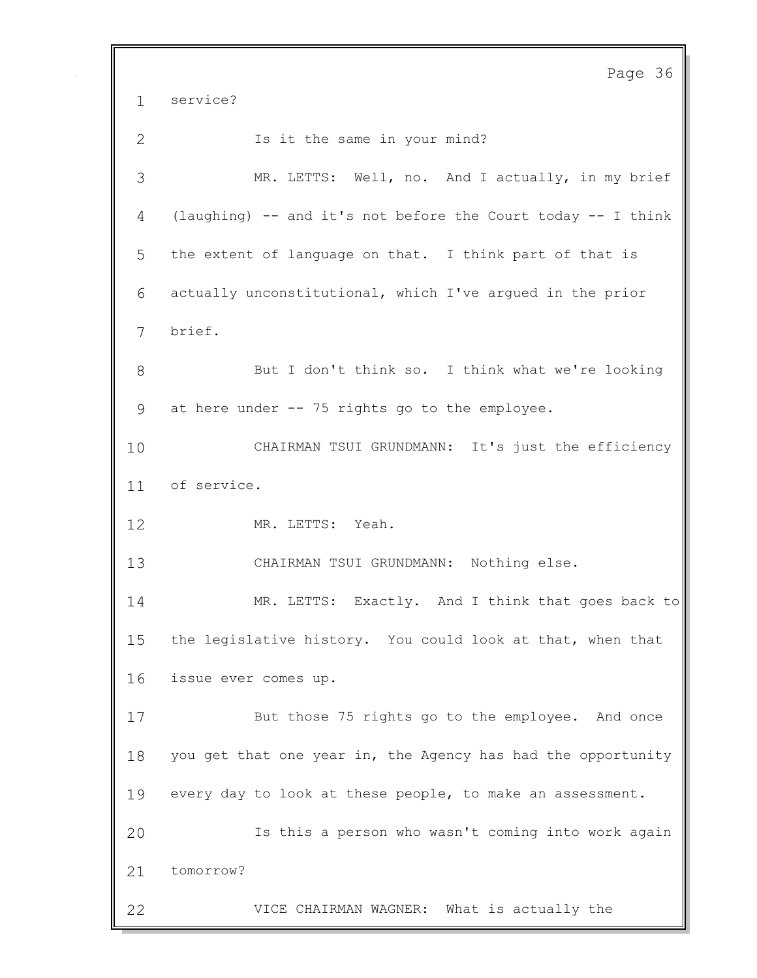Page 36 service? 2 Is it the same in your mind? MR. LETTS: Well, no. And I actually, in my brief (laughing) -- and it's not before the Court today -- I think the extent of language on that. I think part of that is actually unconstitutional, which I've argued in the prior brief. But I don't think so. I think what we're looking at here under -- 75 rights go to the employee. CHAIRMAN TSUI GRUNDMANN: It's just the efficiency of service. 12 MR. LETTS: Yeah. CHAIRMAN TSUI GRUNDMANN: Nothing else. MR. LETTS: Exactly. And I think that goes back to the legislative history. You could look at that, when that issue ever comes up. But those 75 rights go to the employee. And once you get that one year in, the Agency has had the opportunity every day to look at these people, to make an assessment. Is this a person who wasn't coming into work again tomorrow? VICE CHAIRMAN WAGNER: What is actually the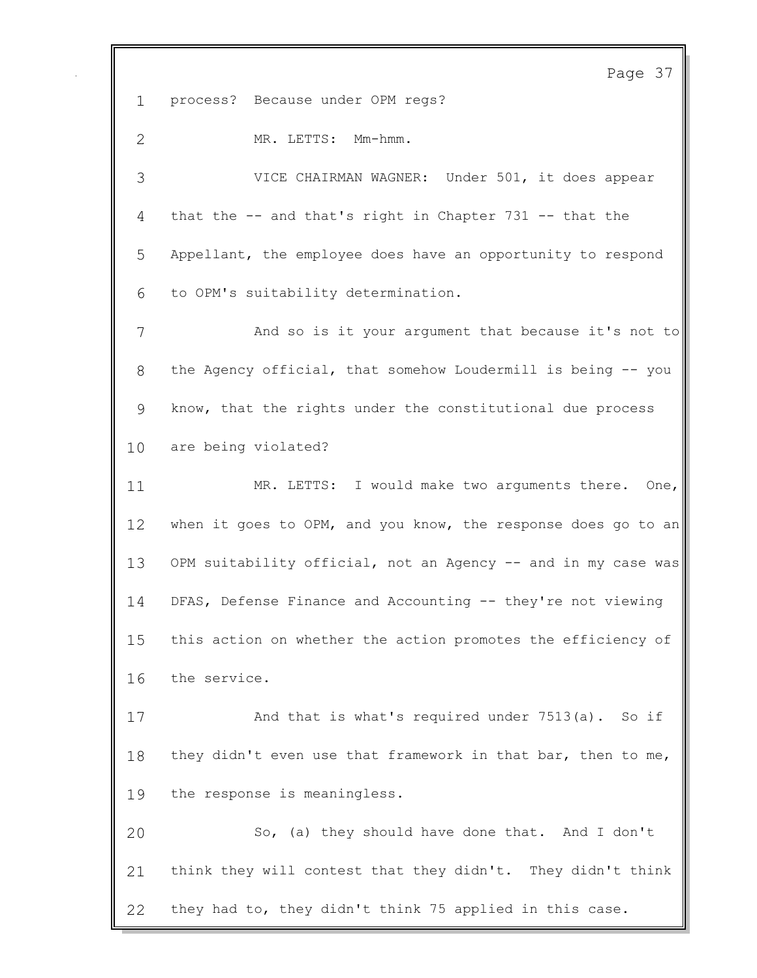Page 37 process? Because under OPM regs? 2 MR. LETTS: Mm-hmm. VICE CHAIRMAN WAGNER: Under 501, it does appear that the -- and that's right in Chapter 731 -- that the Appellant, the employee does have an opportunity to respond to OPM's suitability determination. And so is it your argument that because it's not to the Agency official, that somehow Loudermill is being -- you know, that the rights under the constitutional due process are being violated? MR. LETTS: I would make two arguments there. One, 12 when it goes to OPM, and you know, the response does go to an OPM suitability official, not an Agency -- and in my case was DFAS, Defense Finance and Accounting -- they're not viewing this action on whether the action promotes the efficiency of the service. And that is what's required under 7513(a). So if 18 they didn't even use that framework in that bar, then to me, the response is meaningless. So, (a) they should have done that. And I don't think they will contest that they didn't. They didn't think they had to, they didn't think 75 applied in this case.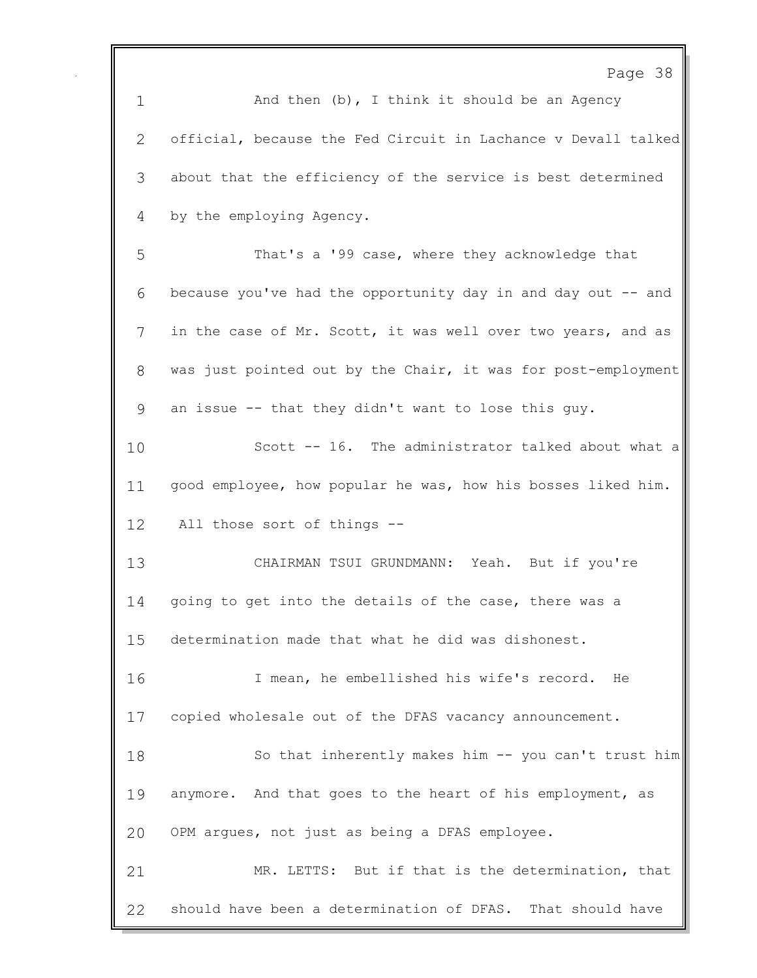Page 38 1 And then (b), I think it should be an Agency official, because the Fed Circuit in Lachance v Devall talked about that the efficiency of the service is best determined by the employing Agency. That's a '99 case, where they acknowledge that because you've had the opportunity day in and day out -- and in the case of Mr. Scott, it was well over two years, and as was just pointed out by the Chair, it was for post-employment an issue -- that they didn't want to lose this guy. Scott -- 16. The administrator talked about what a good employee, how popular he was, how his bosses liked him. All those sort of things -- CHAIRMAN TSUI GRUNDMANN: Yeah. But if you're 14 going to get into the details of the case, there was a determination made that what he did was dishonest. I mean, he embellished his wife's record. He copied wholesale out of the DFAS vacancy announcement. So that inherently makes him -- you can't trust him anymore. And that goes to the heart of his employment, as OPM argues, not just as being a DFAS employee. MR. LETTS: But if that is the determination, that should have been a determination of DFAS. That should have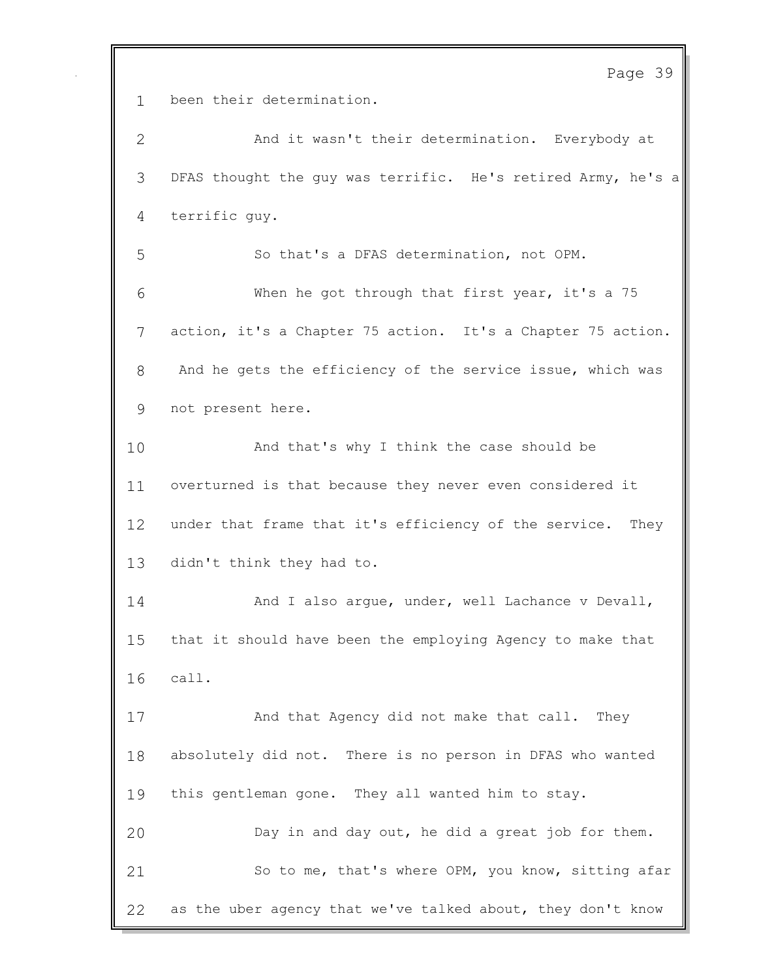Page 39

been their determination.

 And it wasn't their determination. Everybody at DFAS thought the guy was terrific. He's retired Army, he's a terrific guy. So that's a DFAS determination, not OPM. When he got through that first year, it's a 75 action, it's a Chapter 75 action. It's a Chapter 75 action. And he gets the efficiency of the service issue, which was not present here. 10 And that's why I think the case should be overturned is that because they never even considered it under that frame that it's efficiency of the service. They didn't think they had to. 14 And I also arque, under, well Lachance v Devall, that it should have been the employing Agency to make that call. And that Agency did not make that call. They absolutely did not. There is no person in DFAS who wanted this gentleman gone. They all wanted him to stay. Day in and day out, he did a great job for them. 21 So to me, that's where OPM, you know, sitting afar as the uber agency that we've talked about, they don't know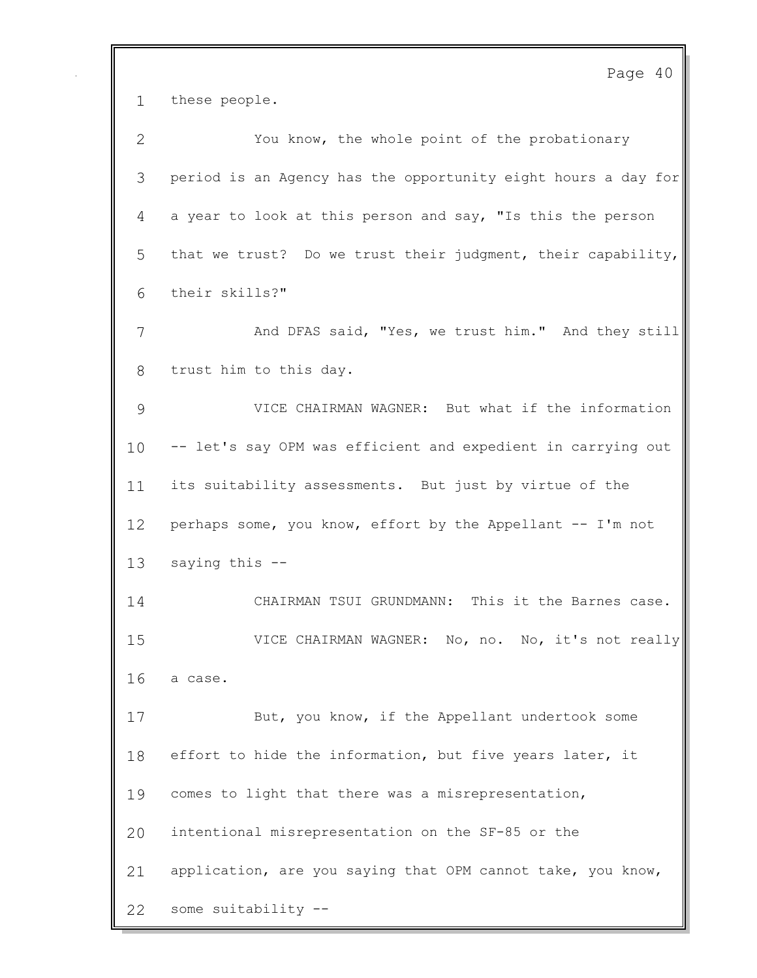Page 40 these people. You know, the whole point of the probationary period is an Agency has the opportunity eight hours a day for a year to look at this person and say, "Is this the person that we trust? Do we trust their judgment, their capability, their skills?" 7 And DFAS said, "Yes, we trust him." And they still trust him to this day. VICE CHAIRMAN WAGNER: But what if the information -- let's say OPM was efficient and expedient in carrying out its suitability assessments. But just by virtue of the perhaps some, you know, effort by the Appellant -- I'm not saying this -- CHAIRMAN TSUI GRUNDMANN: This it the Barnes case. VICE CHAIRMAN WAGNER: No, no. No, it's not really a case. But, you know, if the Appellant undertook some 18 effort to hide the information, but five years later, it comes to light that there was a misrepresentation, intentional misrepresentation on the SF-85 or the application, are you saying that OPM cannot take, you know, some suitability --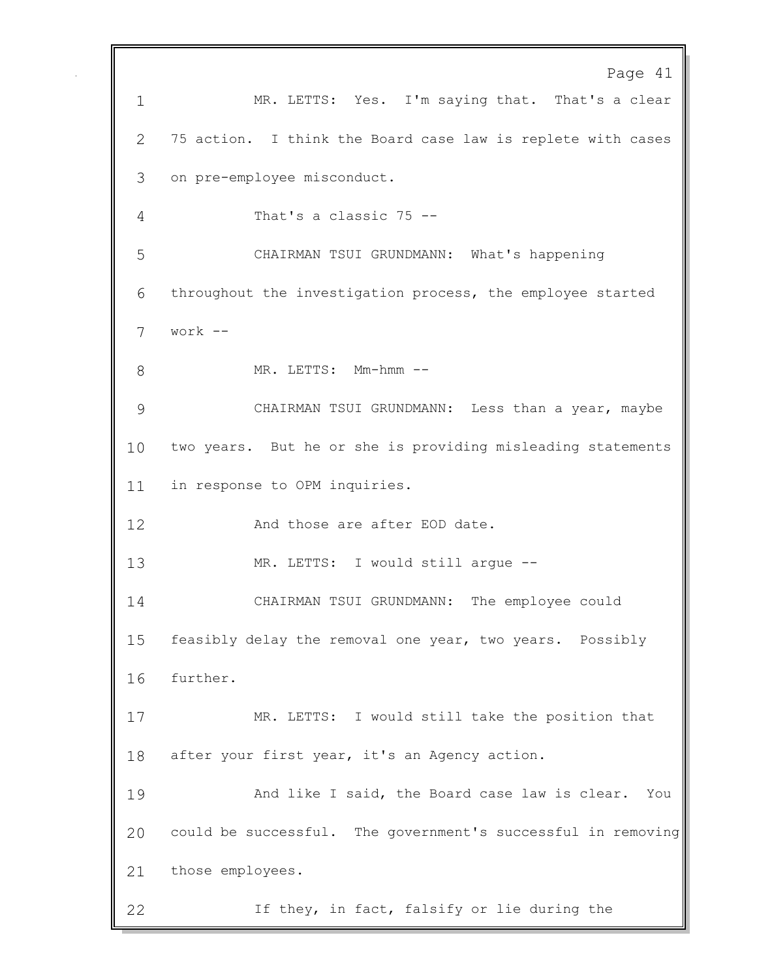Page 41 MR. LETTS: Yes. I'm saying that. That's a clear 75 action. I think the Board case law is replete with cases on pre-employee misconduct. That's a classic 75 -- CHAIRMAN TSUI GRUNDMANN: What's happening throughout the investigation process, the employee started work -- 8 MR. LETTS: Mm-hmm -- CHAIRMAN TSUI GRUNDMANN: Less than a year, maybe two years. But he or she is providing misleading statements in response to OPM inquiries. 12 And those are after EOD date. MR. LETTS: I would still argue -- CHAIRMAN TSUI GRUNDMANN: The employee could feasibly delay the removal one year, two years. Possibly further. MR. LETTS: I would still take the position that 18 after your first year, it's an Agency action. 19 And like I said, the Board case law is clear. You could be successful. The government's successful in removing those employees. If they, in fact, falsify or lie during the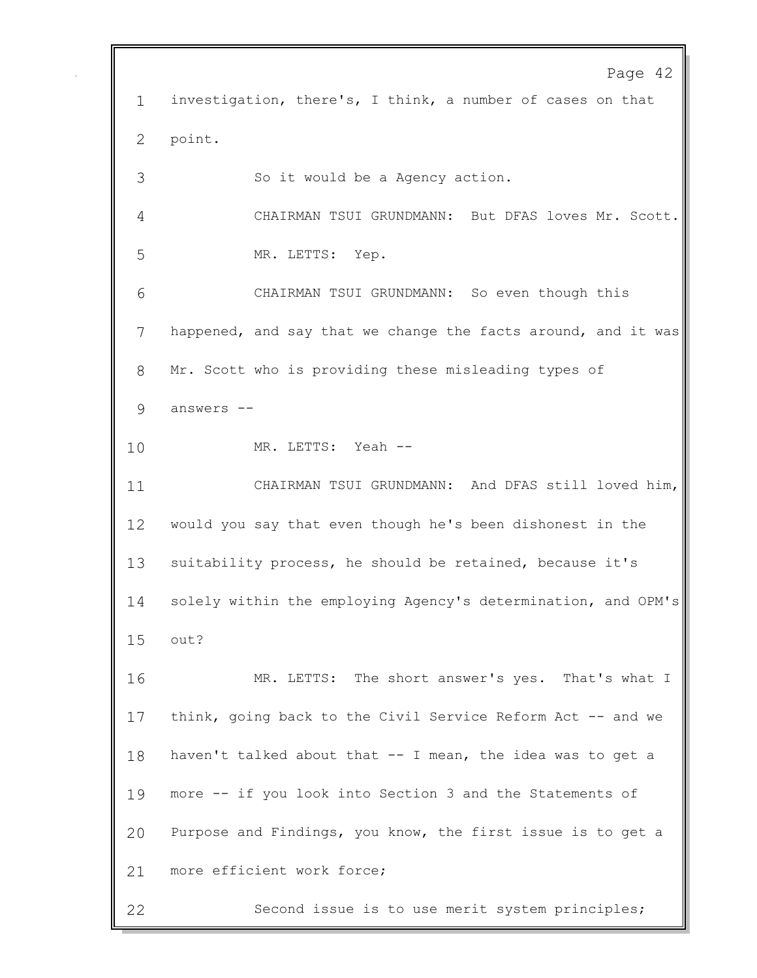Page 42 investigation, there's, I think, a number of cases on that point. So it would be a Agency action. CHAIRMAN TSUI GRUNDMANN: But DFAS loves Mr. Scott. MR. LETTS: Yep. CHAIRMAN TSUI GRUNDMANN: So even though this happened, and say that we change the facts around, and it was Mr. Scott who is providing these misleading types of answers -- MR. LETTS: Yeah -- CHAIRMAN TSUI GRUNDMANN: And DFAS still loved him, would you say that even though he's been dishonest in the suitability process, he should be retained, because it's solely within the employing Agency's determination, and OPM's out? MR. LETTS: The short answer's yes. That's what I 17 think, going back to the Civil Service Reform Act -- and we haven't talked about that -- I mean, the idea was to get a more -- if you look into Section 3 and the Statements of Purpose and Findings, you know, the first issue is to get a 21 more efficient work force; Second issue is to use merit system principles;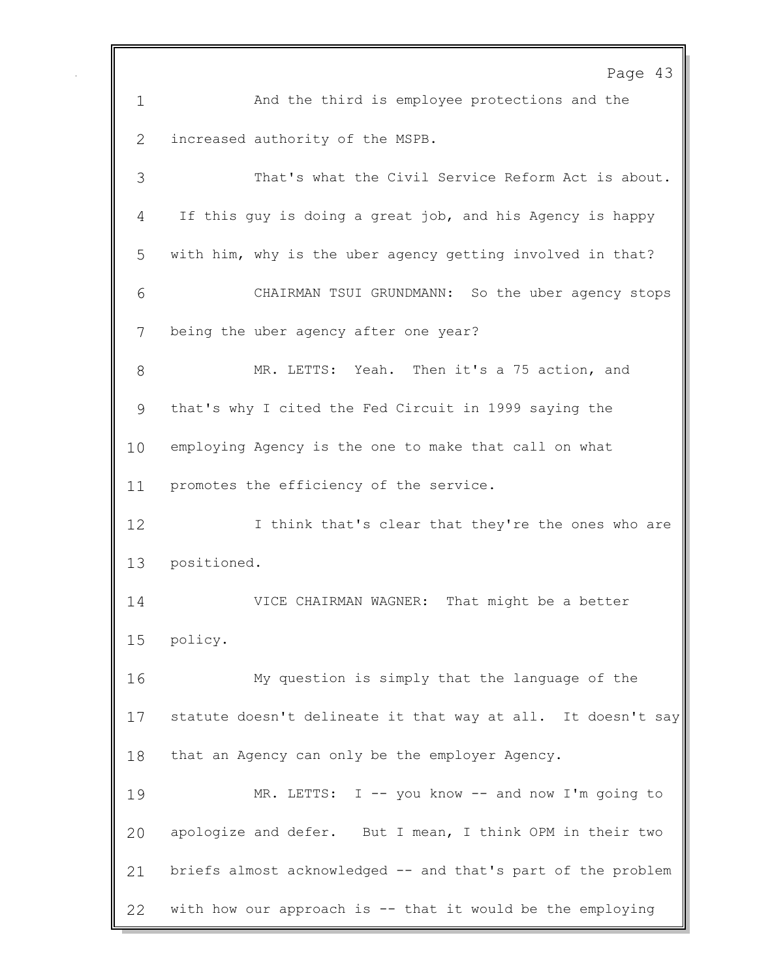|             | Page 43                                                      |
|-------------|--------------------------------------------------------------|
| $\mathbf 1$ | And the third is employee protections and the                |
| 2           | increased authority of the MSPB.                             |
| 3           | That's what the Civil Service Reform Act is about.           |
| 4           | If this guy is doing a great job, and his Agency is happy    |
| 5           | with him, why is the uber agency getting involved in that?   |
| 6           | CHAIRMAN TSUI GRUNDMANN: So the uber agency stops            |
| 7           | being the uber agency after one year?                        |
| 8           | MR. LETTS: Yeah. Then it's a 75 action, and                  |
| 9           | that's why I cited the Fed Circuit in 1999 saying the        |
| 10          | employing Agency is the one to make that call on what        |
| 11          | promotes the efficiency of the service.                      |
| 12          | I think that's clear that they're the ones who are           |
| 13          | positioned.                                                  |
| 14          | That might be a better<br>VICE CHAIRMAN WAGNER:              |
|             | 15 policy.                                                   |
| 16          | My question is simply that the language of the               |
| 17          | statute doesn't delineate it that way at all. It doesn't say |
| 18          | that an Agency can only be the employer Agency.              |
| 19          | MR. LETTS: I -- you know -- and now I'm going to             |
| 20          | apologize and defer. But I mean, I think OPM in their two    |
| 21          | briefs almost acknowledged -- and that's part of the problem |
| 22          | with how our approach is -- that it would be the employing   |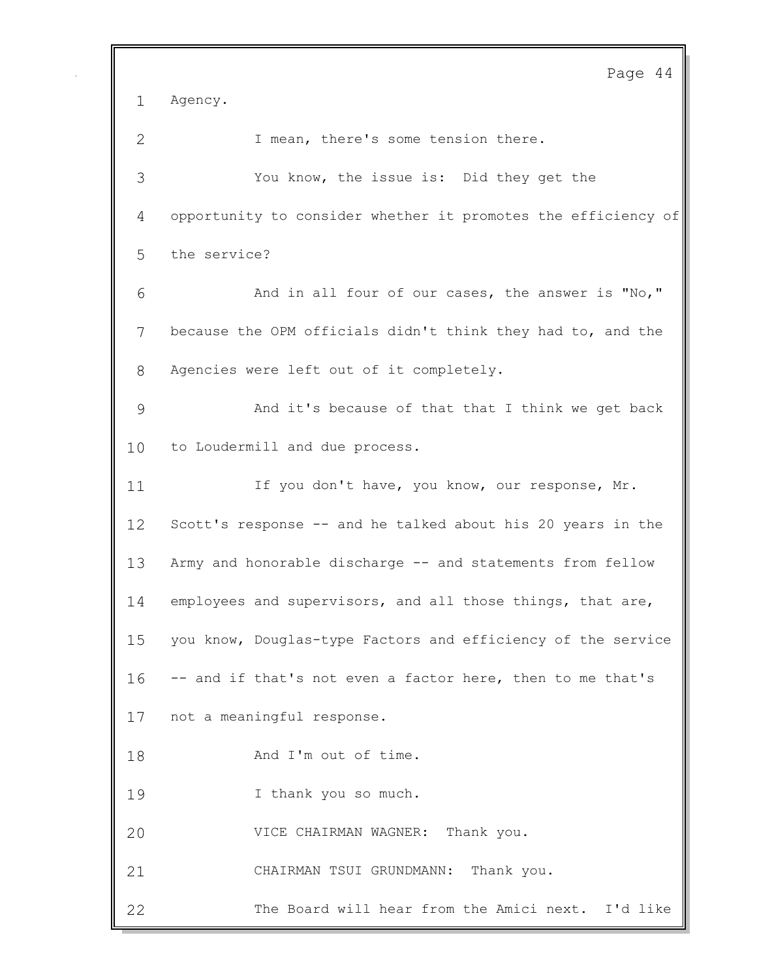Page 44 Agency. 2 I mean, there's some tension there. You know, the issue is: Did they get the opportunity to consider whether it promotes the efficiency of the service? And in all four of our cases, the answer is "No," because the OPM officials didn't think they had to, and the Agencies were left out of it completely. And it's because of that that I think we get back to Loudermill and due process. 11 If you don't have, you know, our response, Mr. Scott's response -- and he talked about his 20 years in the Army and honorable discharge -- and statements from fellow 14 employees and supervisors, and all those things, that are, you know, Douglas-type Factors and efficiency of the service -- and if that's not even a factor here, then to me that's not a meaningful response. 18 And I'm out of time. I thank you so much. VICE CHAIRMAN WAGNER: Thank you. CHAIRMAN TSUI GRUNDMANN: Thank you. The Board will hear from the Amici next. I'd like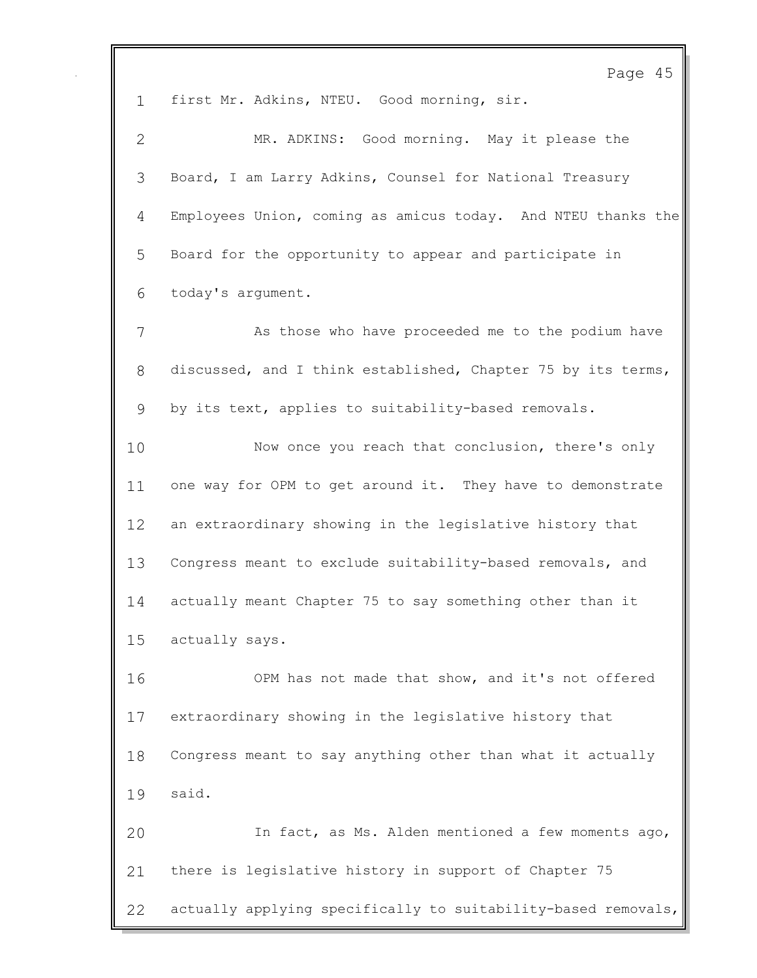Page 45 first Mr. Adkins, NTEU. Good morning, sir. MR. ADKINS: Good morning. May it please the Board, I am Larry Adkins, Counsel for National Treasury Employees Union, coming as amicus today. And NTEU thanks the Board for the opportunity to appear and participate in today's argument. As those who have proceeded me to the podium have discussed, and I think established, Chapter 75 by its terms, by its text, applies to suitability-based removals. Now once you reach that conclusion, there's only 11 one way for OPM to get around it. They have to demonstrate an extraordinary showing in the legislative history that Congress meant to exclude suitability-based removals, and actually meant Chapter 75 to say something other than it actually says. OPM has not made that show, and it's not offered extraordinary showing in the legislative history that Congress meant to say anything other than what it actually said. In fact, as Ms. Alden mentioned a few moments ago, there is legislative history in support of Chapter 75 actually applying specifically to suitability-based removals,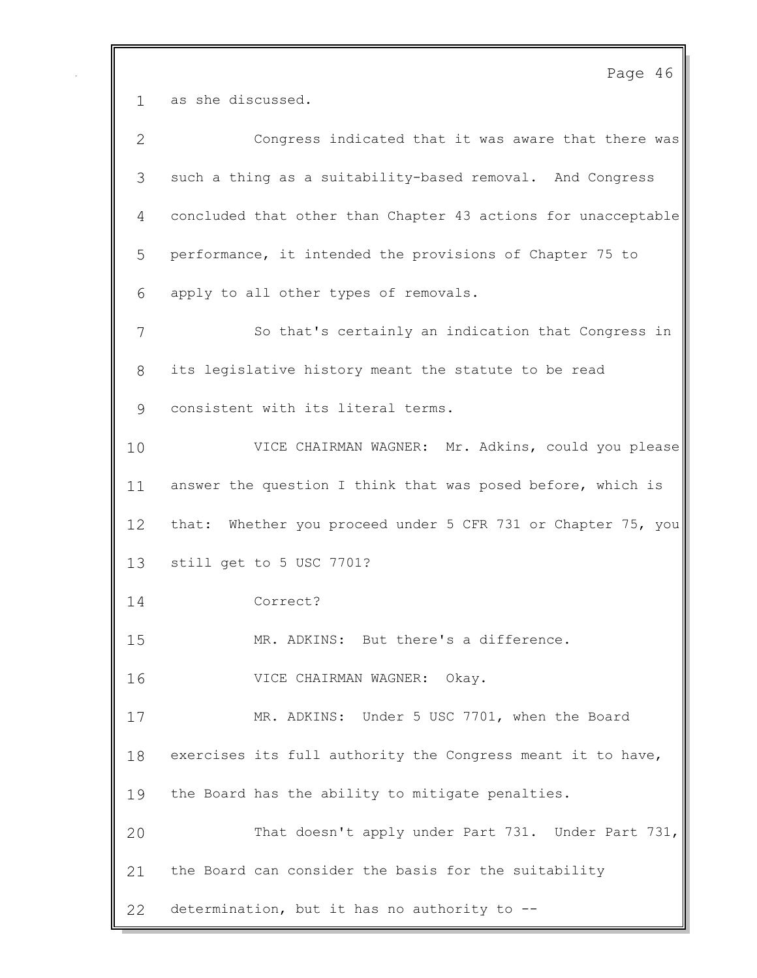Page 46 as she discussed. Congress indicated that it was aware that there was such a thing as a suitability-based removal. And Congress concluded that other than Chapter 43 actions for unacceptable performance, it intended the provisions of Chapter 75 to apply to all other types of removals. So that's certainly an indication that Congress in its legislative history meant the statute to be read consistent with its literal terms. VICE CHAIRMAN WAGNER: Mr. Adkins, could you please answer the question I think that was posed before, which is that: Whether you proceed under 5 CFR 731 or Chapter 75, you still get to 5 USC 7701? Correct? MR. ADKINS: But there's a difference. VICE CHAIRMAN WAGNER: Okay. MR. ADKINS: Under 5 USC 7701, when the Board exercises its full authority the Congress meant it to have, the Board has the ability to mitigate penalties. That doesn't apply under Part 731. Under Part 731, the Board can consider the basis for the suitability determination, but it has no authority to --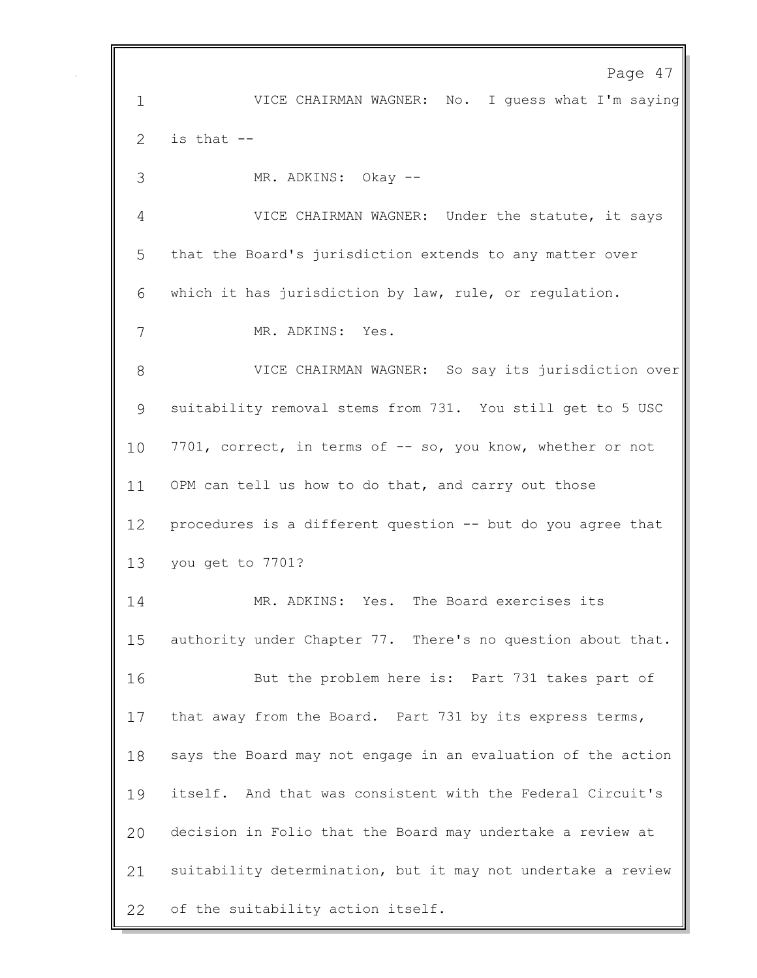Page 47 VICE CHAIRMAN WAGNER: No. I guess what I'm saying is that  $-$  MR. ADKINS: Okay -- VICE CHAIRMAN WAGNER: Under the statute, it says that the Board's jurisdiction extends to any matter over which it has jurisdiction by law, rule, or regulation. MR. ADKINS: Yes. VICE CHAIRMAN WAGNER: So say its jurisdiction over suitability removal stems from 731. You still get to 5 USC 10 7701, correct, in terms of -- so, you know, whether or not OPM can tell us how to do that, and carry out those procedures is a different question -- but do you agree that you get to 7701? MR. ADKINS: Yes. The Board exercises its authority under Chapter 77. There's no question about that. But the problem here is: Part 731 takes part of that away from the Board. Part 731 by its express terms, says the Board may not engage in an evaluation of the action itself. And that was consistent with the Federal Circuit's decision in Folio that the Board may undertake a review at suitability determination, but it may not undertake a review of the suitability action itself.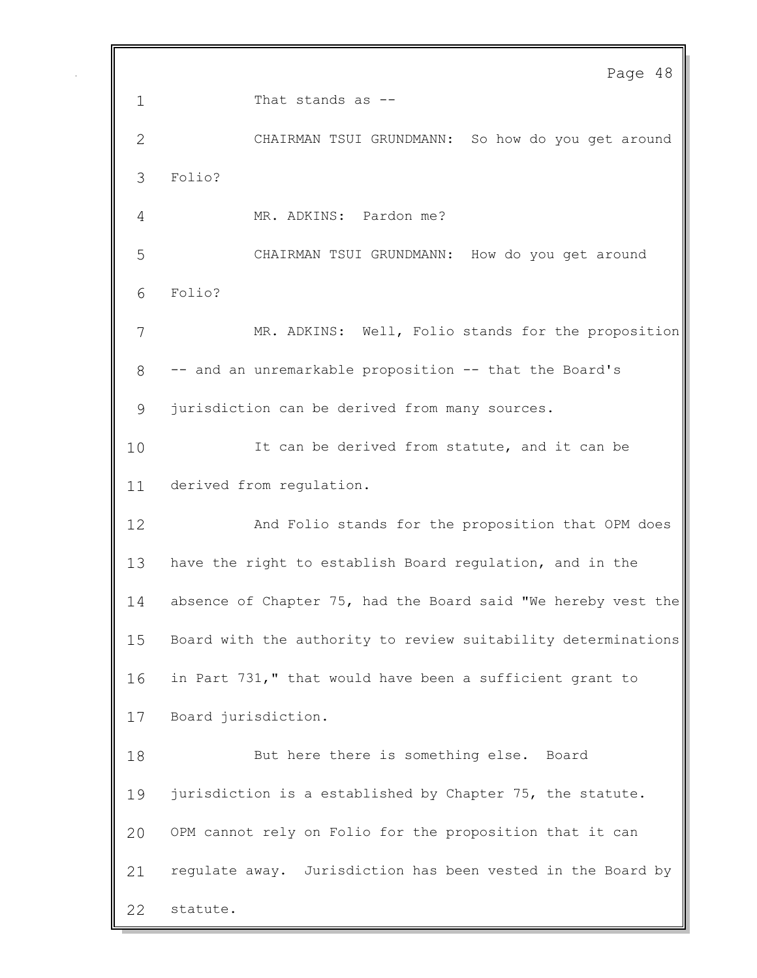Page 48 1 That stands as -- CHAIRMAN TSUI GRUNDMANN: So how do you get around Folio? MR. ADKINS: Pardon me? CHAIRMAN TSUI GRUNDMANN: How do you get around Folio? MR. ADKINS: Well, Folio stands for the proposition -- and an unremarkable proposition -- that the Board's jurisdiction can be derived from many sources. It can be derived from statute, and it can be derived from regulation. And Folio stands for the proposition that OPM does have the right to establish Board regulation, and in the absence of Chapter 75, had the Board said "We hereby vest the Board with the authority to review suitability determinations in Part 731," that would have been a sufficient grant to Board jurisdiction. But here there is something else. Board jurisdiction is a established by Chapter 75, the statute. OPM cannot rely on Folio for the proposition that it can regulate away. Jurisdiction has been vested in the Board by statute.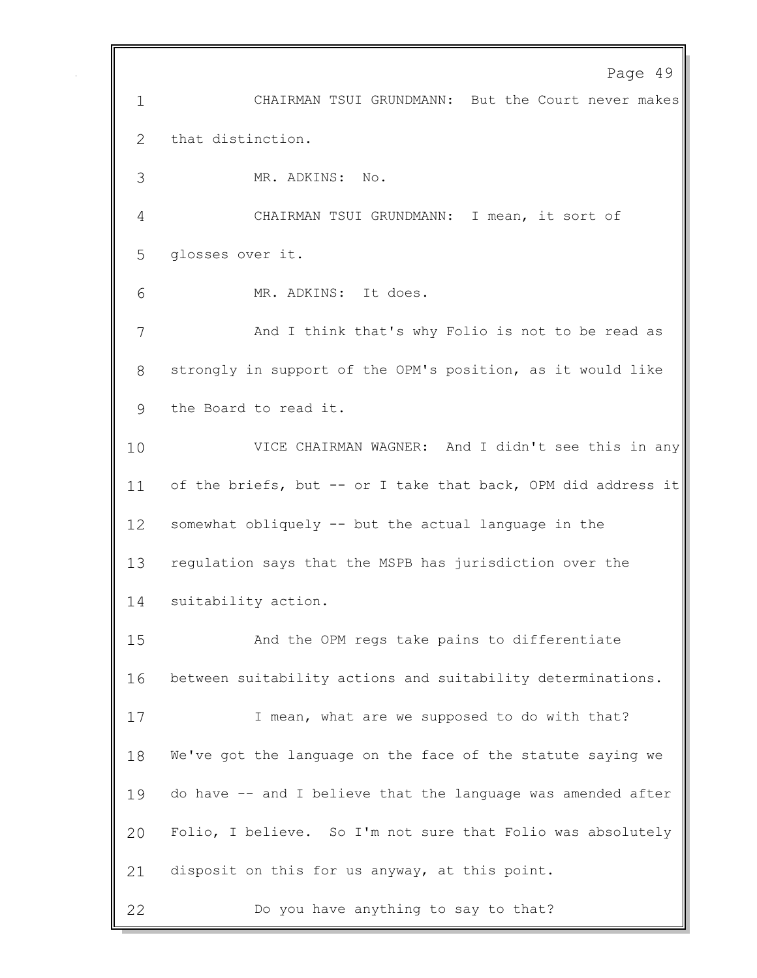Page 49 CHAIRMAN TSUI GRUNDMANN: But the Court never makes that distinction. MR. ADKINS: No. CHAIRMAN TSUI GRUNDMANN: I mean, it sort of glosses over it. MR. ADKINS: It does. And I think that's why Folio is not to be read as strongly in support of the OPM's position, as it would like the Board to read it. VICE CHAIRMAN WAGNER: And I didn't see this in any 11 of the briefs, but -- or I take that back, OPM did address it somewhat obliquely -- but the actual language in the regulation says that the MSPB has jurisdiction over the suitability action. And the OPM regs take pains to differentiate between suitability actions and suitability determinations. 17 I mean, what are we supposed to do with that? We've got the language on the face of the statute saying we do have -- and I believe that the language was amended after Folio, I believe. So I'm not sure that Folio was absolutely disposit on this for us anyway, at this point. Do you have anything to say to that?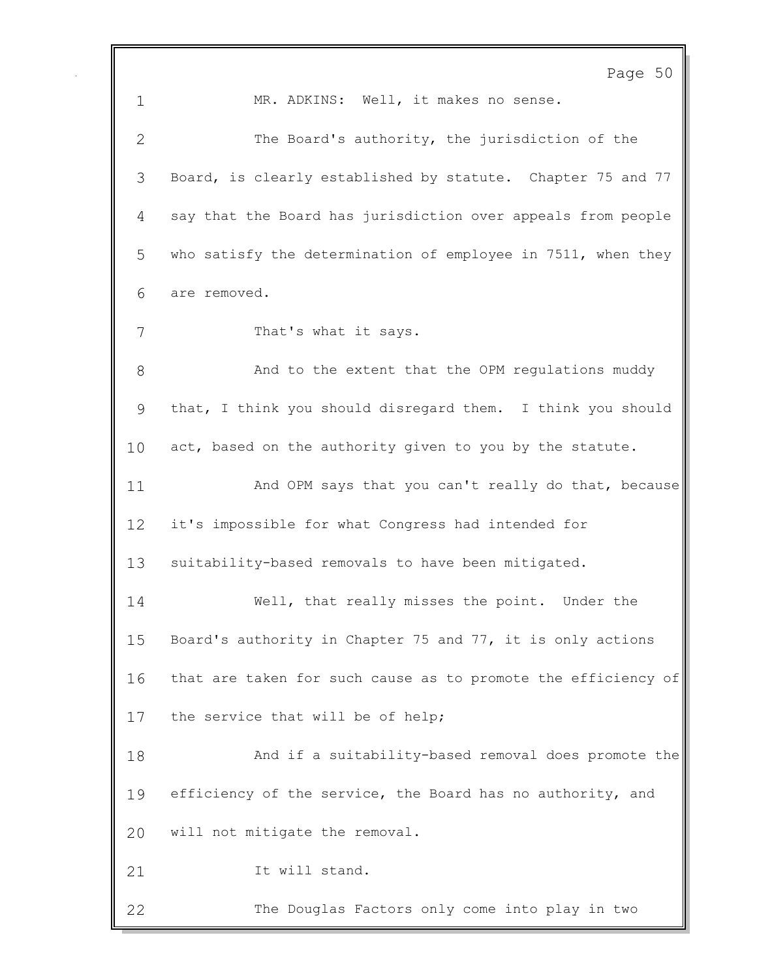|              | Page 50                                                       |
|--------------|---------------------------------------------------------------|
| $\mathbf 1$  | MR. ADKINS: Well, it makes no sense.                          |
| $\mathbf{2}$ | The Board's authority, the jurisdiction of the                |
| 3            | Board, is clearly established by statute. Chapter 75 and 77   |
| 4            | say that the Board has jurisdiction over appeals from people  |
| 5            | who satisfy the determination of employee in 7511, when they  |
| 6            | are removed.                                                  |
| 7            | That's what it says.                                          |
| 8            | And to the extent that the OPM regulations muddy              |
| 9            | that, I think you should disregard them. I think you should   |
| 10           | act, based on the authority given to you by the statute.      |
| 11           | And OPM says that you can't really do that, because           |
| 12           | it's impossible for what Congress had intended for            |
| 13           | suitability-based removals to have been mitigated.            |
| 14           | Well, that really misses the point. Under the                 |
| 15           | Board's authority in Chapter 75 and 77, it is only actions    |
| 16           | that are taken for such cause as to promote the efficiency of |
| 17           | the service that will be of help;                             |
| 18           | And if a suitability-based removal does promote the           |
| 19           | efficiency of the service, the Board has no authority, and    |
| 20           | will not mitigate the removal.                                |
| 21           | It will stand.                                                |
| 22           | The Douglas Factors only come into play in two                |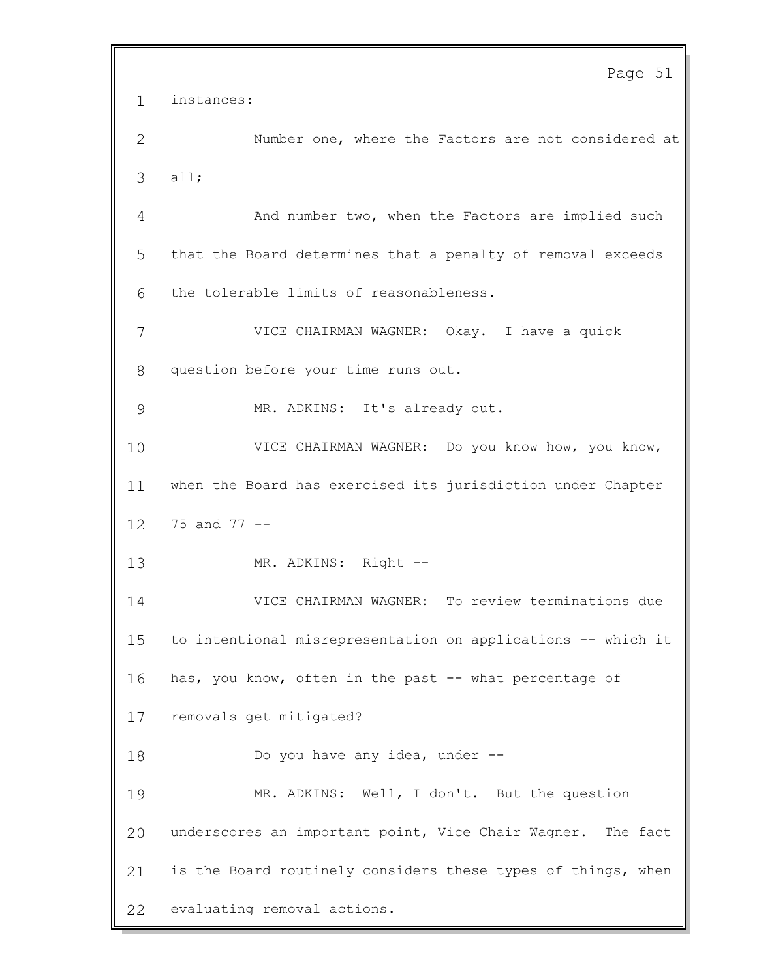Page 51 instances: Number one, where the Factors are not considered at all; And number two, when the Factors are implied such that the Board determines that a penalty of removal exceeds the tolerable limits of reasonableness. VICE CHAIRMAN WAGNER: Okay. I have a quick question before your time runs out. MR. ADKINS: It's already out. 10 VICE CHAIRMAN WAGNER: Do you know how, you know, when the Board has exercised its jurisdiction under Chapter 75 and 77 -- MR. ADKINS: Right -- VICE CHAIRMAN WAGNER: To review terminations due to intentional misrepresentation on applications -- which it has, you know, often in the past -- what percentage of removals get mitigated? 18 Do you have any idea, under -- MR. ADKINS: Well, I don't. But the question underscores an important point, Vice Chair Wagner. The fact is the Board routinely considers these types of things, when evaluating removal actions.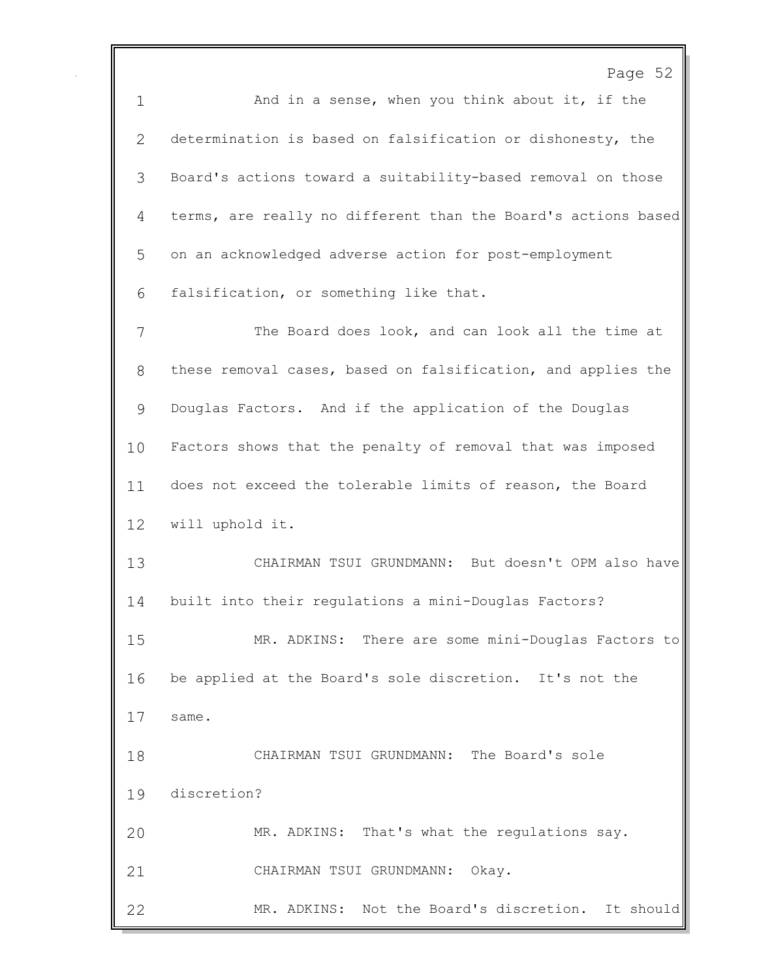Page 52 1 And in a sense, when you think about it, if the determination is based on falsification or dishonesty, the Board's actions toward a suitability-based removal on those terms, are really no different than the Board's actions based on an acknowledged adverse action for post-employment falsification, or something like that. The Board does look, and can look all the time at these removal cases, based on falsification, and applies the Douglas Factors. And if the application of the Douglas Factors shows that the penalty of removal that was imposed does not exceed the tolerable limits of reason, the Board will uphold it. CHAIRMAN TSUI GRUNDMANN: But doesn't OPM also have built into their regulations a mini-Douglas Factors? MR. ADKINS: There are some mini-Douglas Factors to be applied at the Board's sole discretion. It's not the same. CHAIRMAN TSUI GRUNDMANN: The Board's sole discretion? MR. ADKINS: That's what the regulations say. CHAIRMAN TSUI GRUNDMANN: Okay. MR. ADKINS: Not the Board's discretion. It should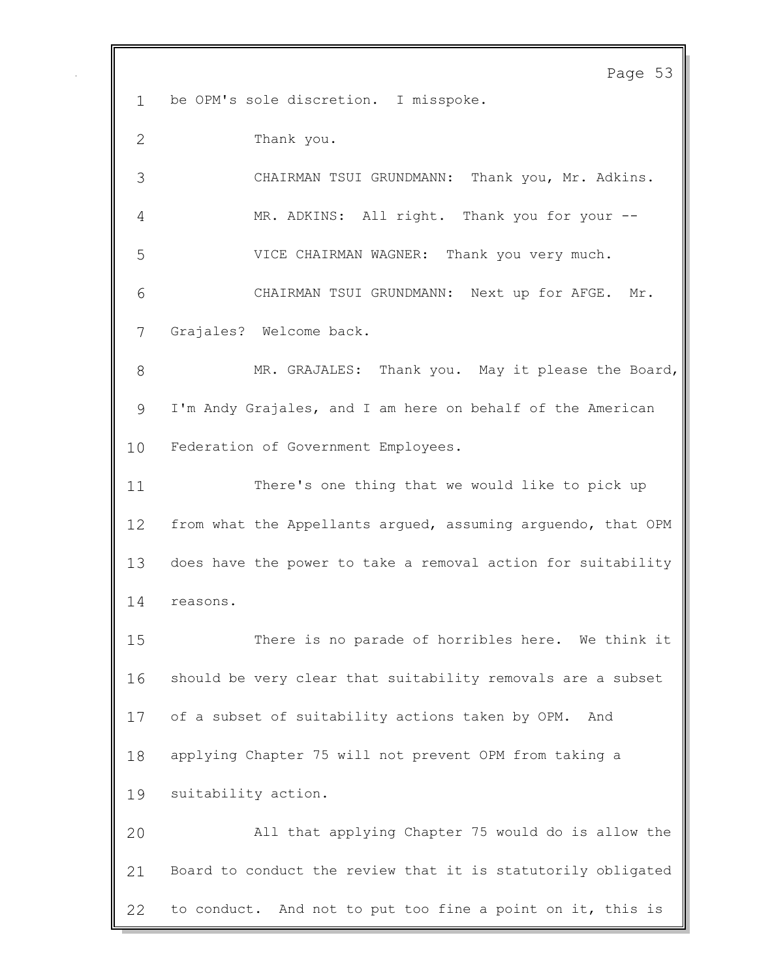Page 53 be OPM's sole discretion. I misspoke. Thank you. CHAIRMAN TSUI GRUNDMANN: Thank you, Mr. Adkins. MR. ADKINS: All right. Thank you for your -- VICE CHAIRMAN WAGNER: Thank you very much. CHAIRMAN TSUI GRUNDMANN: Next up for AFGE. Mr. Grajales? Welcome back. 8 MR. GRAJALES: Thank you. May it please the Board, I'm Andy Grajales, and I am here on behalf of the American Federation of Government Employees. There's one thing that we would like to pick up from what the Appellants argued, assuming arguendo, that OPM does have the power to take a removal action for suitability reasons. There is no parade of horribles here. We think it should be very clear that suitability removals are a subset of a subset of suitability actions taken by OPM. And applying Chapter 75 will not prevent OPM from taking a suitability action. All that applying Chapter 75 would do is allow the Board to conduct the review that it is statutorily obligated to conduct. And not to put too fine a point on it, this is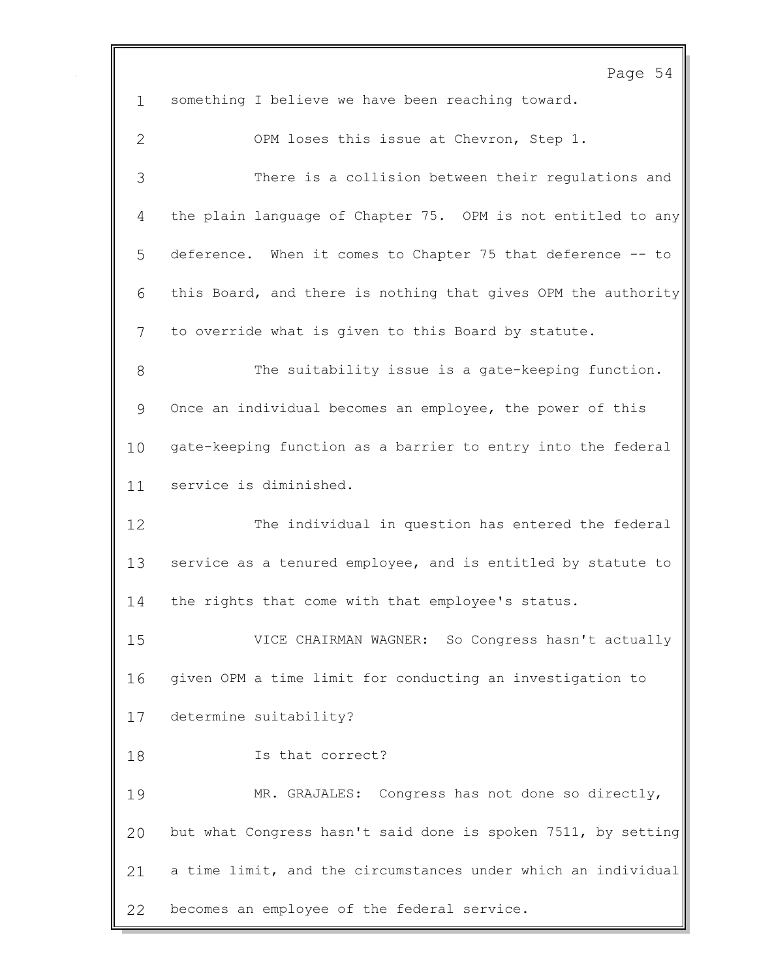Page 54 something I believe we have been reaching toward. OPM loses this issue at Chevron, Step 1. There is a collision between their regulations and the plain language of Chapter 75. OPM is not entitled to any deference. When it comes to Chapter 75 that deference -- to this Board, and there is nothing that gives OPM the authority to override what is given to this Board by statute. The suitability issue is a gate-keeping function. Once an individual becomes an employee, the power of this gate-keeping function as a barrier to entry into the federal service is diminished. The individual in question has entered the federal service as a tenured employee, and is entitled by statute to the rights that come with that employee's status. VICE CHAIRMAN WAGNER: So Congress hasn't actually given OPM a time limit for conducting an investigation to determine suitability? Is that correct? MR. GRAJALES: Congress has not done so directly, but what Congress hasn't said done is spoken 7511, by setting a time limit, and the circumstances under which an individual becomes an employee of the federal service.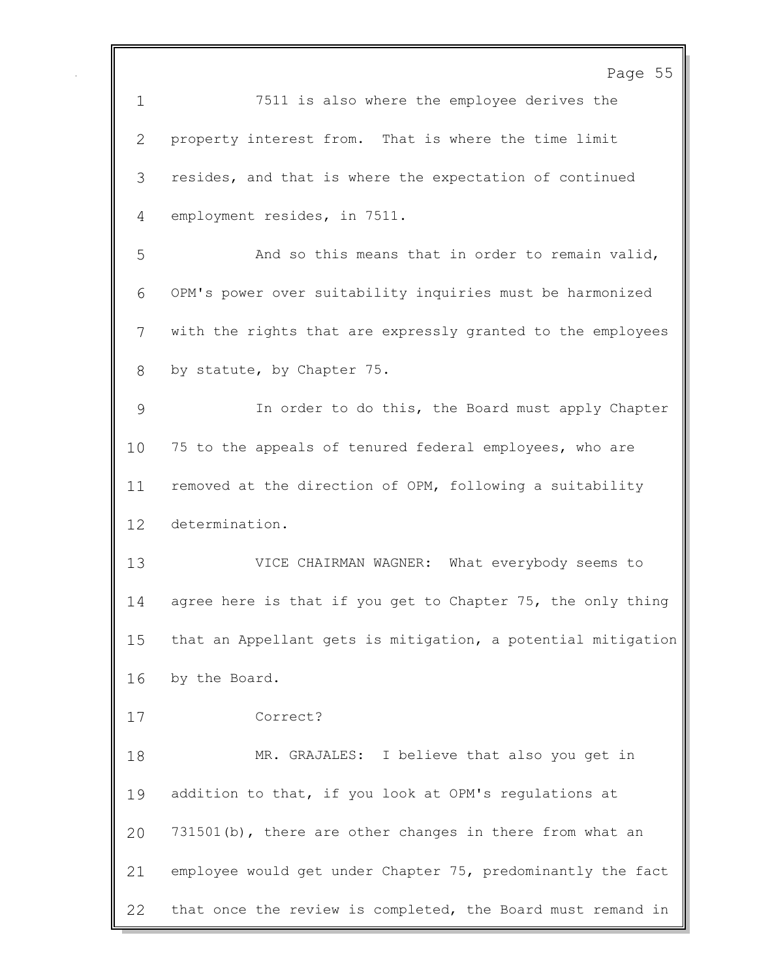Page 55 7511 is also where the employee derives the property interest from. That is where the time limit resides, and that is where the expectation of continued employment resides, in 7511. And so this means that in order to remain valid, OPM's power over suitability inquiries must be harmonized with the rights that are expressly granted to the employees by statute, by Chapter 75. In order to do this, the Board must apply Chapter 75 to the appeals of tenured federal employees, who are removed at the direction of OPM, following a suitability determination. VICE CHAIRMAN WAGNER: What everybody seems to agree here is that if you get to Chapter 75, the only thing that an Appellant gets is mitigation, a potential mitigation by the Board. Correct? MR. GRAJALES: I believe that also you get in addition to that, if you look at OPM's regulations at 731501(b), there are other changes in there from what an employee would get under Chapter 75, predominantly the fact that once the review is completed, the Board must remand in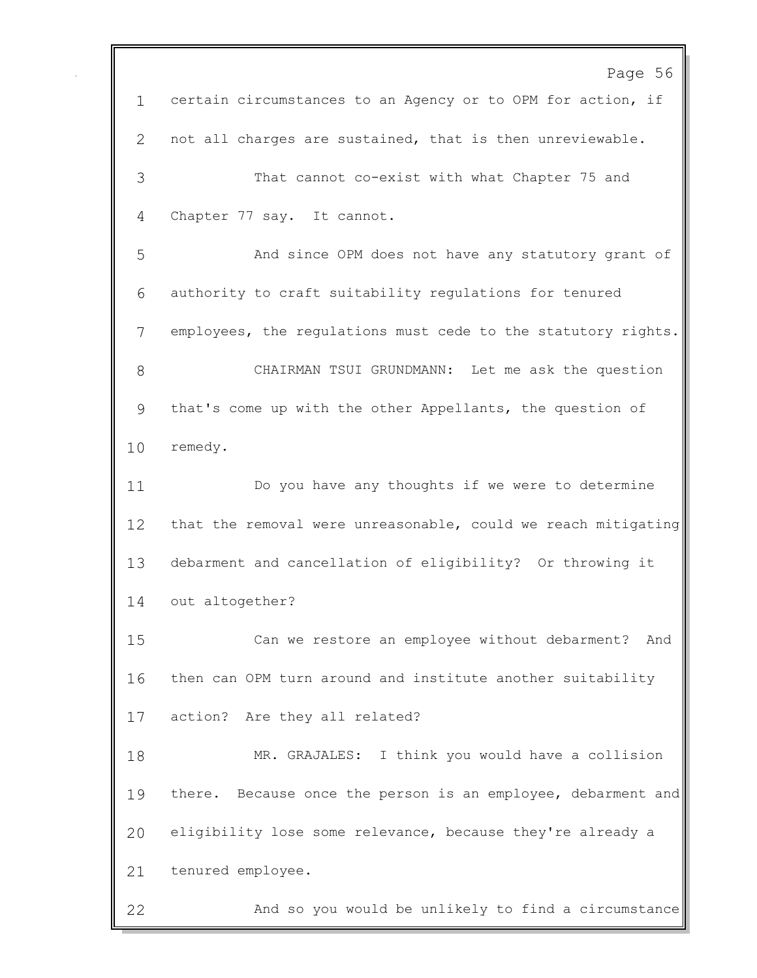Page 56 certain circumstances to an Agency or to OPM for action, if not all charges are sustained, that is then unreviewable. That cannot co-exist with what Chapter 75 and Chapter 77 say. It cannot. And since OPM does not have any statutory grant of authority to craft suitability regulations for tenured employees, the regulations must cede to the statutory rights. CHAIRMAN TSUI GRUNDMANN: Let me ask the question that's come up with the other Appellants, the question of remedy. Do you have any thoughts if we were to determine that the removal were unreasonable, could we reach mitigating debarment and cancellation of eligibility? Or throwing it out altogether? Can we restore an employee without debarment? And then can OPM turn around and institute another suitability action? Are they all related? MR. GRAJALES: I think you would have a collision 19 there. Because once the person is an employee, debarment and eligibility lose some relevance, because they're already a tenured employee. And so you would be unlikely to find a circumstance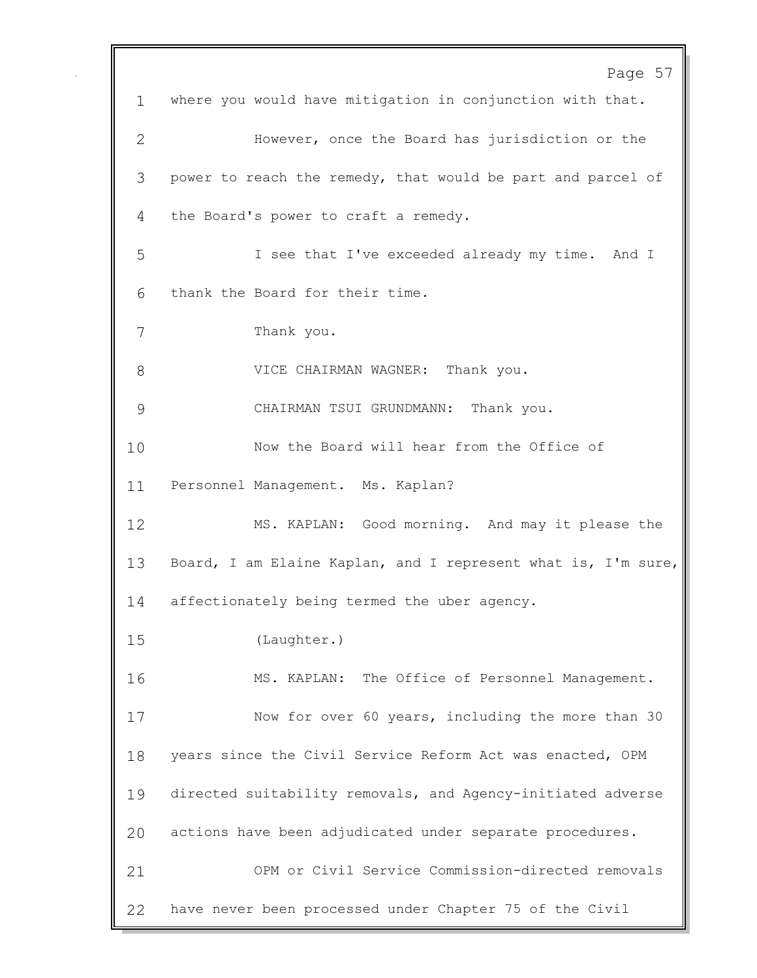Page 57 where you would have mitigation in conjunction with that. However, once the Board has jurisdiction or the power to reach the remedy, that would be part and parcel of the Board's power to craft a remedy. I see that I've exceeded already my time. And I thank the Board for their time. Thank you. 8 VICE CHAIRMAN WAGNER: Thank you. CHAIRMAN TSUI GRUNDMANN: Thank you. Now the Board will hear from the Office of Personnel Management. Ms. Kaplan? MS. KAPLAN: Good morning. And may it please the Board, I am Elaine Kaplan, and I represent what is, I'm sure, affectionately being termed the uber agency. (Laughter.) MS. KAPLAN: The Office of Personnel Management. Now for over 60 years, including the more than 30 years since the Civil Service Reform Act was enacted, OPM directed suitability removals, and Agency-initiated adverse actions have been adjudicated under separate procedures. OPM or Civil Service Commission-directed removals have never been processed under Chapter 75 of the Civil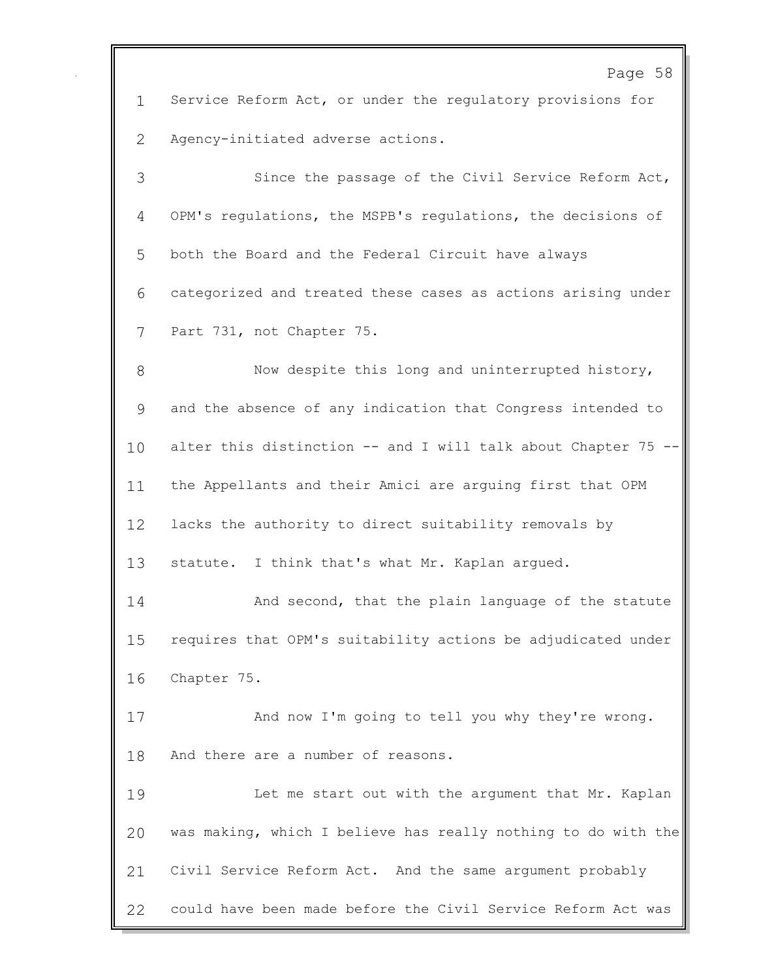Page 58 Service Reform Act, or under the regulatory provisions for Agency-initiated adverse actions. Since the passage of the Civil Service Reform Act, OPM's regulations, the MSPB's regulations, the decisions of both the Board and the Federal Circuit have always categorized and treated these cases as actions arising under Part 731, not Chapter 75. 8 Now despite this long and uninterrupted history, and the absence of any indication that Congress intended to alter this distinction -- and I will talk about Chapter 75 -- the Appellants and their Amici are arguing first that OPM lacks the authority to direct suitability removals by 13 statute. I think that's what Mr. Kaplan argued. And second, that the plain language of the statute requires that OPM's suitability actions be adjudicated under Chapter 75. And now I'm going to tell you why they're wrong. And there are a number of reasons. Let me start out with the argument that Mr. Kaplan was making, which I believe has really nothing to do with the Civil Service Reform Act. And the same argument probably could have been made before the Civil Service Reform Act was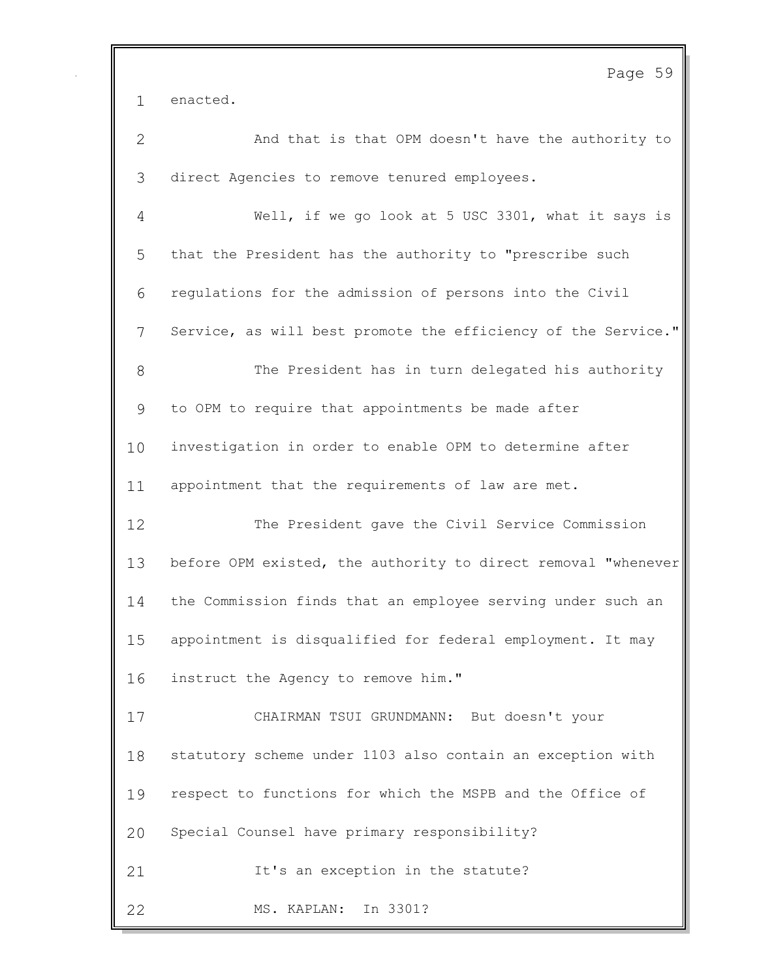|              | Page 59                                                       |
|--------------|---------------------------------------------------------------|
| $\mathbf{1}$ | enacted.                                                      |
| $\mathbf{2}$ | And that is that OPM doesn't have the authority to            |
| 3            | direct Agencies to remove tenured employees.                  |
| 4            | Well, if we go look at 5 USC 3301, what it says is            |
| 5            | that the President has the authority to "prescribe such       |
| 6            | regulations for the admission of persons into the Civil       |
| 7            | Service, as will best promote the efficiency of the Service." |
| 8            | The President has in turn delegated his authority             |
| 9            | to OPM to require that appointments be made after             |
| 10           | investigation in order to enable OPM to determine after       |
| 11           | appointment that the requirements of law are met.             |
| 12           | The President gave the Civil Service Commission               |
| 13           | before OPM existed, the authority to direct removal "whenever |
| 14           | the Commission finds that an employee serving under such an   |
| 15           | appointment is disqualified for federal employment. It may    |
| 16           | instruct the Agency to remove him."                           |
| 17           | CHAIRMAN TSUI GRUNDMANN: But doesn't your                     |
| 18           | statutory scheme under 1103 also contain an exception with    |
| 19           | respect to functions for which the MSPB and the Office of     |
| 20           | Special Counsel have primary responsibility?                  |
| 21           | It's an exception in the statute?                             |
| 22           | In 3301?<br>MS. KAPLAN:                                       |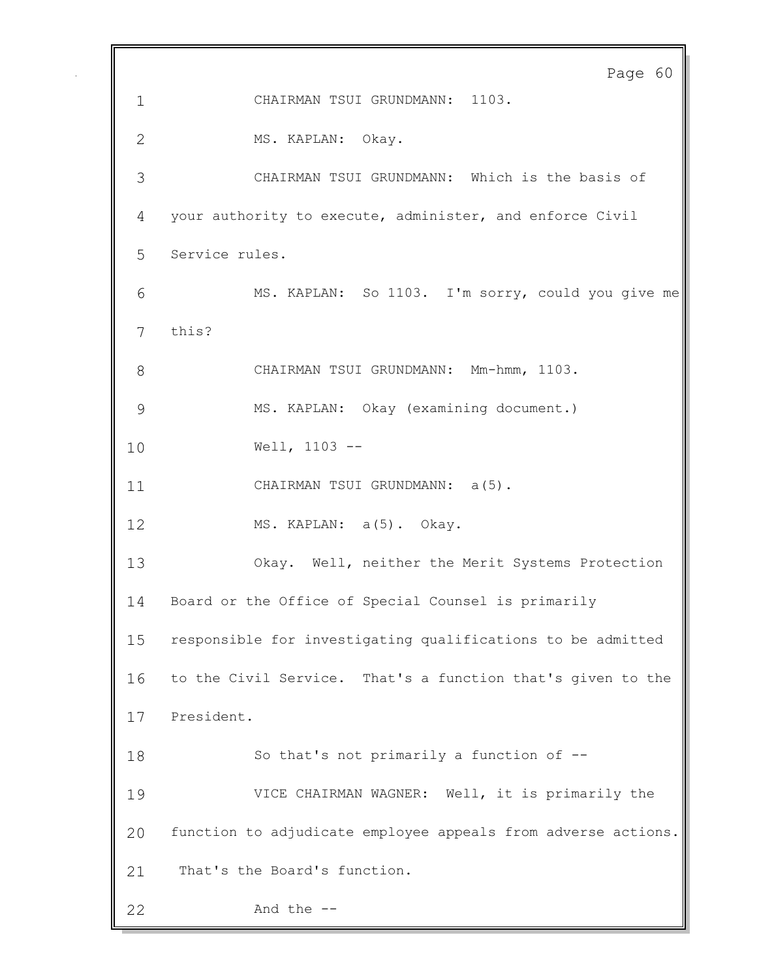Page 60 CHAIRMAN TSUI GRUNDMANN: 1103. MS. KAPLAN: Okay. CHAIRMAN TSUI GRUNDMANN: Which is the basis of your authority to execute, administer, and enforce Civil Service rules. MS. KAPLAN: So 1103. I'm sorry, could you give me this? CHAIRMAN TSUI GRUNDMANN: Mm-hmm, 1103. MS. KAPLAN: Okay (examining document.) Well, 1103 -- 11 CHAIRMAN TSUI GRUNDMANN: a(5). 12 MS. KAPLAN: a(5). Okay. Okay. Well, neither the Merit Systems Protection Board or the Office of Special Counsel is primarily responsible for investigating qualifications to be admitted to the Civil Service. That's a function that's given to the President. So that's not primarily a function of -- VICE CHAIRMAN WAGNER: Well, it is primarily the function to adjudicate employee appeals from adverse actions. That's the Board's function. And the --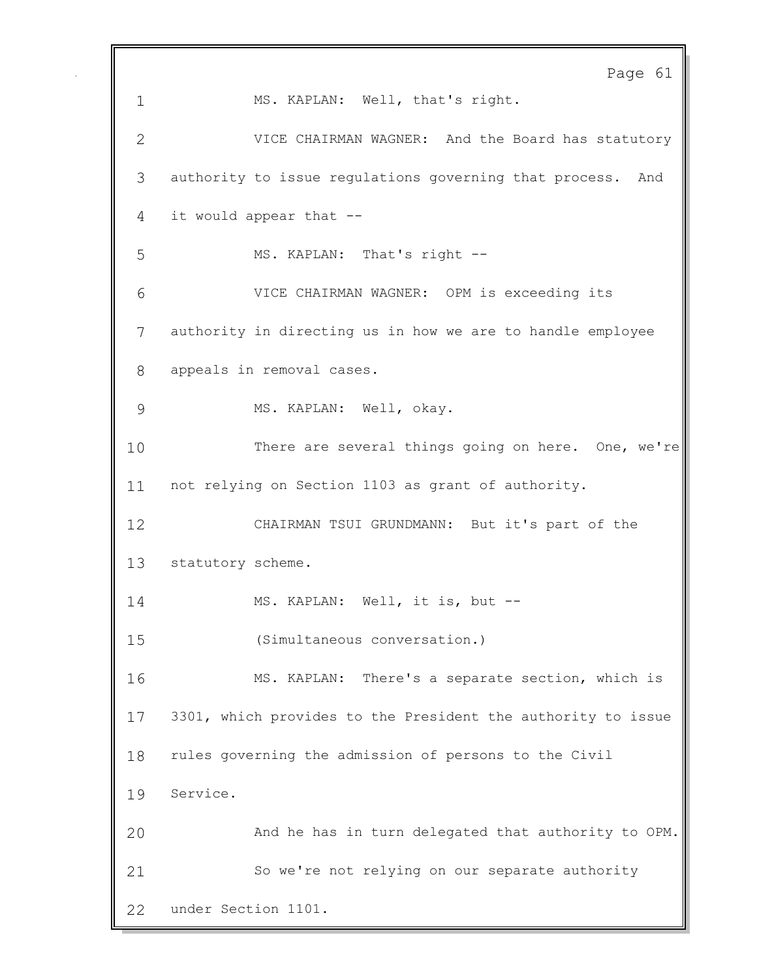Page 61 MS. KAPLAN: Well, that's right. VICE CHAIRMAN WAGNER: And the Board has statutory authority to issue regulations governing that process. And it would appear that -- MS. KAPLAN: That's right -- VICE CHAIRMAN WAGNER: OPM is exceeding its authority in directing us in how we are to handle employee appeals in removal cases. MS. KAPLAN: Well, okay. There are several things going on here. One, we're not relying on Section 1103 as grant of authority. CHAIRMAN TSUI GRUNDMANN: But it's part of the statutory scheme. MS. KAPLAN: Well, it is, but -- (Simultaneous conversation.) MS. KAPLAN: There's a separate section, which is 3301, which provides to the President the authority to issue rules governing the admission of persons to the Civil Service. And he has in turn delegated that authority to OPM. So we're not relying on our separate authority under Section 1101.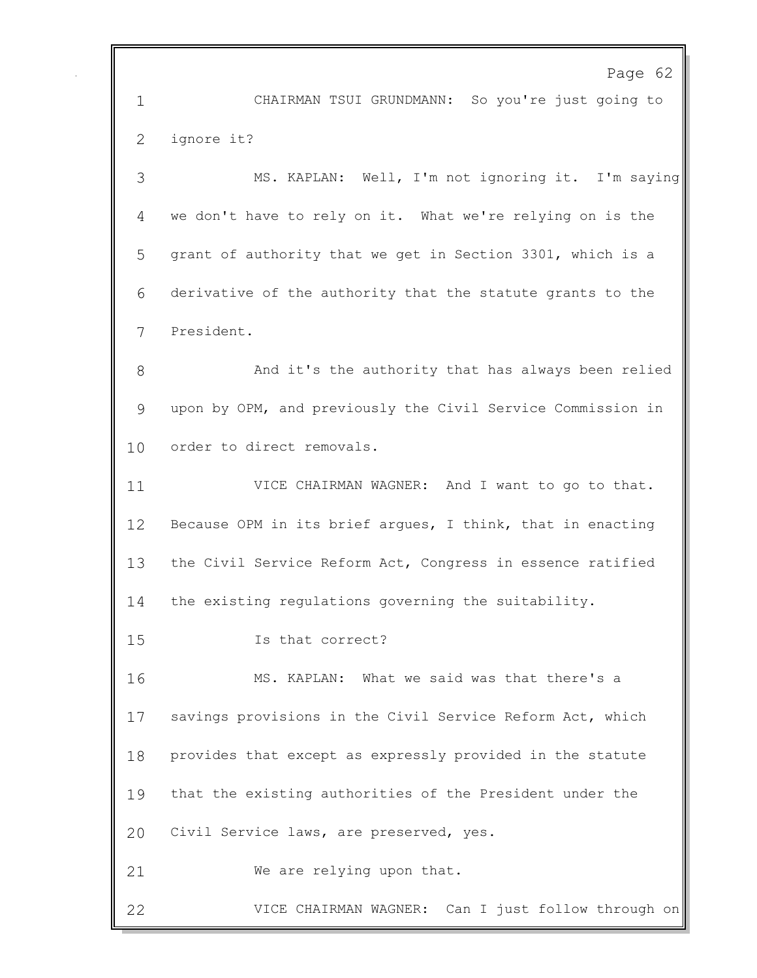Page 62 CHAIRMAN TSUI GRUNDMANN: So you're just going to ignore it? MS. KAPLAN: Well, I'm not ignoring it. I'm saying we don't have to rely on it. What we're relying on is the grant of authority that we get in Section 3301, which is a derivative of the authority that the statute grants to the President. And it's the authority that has always been relied upon by OPM, and previously the Civil Service Commission in order to direct removals. VICE CHAIRMAN WAGNER: And I want to go to that. Because OPM in its brief argues, I think, that in enacting the Civil Service Reform Act, Congress in essence ratified the existing regulations governing the suitability. Is that correct? MS. KAPLAN: What we said was that there's a savings provisions in the Civil Service Reform Act, which provides that except as expressly provided in the statute that the existing authorities of the President under the Civil Service laws, are preserved, yes. We are relying upon that. VICE CHAIRMAN WAGNER: Can I just follow through on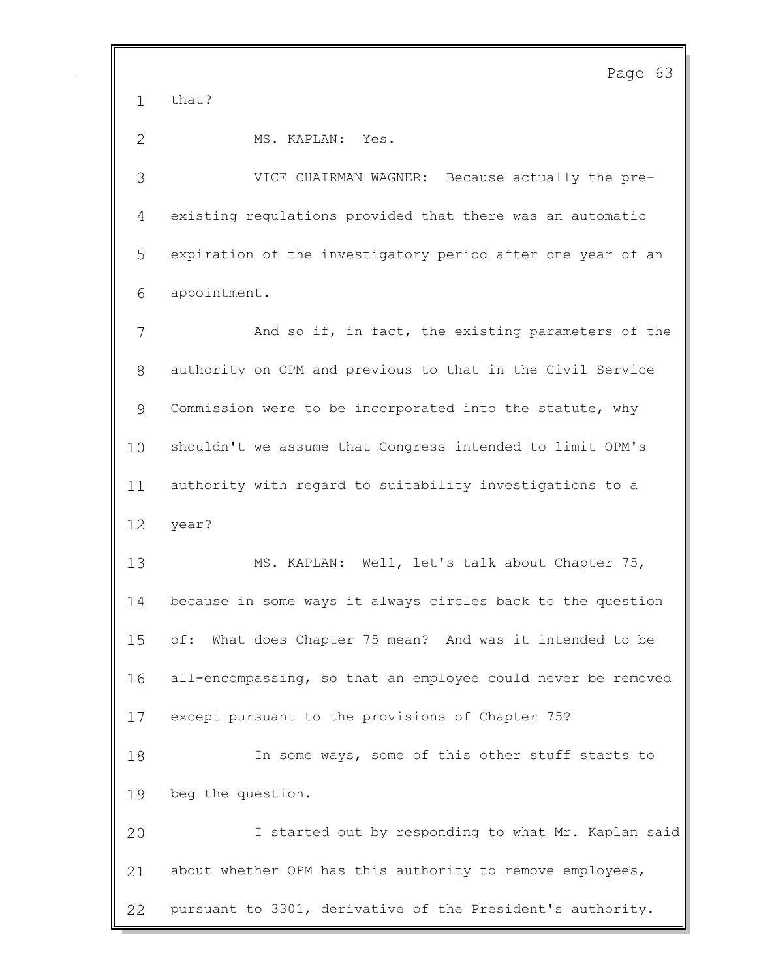that?

MS. KAPLAN: Yes.

 VICE CHAIRMAN WAGNER: Because actually the pre- existing regulations provided that there was an automatic expiration of the investigatory period after one year of an appointment.

 And so if, in fact, the existing parameters of the authority on OPM and previous to that in the Civil Service Commission were to be incorporated into the statute, why shouldn't we assume that Congress intended to limit OPM's authority with regard to suitability investigations to a year?

 MS. KAPLAN: Well, let's talk about Chapter 75, because in some ways it always circles back to the question of: What does Chapter 75 mean? And was it intended to be all-encompassing, so that an employee could never be removed except pursuant to the provisions of Chapter 75? In some ways, some of this other stuff starts to beg the question. I started out by responding to what Mr. Kaplan said about whether OPM has this authority to remove employees,

pursuant to 3301, derivative of the President's authority.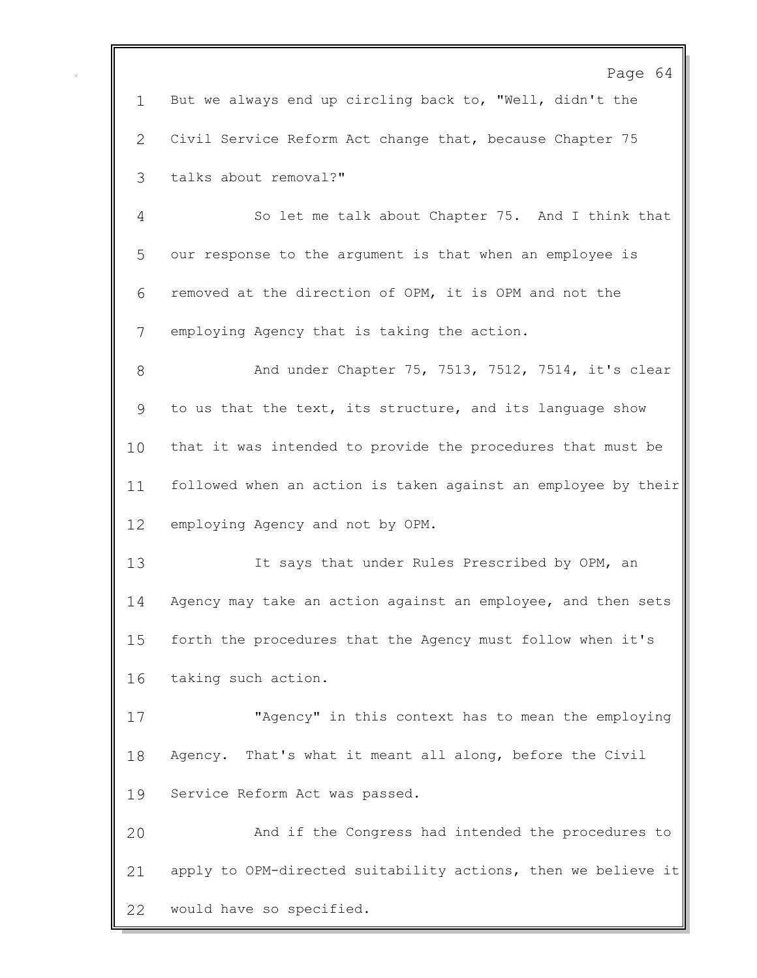Page 64 But we always end up circling back to, "Well, didn't the Civil Service Reform Act change that, because Chapter 75 talks about removal?" So let me talk about Chapter 75. And I think that our response to the argument is that when an employee is removed at the direction of OPM, it is OPM and not the employing Agency that is taking the action. And under Chapter 75, 7513, 7512, 7514, it's clear to us that the text, its structure, and its language show that it was intended to provide the procedures that must be followed when an action is taken against an employee by their employing Agency and not by OPM. It says that under Rules Prescribed by OPM, an Agency may take an action against an employee, and then sets forth the procedures that the Agency must follow when it's taking such action. "Agency" in this context has to mean the employing Agency. That's what it meant all along, before the Civil Service Reform Act was passed. And if the Congress had intended the procedures to apply to OPM-directed suitability actions, then we believe it would have so specified.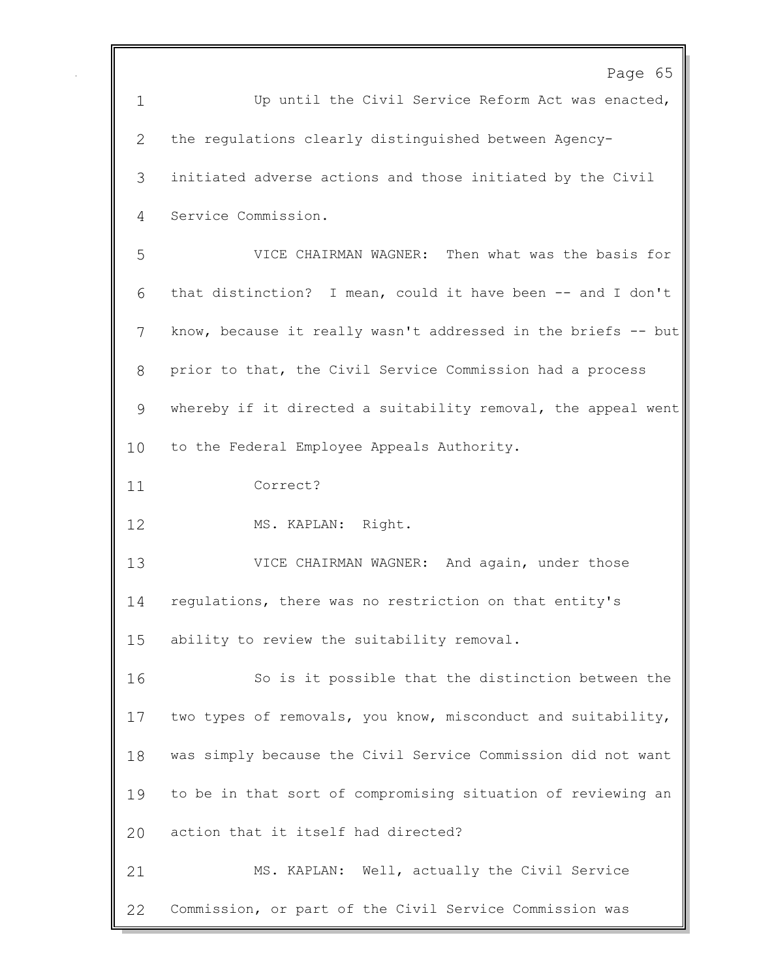|             | Page 65                                                       |
|-------------|---------------------------------------------------------------|
| $\mathbf 1$ | Up until the Civil Service Reform Act was enacted,            |
| 2           | the requlations clearly distinguished between Agency-         |
| 3           | initiated adverse actions and those initiated by the Civil    |
| 4           | Service Commission.                                           |
| 5           | VICE CHAIRMAN WAGNER: Then what was the basis for             |
| 6           | that distinction? I mean, could it have been -- and I don't   |
| 7           | know, because it really wasn't addressed in the briefs -- but |
| 8           | prior to that, the Civil Service Commission had a process     |
| 9           | whereby if it directed a suitability removal, the appeal went |
| 10          | to the Federal Employee Appeals Authority.                    |
| 11          | Correct?                                                      |
| 12          | MS. KAPLAN: Right.                                            |
| 13          | VICE CHAIRMAN WAGNER: And again, under those                  |
| 14          | regulations, there was no restriction on that entity's        |
| 15          | ability to review the suitability removal.                    |
| 16          | So is it possible that the distinction between the            |
| 17          | two types of removals, you know, misconduct and suitability,  |
| 18          | was simply because the Civil Service Commission did not want  |
| 19          | to be in that sort of compromising situation of reviewing an  |
| 20          | action that it itself had directed?                           |
| 21          | MS. KAPLAN: Well, actually the Civil Service                  |
| 22          | Commission, or part of the Civil Service Commission was       |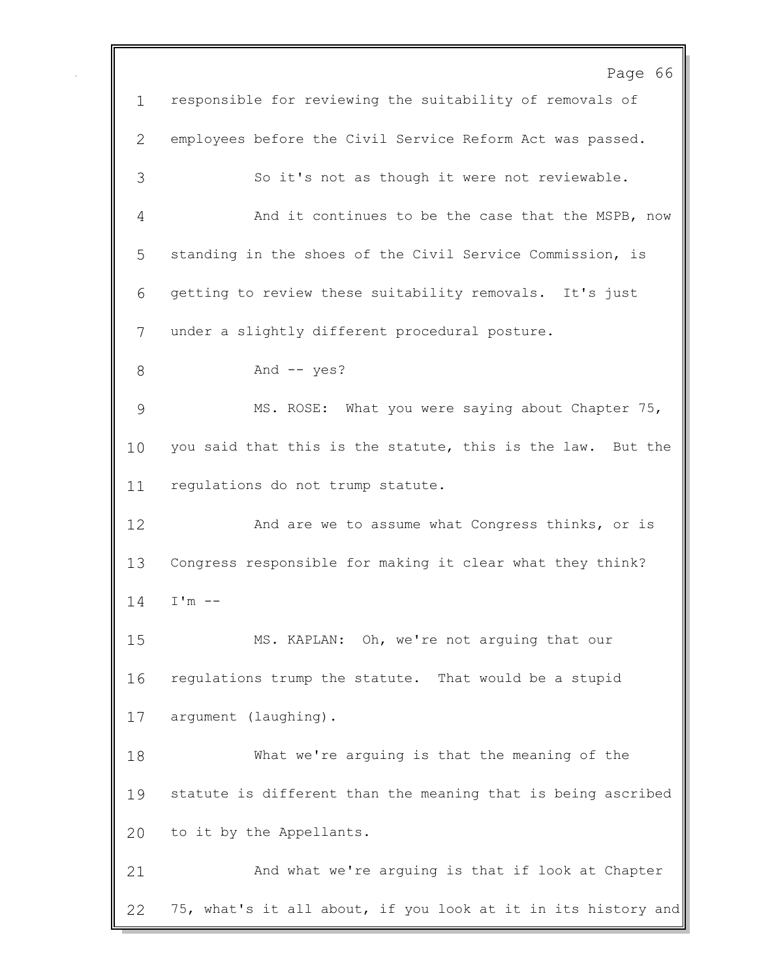Page 66 responsible for reviewing the suitability of removals of employees before the Civil Service Reform Act was passed. So it's not as though it were not reviewable. And it continues to be the case that the MSPB, now standing in the shoes of the Civil Service Commission, is getting to review these suitability removals. It's just under a slightly different procedural posture. 8 And -- yes? MS. ROSE: What you were saying about Chapter 75, you said that this is the statute, this is the law. But the regulations do not trump statute. And are we to assume what Congress thinks, or is Congress responsible for making it clear what they think? I'm -- MS. KAPLAN: Oh, we're not arguing that our regulations trump the statute. That would be a stupid argument (laughing). What we're arguing is that the meaning of the statute is different than the meaning that is being ascribed to it by the Appellants. And what we're arguing is that if look at Chapter 75, what's it all about, if you look at it in its history and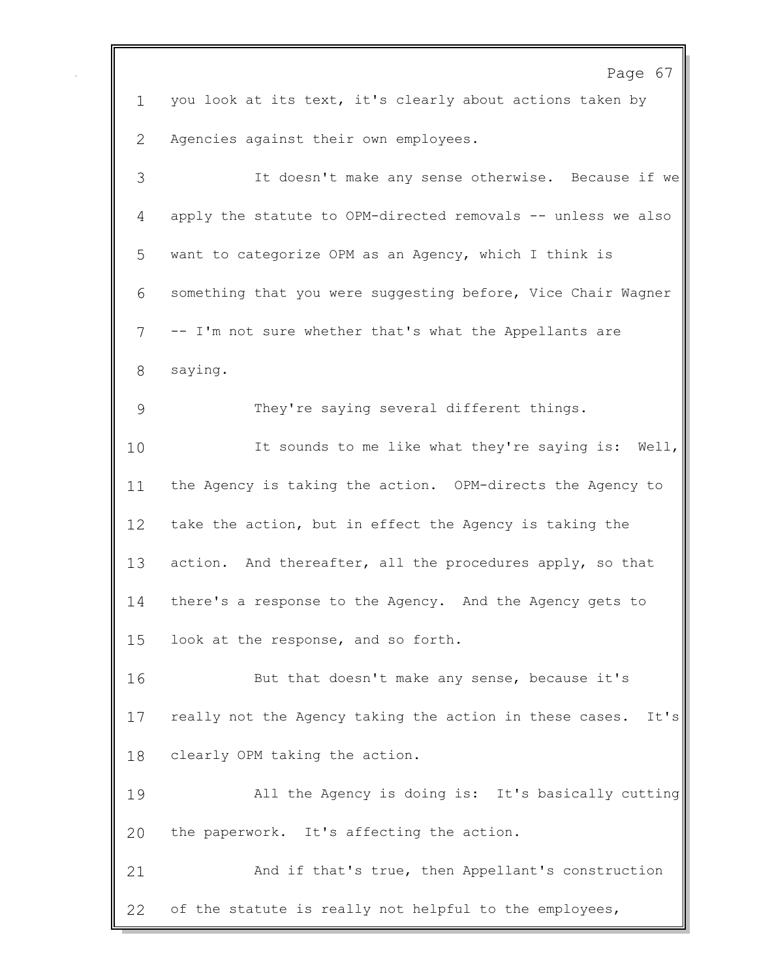Page 67 you look at its text, it's clearly about actions taken by Agencies against their own employees. It doesn't make any sense otherwise. Because if we apply the statute to OPM-directed removals -- unless we also want to categorize OPM as an Agency, which I think is something that you were suggesting before, Vice Chair Wagner -- I'm not sure whether that's what the Appellants are saying. They're saying several different things. It sounds to me like what they're saying is: Well, the Agency is taking the action. OPM-directs the Agency to take the action, but in effect the Agency is taking the 13 action. And thereafter, all the procedures apply, so that there's a response to the Agency. And the Agency gets to look at the response, and so forth. But that doesn't make any sense, because it's really not the Agency taking the action in these cases. It's clearly OPM taking the action. All the Agency is doing is: It's basically cutting the paperwork. It's affecting the action. And if that's true, then Appellant's construction of the statute is really not helpful to the employees,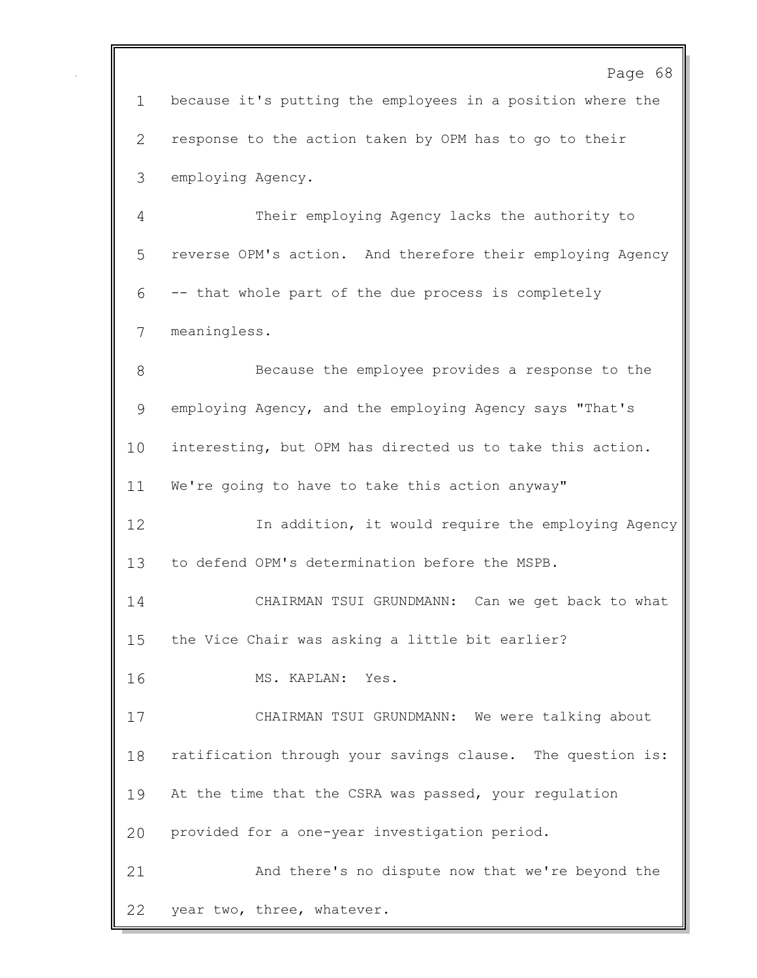Page 68 because it's putting the employees in a position where the response to the action taken by OPM has to go to their employing Agency. Their employing Agency lacks the authority to reverse OPM's action. And therefore their employing Agency -- that whole part of the due process is completely meaningless. Because the employee provides a response to the employing Agency, and the employing Agency says "That's interesting, but OPM has directed us to take this action. We're going to have to take this action anyway" In addition, it would require the employing Agency to defend OPM's determination before the MSPB. CHAIRMAN TSUI GRUNDMANN: Can we get back to what the Vice Chair was asking a little bit earlier? MS. KAPLAN: Yes. CHAIRMAN TSUI GRUNDMANN: We were talking about ratification through your savings clause. The question is: At the time that the CSRA was passed, your regulation provided for a one-year investigation period. And there's no dispute now that we're beyond the year two, three, whatever.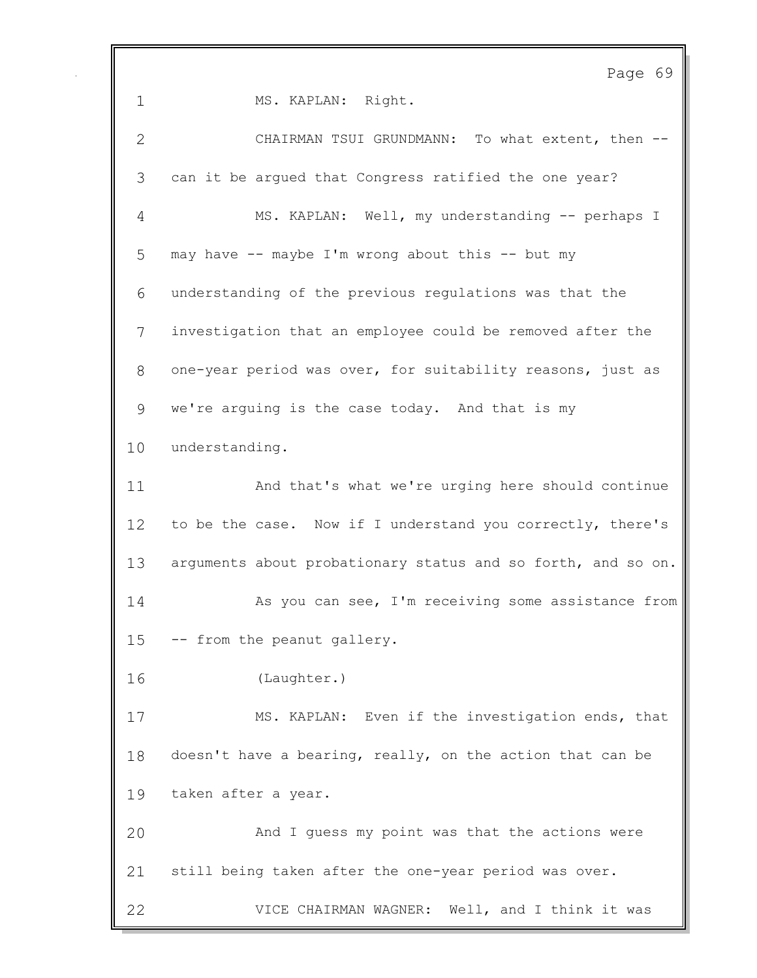Page 69 1 MS. KAPLAN: Right. CHAIRMAN TSUI GRUNDMANN: To what extent, then -- can it be argued that Congress ratified the one year? MS. KAPLAN: Well, my understanding -- perhaps I may have -- maybe I'm wrong about this -- but my understanding of the previous regulations was that the investigation that an employee could be removed after the one-year period was over, for suitability reasons, just as we're arguing is the case today. And that is my understanding. And that's what we're urging here should continue 12 to be the case. Now if I understand you correctly, there's 13 arguments about probationary status and so forth, and so on. 14 As you can see, I'm receiving some assistance from -- from the peanut gallery. (Laughter.) MS. KAPLAN: Even if the investigation ends, that doesn't have a bearing, really, on the action that can be taken after a year. And I guess my point was that the actions were still being taken after the one-year period was over. VICE CHAIRMAN WAGNER: Well, and I think it was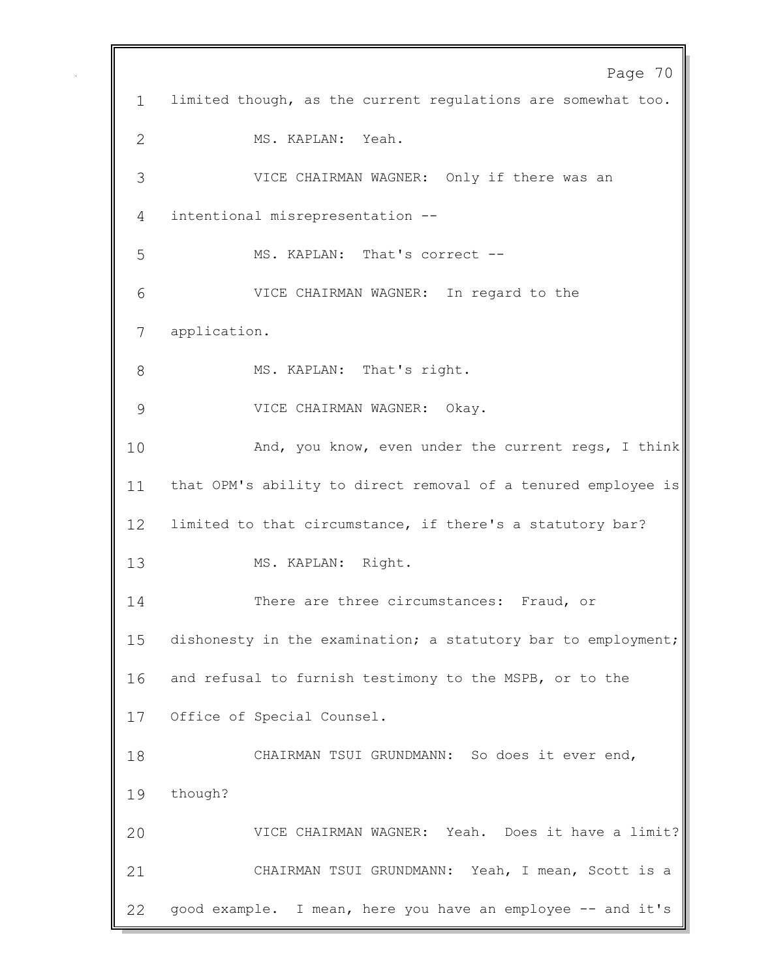Page 70 limited though, as the current regulations are somewhat too. MS. KAPLAN: Yeah. VICE CHAIRMAN WAGNER: Only if there was an intentional misrepresentation -- 5 MS. KAPLAN: That's correct -- VICE CHAIRMAN WAGNER: In regard to the application. 8 MS. KAPLAN: That's right. VICE CHAIRMAN WAGNER: Okay. 10 And, you know, even under the current regs, I think that OPM's ability to direct removal of a tenured employee is limited to that circumstance, if there's a statutory bar? 13 MS. KAPLAN: Right. 14 There are three circumstances: Fraud, or dishonesty in the examination; a statutory bar to employment; and refusal to furnish testimony to the MSPB, or to the Office of Special Counsel. CHAIRMAN TSUI GRUNDMANN: So does it ever end, though? VICE CHAIRMAN WAGNER: Yeah. Does it have a limit? CHAIRMAN TSUI GRUNDMANN: Yeah, I mean, Scott is a 22 good example. I mean, here you have an employee -- and it's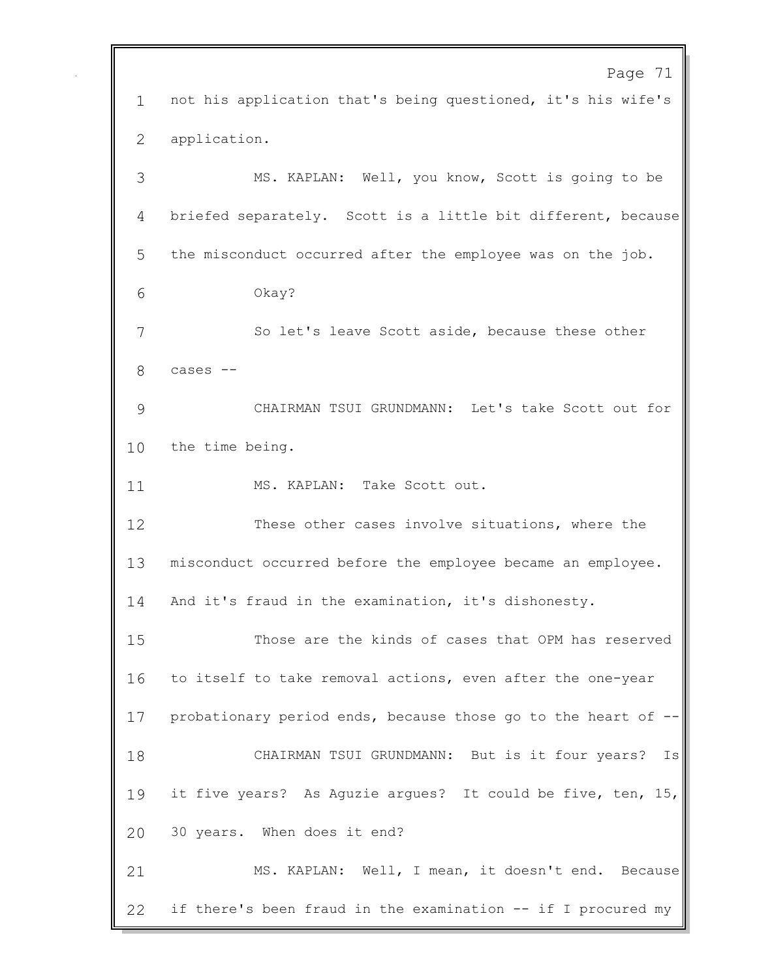Page 71 not his application that's being questioned, it's his wife's application. MS. KAPLAN: Well, you know, Scott is going to be briefed separately. Scott is a little bit different, because the misconduct occurred after the employee was on the job. Okay? So let's leave Scott aside, because these other cases -- CHAIRMAN TSUI GRUNDMANN: Let's take Scott out for the time being. 11 MS. KAPLAN: Take Scott out. These other cases involve situations, where the misconduct occurred before the employee became an employee. And it's fraud in the examination, it's dishonesty. Those are the kinds of cases that OPM has reserved to itself to take removal actions, even after the one-year probationary period ends, because those go to the heart of -- CHAIRMAN TSUI GRUNDMANN: But is it four years? Is it five years? As Aguzie argues? It could be five, ten, 15, 30 years. When does it end? MS. KAPLAN: Well, I mean, it doesn't end. Because if there's been fraud in the examination -- if I procured my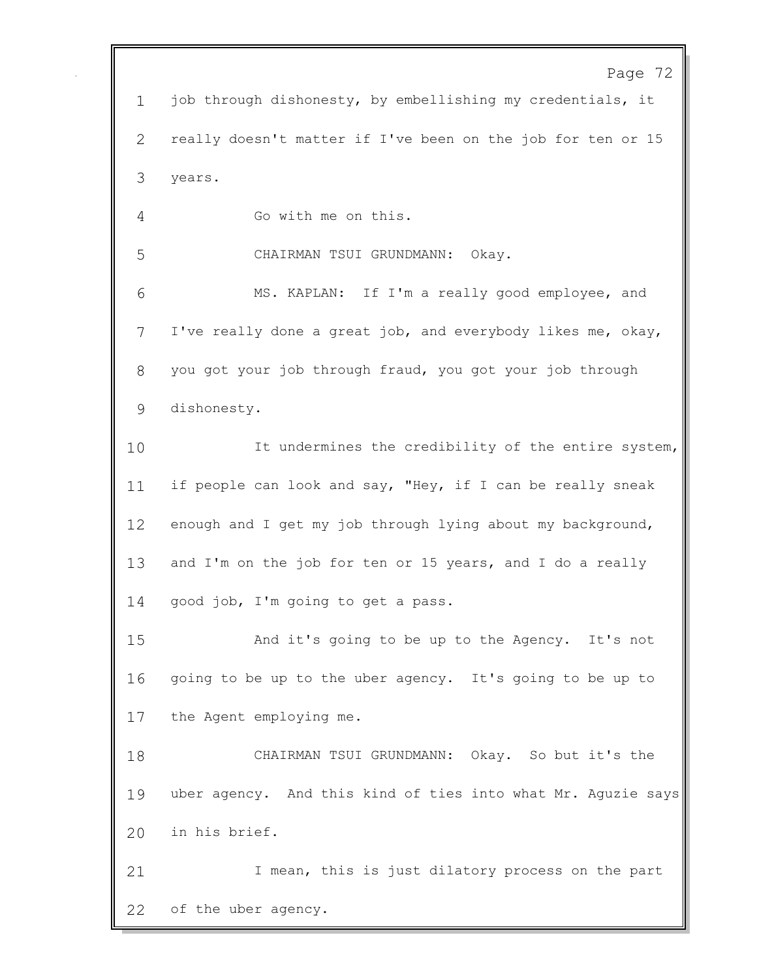Page 72 job through dishonesty, by embellishing my credentials, it really doesn't matter if I've been on the job for ten or 15 years. Go with me on this. CHAIRMAN TSUI GRUNDMANN: Okay. MS. KAPLAN: If I'm a really good employee, and I've really done a great job, and everybody likes me, okay, you got your job through fraud, you got your job through dishonesty. It undermines the credibility of the entire system, 11 if people can look and say, "Hey, if I can be really sneak 12 enough and I get my job through lying about my background, and I'm on the job for ten or 15 years, and I do a really 14 good job, I'm going to get a pass. And it's going to be up to the Agency. It's not going to be up to the uber agency. It's going to be up to the Agent employing me. CHAIRMAN TSUI GRUNDMANN: Okay. So but it's the uber agency. And this kind of ties into what Mr. Aguzie says in his brief. 21 1 I mean, this is just dilatory process on the part of the uber agency.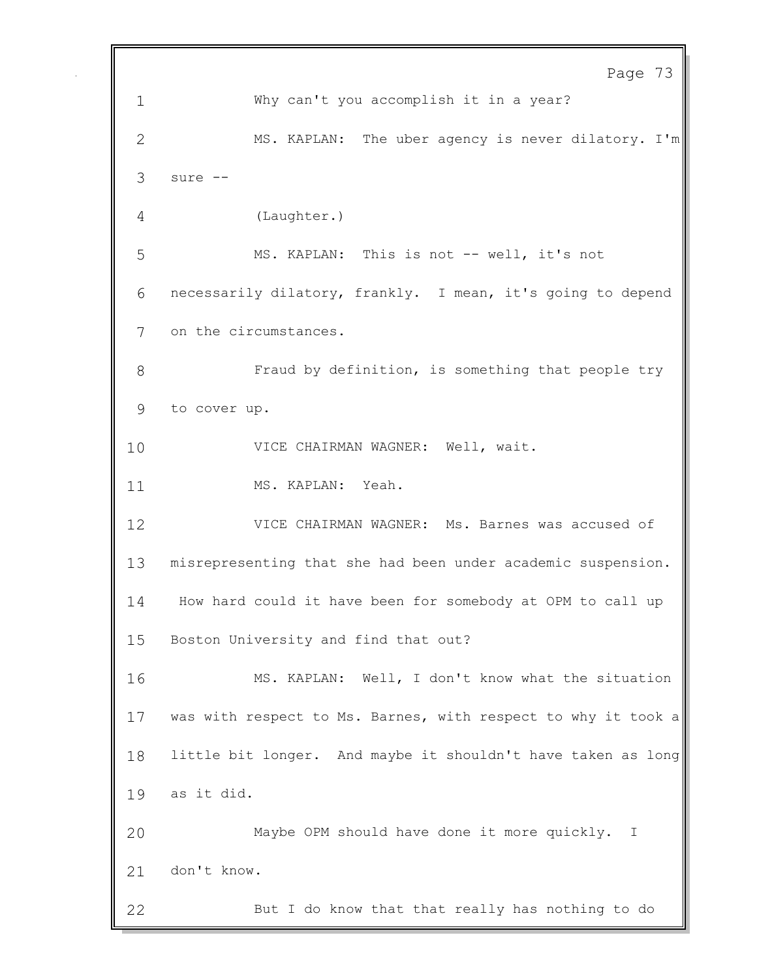Page 73 Why can't you accomplish it in a year? MS. KAPLAN: The uber agency is never dilatory. I'm sure -- (Laughter.) MS. KAPLAN: This is not -- well, it's not necessarily dilatory, frankly. I mean, it's going to depend on the circumstances. Fraud by definition, is something that people try to cover up. VICE CHAIRMAN WAGNER: Well, wait. 11 MS. KAPLAN: Yeah. VICE CHAIRMAN WAGNER: Ms. Barnes was accused of misrepresenting that she had been under academic suspension. How hard could it have been for somebody at OPM to call up Boston University and find that out? MS. KAPLAN: Well, I don't know what the situation was with respect to Ms. Barnes, with respect to why it took a little bit longer. And maybe it shouldn't have taken as long as it did. Maybe OPM should have done it more quickly. I don't know. But I do know that that really has nothing to do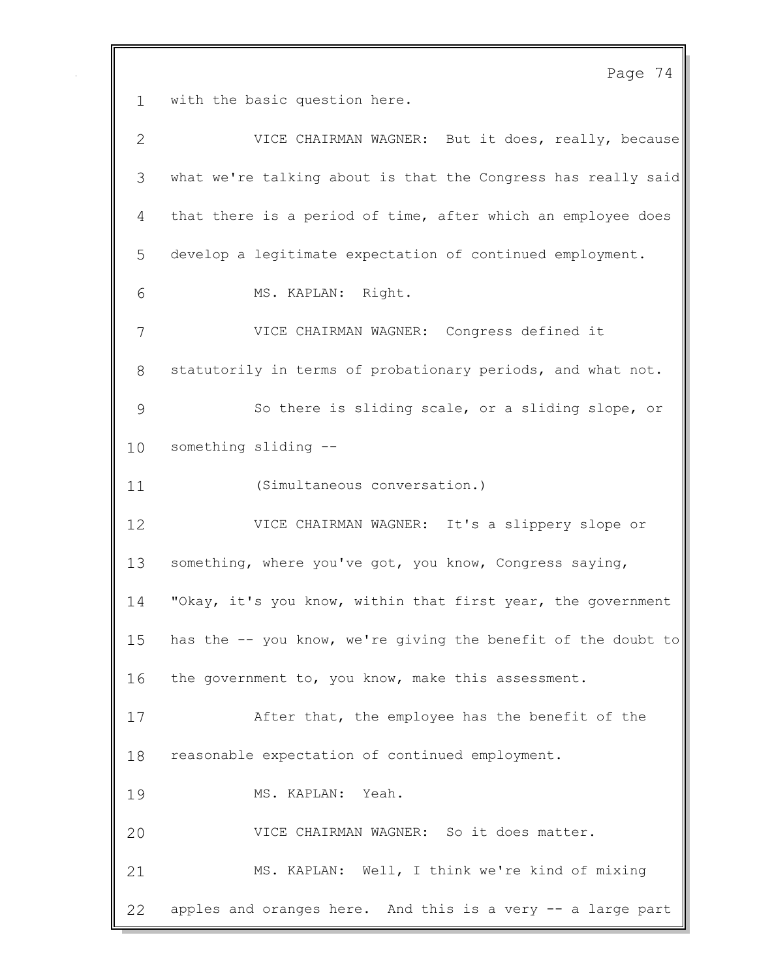Page 74 with the basic question here. VICE CHAIRMAN WAGNER: But it does, really, because what we're talking about is that the Congress has really said that there is a period of time, after which an employee does develop a legitimate expectation of continued employment. MS. KAPLAN: Right. VICE CHAIRMAN WAGNER: Congress defined it statutorily in terms of probationary periods, and what not. So there is sliding scale, or a sliding slope, or something sliding -- (Simultaneous conversation.) VICE CHAIRMAN WAGNER: It's a slippery slope or something, where you've got, you know, Congress saying, "Okay, it's you know, within that first year, the government has the -- you know, we're giving the benefit of the doubt to the government to, you know, make this assessment. After that, the employee has the benefit of the reasonable expectation of continued employment. MS. KAPLAN: Yeah. VICE CHAIRMAN WAGNER: So it does matter. MS. KAPLAN: Well, I think we're kind of mixing apples and oranges here. And this is a very -- a large part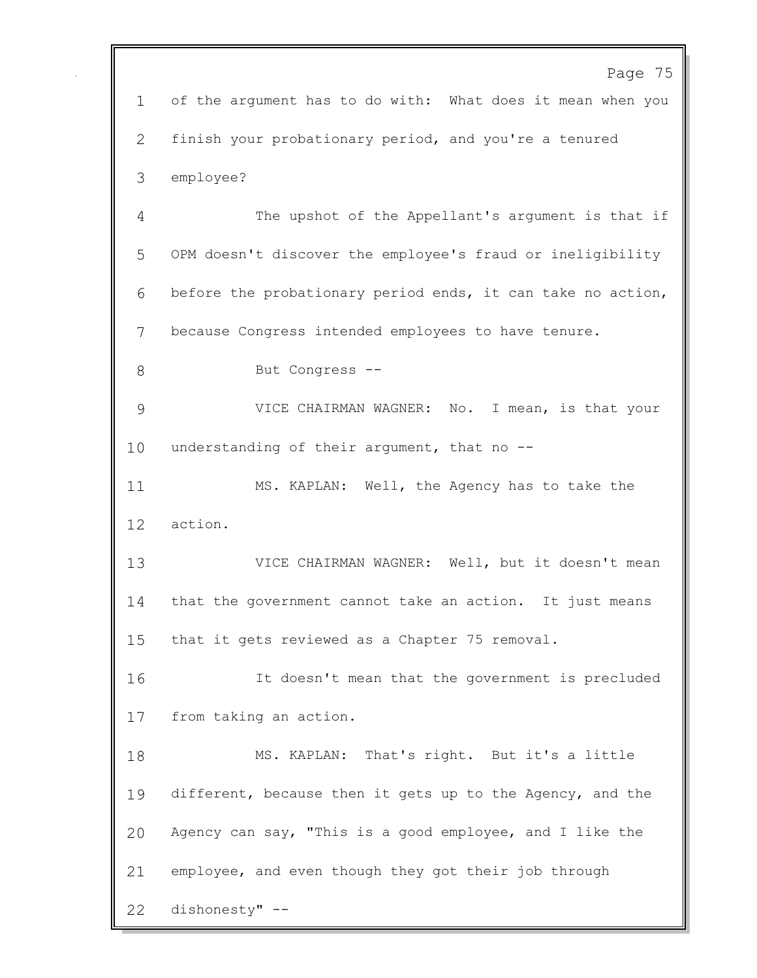Page 75 of the argument has to do with: What does it mean when you finish your probationary period, and you're a tenured employee? The upshot of the Appellant's argument is that if OPM doesn't discover the employee's fraud or ineligibility before the probationary period ends, it can take no action, because Congress intended employees to have tenure. But Congress -- VICE CHAIRMAN WAGNER: No. I mean, is that your understanding of their argument, that no -- MS. KAPLAN: Well, the Agency has to take the action. VICE CHAIRMAN WAGNER: Well, but it doesn't mean that the government cannot take an action. It just means that it gets reviewed as a Chapter 75 removal. It doesn't mean that the government is precluded from taking an action. MS. KAPLAN: That's right. But it's a little different, because then it gets up to the Agency, and the Agency can say, "This is a good employee, and I like the employee, and even though they got their job through dishonesty" --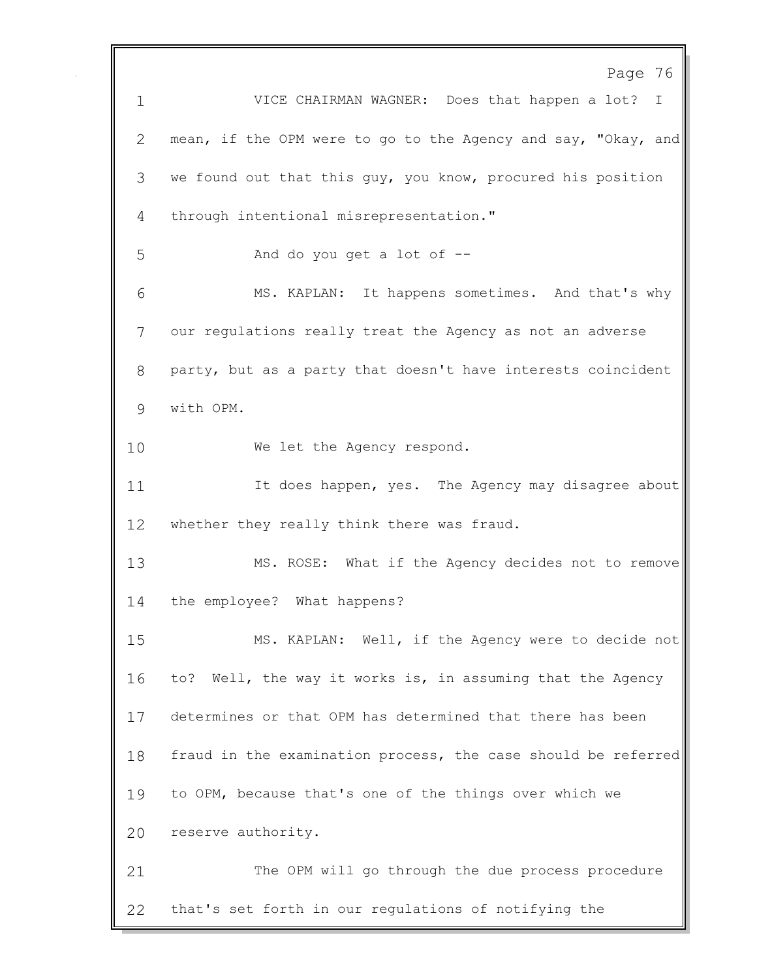Page 76 VICE CHAIRMAN WAGNER: Does that happen a lot? I mean, if the OPM were to go to the Agency and say, "Okay, and we found out that this guy, you know, procured his position through intentional misrepresentation." And do you get a lot of -- MS. KAPLAN: It happens sometimes. And that's why our regulations really treat the Agency as not an adverse party, but as a party that doesn't have interests coincident with OPM. 10 We let the Agency respond. 11 11 It does happen, yes. The Agency may disagree about whether they really think there was fraud. MS. ROSE: What if the Agency decides not to remove the employee? What happens? MS. KAPLAN: Well, if the Agency were to decide not to? Well, the way it works is, in assuming that the Agency determines or that OPM has determined that there has been fraud in the examination process, the case should be referred to OPM, because that's one of the things over which we reserve authority. The OPM will go through the due process procedure that's set forth in our regulations of notifying the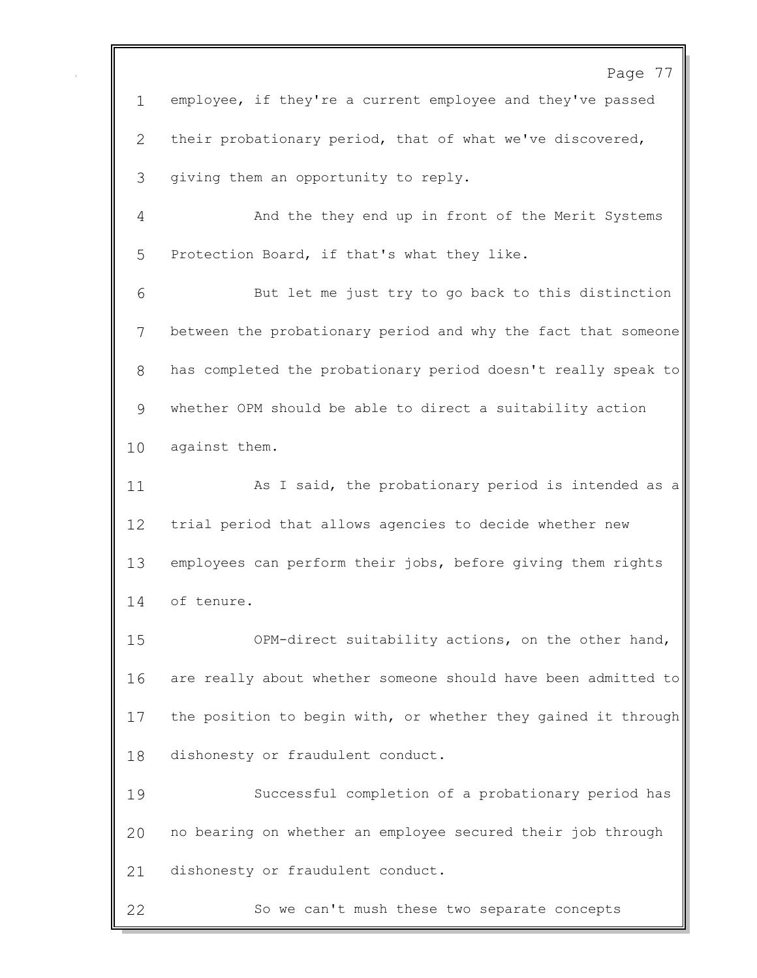Page 77 employee, if they're a current employee and they've passed their probationary period, that of what we've discovered, giving them an opportunity to reply. And the they end up in front of the Merit Systems Protection Board, if that's what they like. But let me just try to go back to this distinction between the probationary period and why the fact that someone has completed the probationary period doesn't really speak to whether OPM should be able to direct a suitability action against them. 11 As I said, the probationary period is intended as a trial period that allows agencies to decide whether new employees can perform their jobs, before giving them rights of tenure. OPM-direct suitability actions, on the other hand, are really about whether someone should have been admitted to the position to begin with, or whether they gained it through dishonesty or fraudulent conduct. Successful completion of a probationary period has no bearing on whether an employee secured their job through dishonesty or fraudulent conduct. So we can't mush these two separate concepts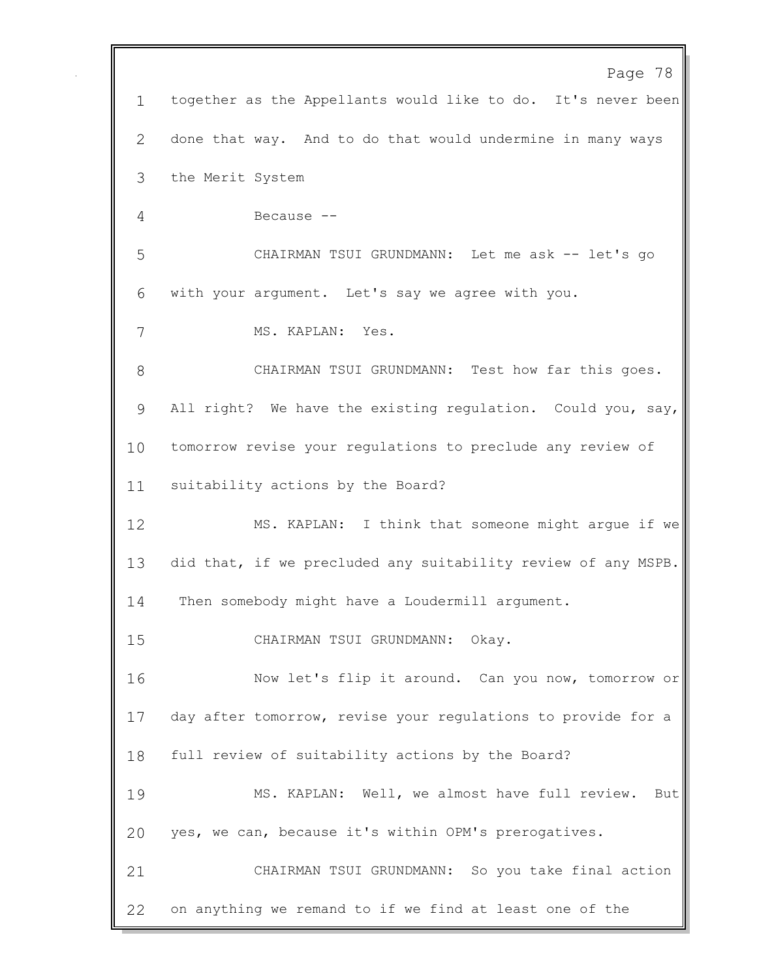|              | Page 78                                                       |
|--------------|---------------------------------------------------------------|
| $\mathbf{1}$ | together as the Appellants would like to do. It's never been  |
| 2            | done that way. And to do that would undermine in many ways    |
| 3            | the Merit System                                              |
| 4            | Because --                                                    |
| 5            | CHAIRMAN TSUI GRUNDMANN: Let me ask -- let's go               |
| 6            | with your argument. Let's say we agree with you.              |
| 7            | MS. KAPLAN: Yes.                                              |
| 8            | CHAIRMAN TSUI GRUNDMANN: Test how far this goes.              |
| 9            | All right? We have the existing regulation. Could you, say,   |
| 10           | tomorrow revise your regulations to preclude any review of    |
| 11           | suitability actions by the Board?                             |
| 12           | MS. KAPLAN: I think that someone might argue if we            |
| 13           | did that, if we precluded any suitability review of any MSPB. |
| 14           | Then somebody might have a Loudermill argument.               |
| 15           | CHAIRMAN TSUI GRUNDMANN: Okay.                                |
| 16           | Now let's flip it around. Can you now, tomorrow or            |
| 17           | day after tomorrow, revise your regulations to provide for a  |
| 18           | full review of suitability actions by the Board?              |
| 19           | MS. KAPLAN: Well, we almost have full review.<br>But          |
| 20           | yes, we can, because it's within OPM's prerogatives.          |
| 21           | CHAIRMAN TSUI GRUNDMANN: So you take final action             |
| 22           | on anything we remand to if we find at least one of the       |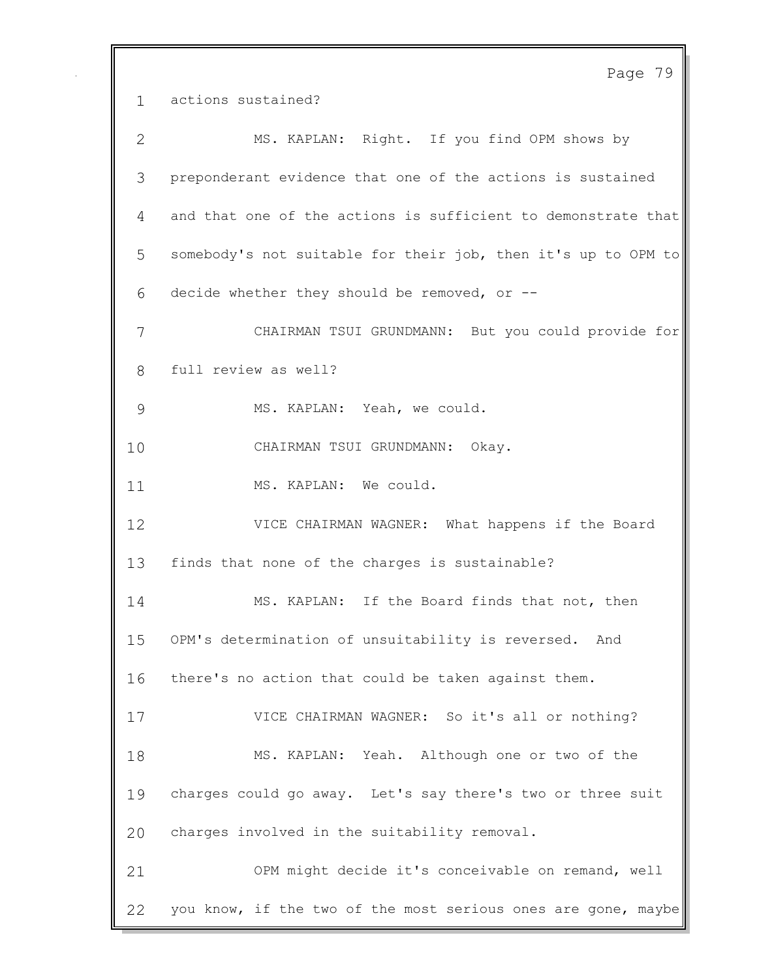Page 79 actions sustained? MS. KAPLAN: Right. If you find OPM shows by preponderant evidence that one of the actions is sustained and that one of the actions is sufficient to demonstrate that somebody's not suitable for their job, then it's up to OPM to decide whether they should be removed, or -- CHAIRMAN TSUI GRUNDMANN: But you could provide for full review as well? MS. KAPLAN: Yeah, we could. CHAIRMAN TSUI GRUNDMANN: Okay. 11 MS. KAPLAN: We could. VICE CHAIRMAN WAGNER: What happens if the Board finds that none of the charges is sustainable? MS. KAPLAN: If the Board finds that not, then OPM's determination of unsuitability is reversed. And there's no action that could be taken against them. VICE CHAIRMAN WAGNER: So it's all or nothing? MS. KAPLAN: Yeah. Although one or two of the charges could go away. Let's say there's two or three suit charges involved in the suitability removal. OPM might decide it's conceivable on remand, well you know, if the two of the most serious ones are gone, maybe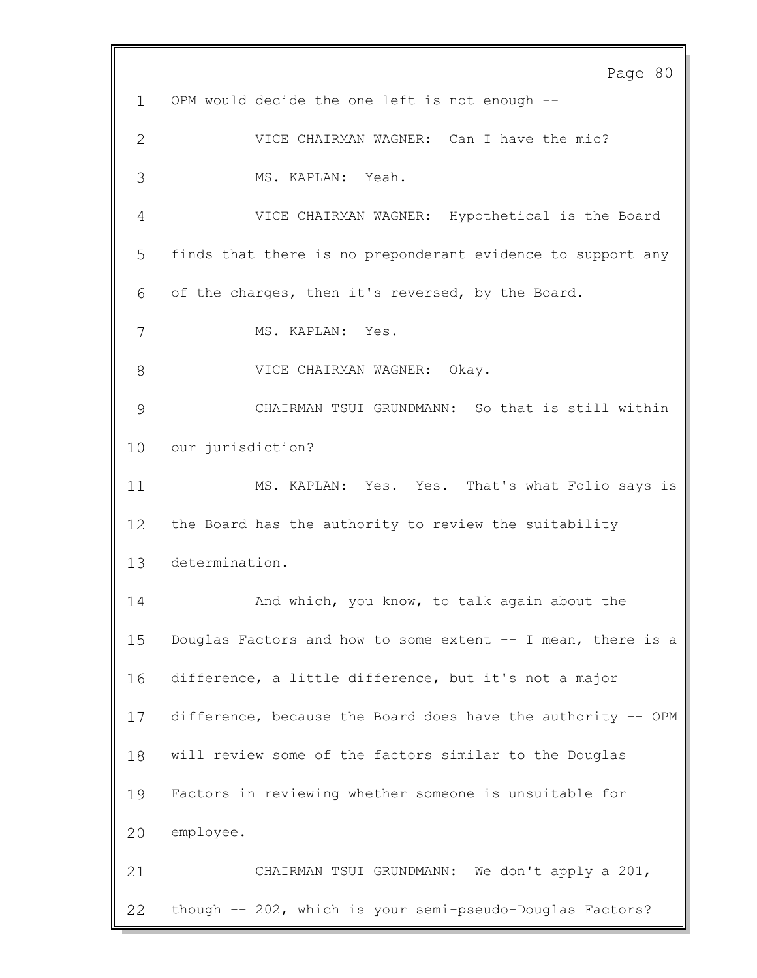Page 80 OPM would decide the one left is not enough -- VICE CHAIRMAN WAGNER: Can I have the mic? MS. KAPLAN: Yeah. VICE CHAIRMAN WAGNER: Hypothetical is the Board finds that there is no preponderant evidence to support any of the charges, then it's reversed, by the Board. MS. KAPLAN: Yes. VICE CHAIRMAN WAGNER: Okay. CHAIRMAN TSUI GRUNDMANN: So that is still within our jurisdiction? MS. KAPLAN: Yes. Yes. That's what Folio says is the Board has the authority to review the suitability determination. **And which, you know, to talk again about the**  Douglas Factors and how to some extent -- I mean, there is a difference, a little difference, but it's not a major difference, because the Board does have the authority -- OPM will review some of the factors similar to the Douglas Factors in reviewing whether someone is unsuitable for employee. CHAIRMAN TSUI GRUNDMANN: We don't apply a 201, though -- 202, which is your semi-pseudo-Douglas Factors?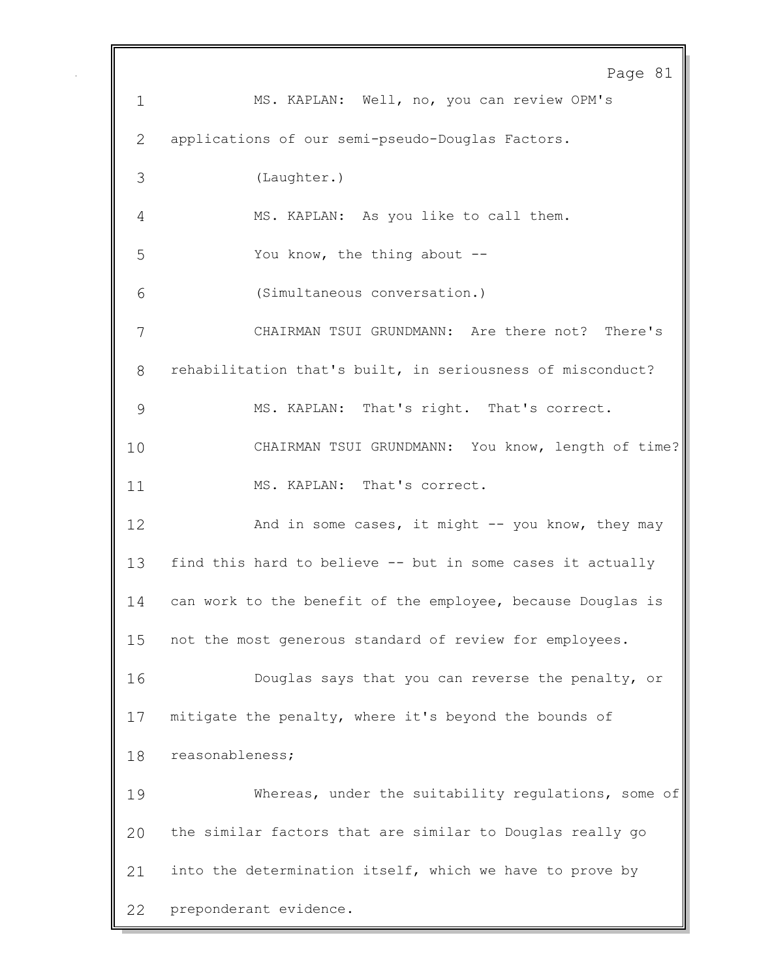Page 81 MS. KAPLAN: Well, no, you can review OPM's applications of our semi-pseudo-Douglas Factors. (Laughter.) MS. KAPLAN: As you like to call them. You know, the thing about -- (Simultaneous conversation.) CHAIRMAN TSUI GRUNDMANN: Are there not? There's rehabilitation that's built, in seriousness of misconduct? MS. KAPLAN: That's right. That's correct. CHAIRMAN TSUI GRUNDMANN: You know, length of time? 11 MS. KAPLAN: That's correct. And in some cases, it might -- you know, they may find this hard to believe -- but in some cases it actually can work to the benefit of the employee, because Douglas is not the most generous standard of review for employees. Douglas says that you can reverse the penalty, or mitigate the penalty, where it's beyond the bounds of reasonableness; Whereas, under the suitability regulations, some of the similar factors that are similar to Douglas really go into the determination itself, which we have to prove by preponderant evidence.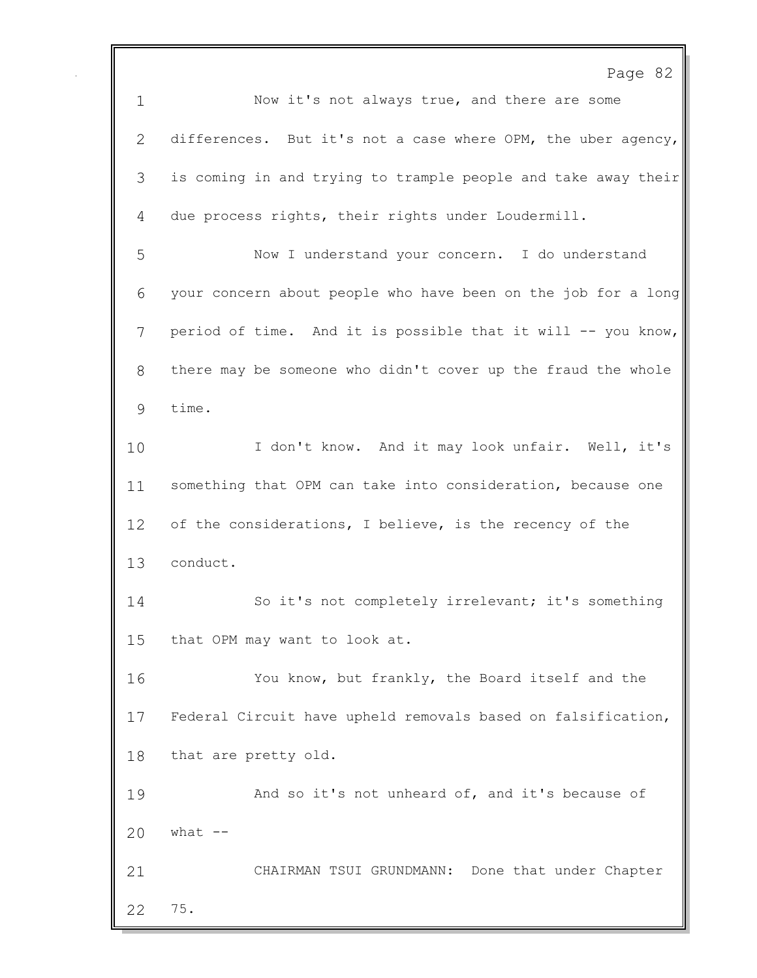Page 82 Now it's not always true, and there are some differences. But it's not a case where OPM, the uber agency, is coming in and trying to trample people and take away their due process rights, their rights under Loudermill. Now I understand your concern. I do understand your concern about people who have been on the job for a long period of time. And it is possible that it will -- you know, there may be someone who didn't cover up the fraud the whole time. 10 I don't know. And it may look unfair. Well, it's something that OPM can take into consideration, because one 12 of the considerations, I believe, is the recency of the conduct. So it's not completely irrelevant; it's something that OPM may want to look at. You know, but frankly, the Board itself and the Federal Circuit have upheld removals based on falsification, that are pretty old. And so it's not unheard of, and it's because of what  $-$  CHAIRMAN TSUI GRUNDMANN: Done that under Chapter 75.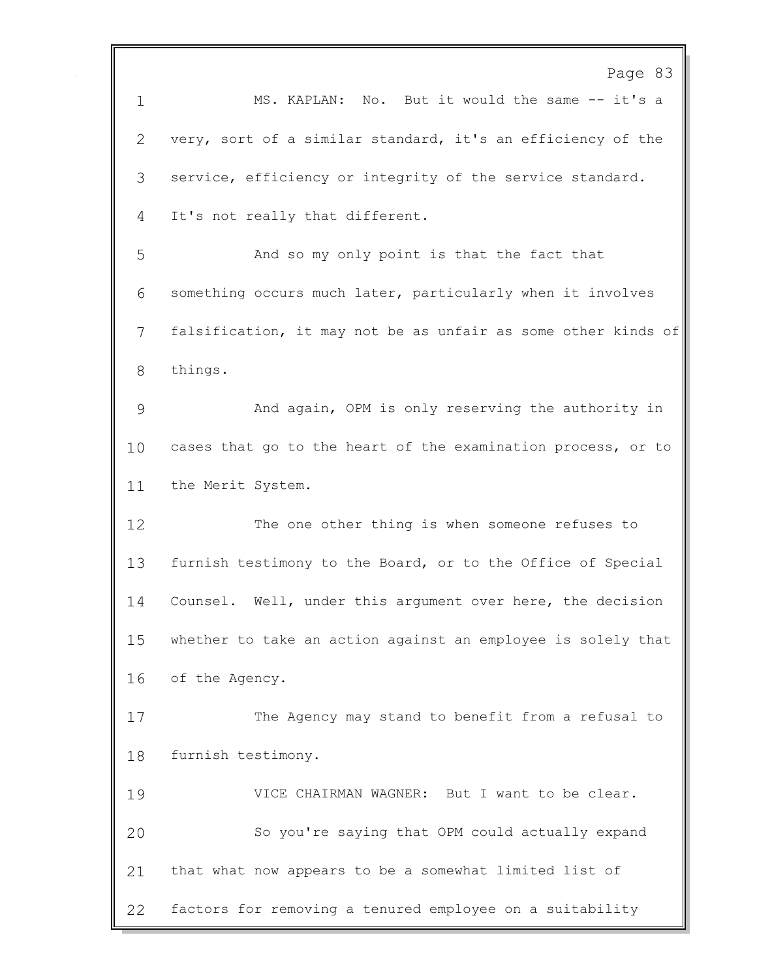Page 83 MS. KAPLAN: No. But it would the same -- it's a very, sort of a similar standard, it's an efficiency of the service, efficiency or integrity of the service standard. It's not really that different. And so my only point is that the fact that something occurs much later, particularly when it involves falsification, it may not be as unfair as some other kinds of things. And again, OPM is only reserving the authority in cases that go to the heart of the examination process, or to the Merit System. The one other thing is when someone refuses to furnish testimony to the Board, or to the Office of Special Counsel. Well, under this argument over here, the decision whether to take an action against an employee is solely that of the Agency. The Agency may stand to benefit from a refusal to furnish testimony. VICE CHAIRMAN WAGNER: But I want to be clear. So you're saying that OPM could actually expand that what now appears to be a somewhat limited list of factors for removing a tenured employee on a suitability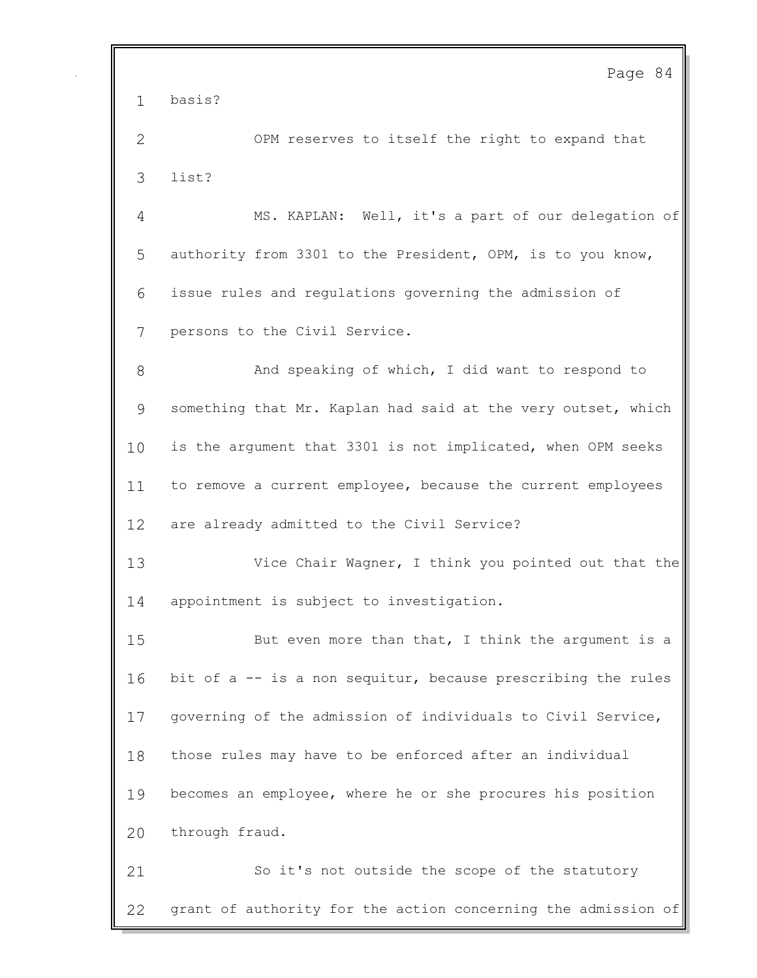basis?

 OPM reserves to itself the right to expand that list?

 MS. KAPLAN: Well, it's a part of our delegation of authority from 3301 to the President, OPM, is to you know, issue rules and regulations governing the admission of persons to the Civil Service.

8 And speaking of which, I did want to respond to something that Mr. Kaplan had said at the very outset, which is the argument that 3301 is not implicated, when OPM seeks to remove a current employee, because the current employees are already admitted to the Civil Service?

 Vice Chair Wagner, I think you pointed out that the appointment is subject to investigation.

 But even more than that, I think the argument is a bit of a -- is a non sequitur, because prescribing the rules governing of the admission of individuals to Civil Service, those rules may have to be enforced after an individual becomes an employee, where he or she procures his position through fraud.

 So it's not outside the scope of the statutory grant of authority for the action concerning the admission of

Page 84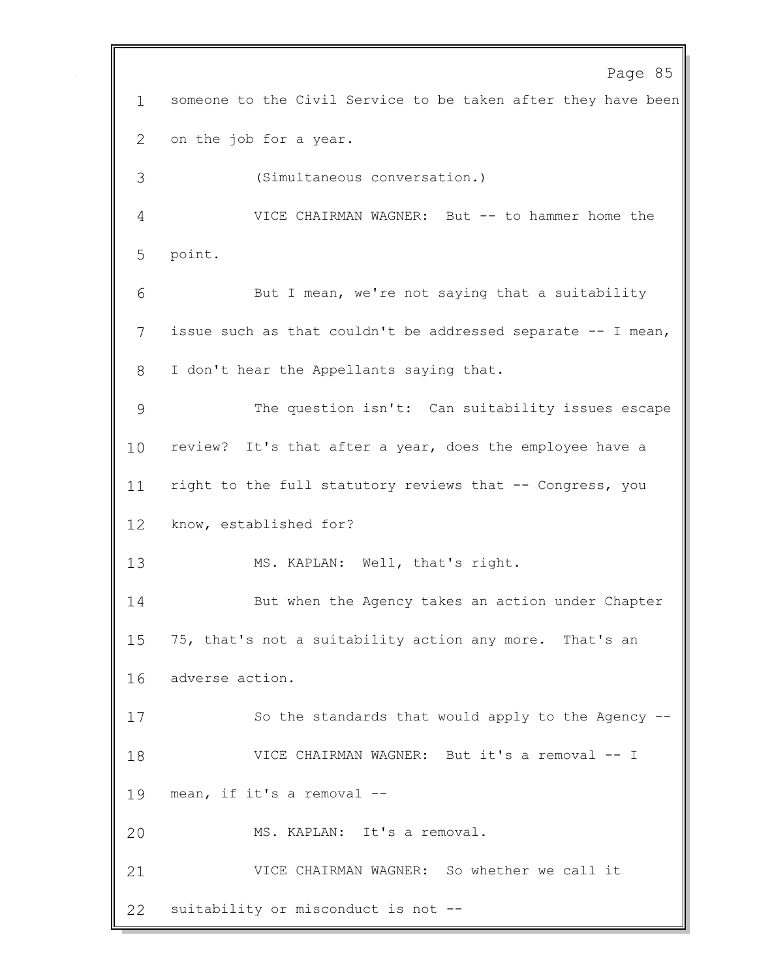Page 85 someone to the Civil Service to be taken after they have been on the job for a year. (Simultaneous conversation.) VICE CHAIRMAN WAGNER: But -- to hammer home the point. But I mean, we're not saying that a suitability issue such as that couldn't be addressed separate -- I mean, I don't hear the Appellants saying that. The question isn't: Can suitability issues escape review? It's that after a year, does the employee have a right to the full statutory reviews that -- Congress, you know, established for? MS. KAPLAN: Well, that's right. But when the Agency takes an action under Chapter 75, that's not a suitability action any more. That's an adverse action. So the standards that would apply to the Agency -- VICE CHAIRMAN WAGNER: But it's a removal -- I mean, if it's a removal -- MS. KAPLAN: It's a removal. VICE CHAIRMAN WAGNER: So whether we call it suitability or misconduct is not --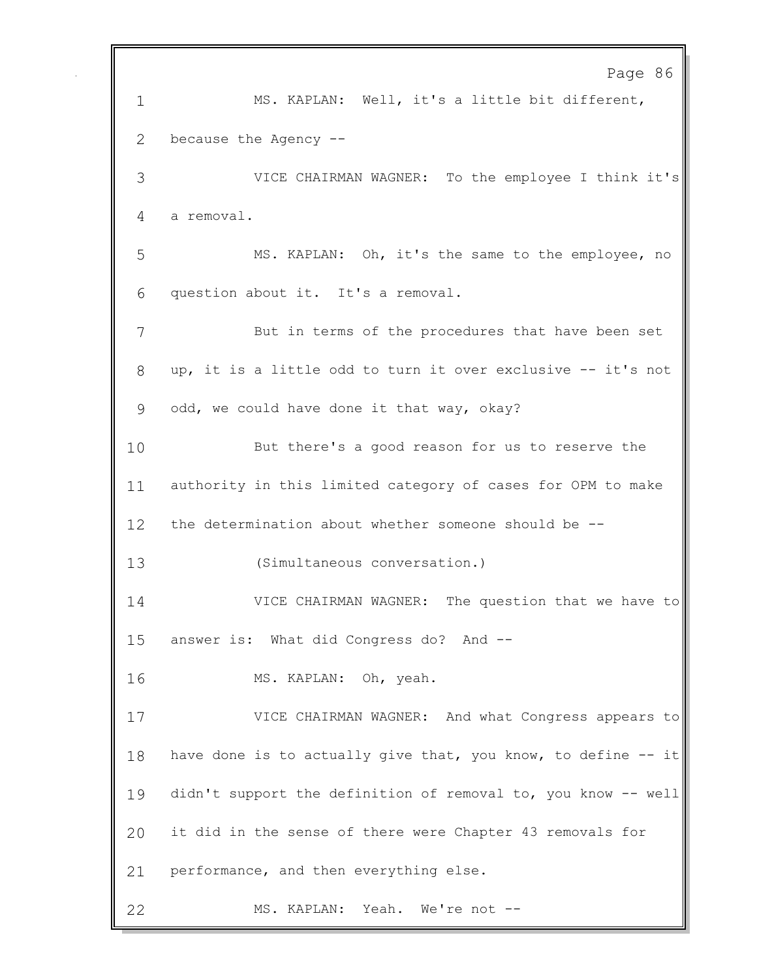Page 86 MS. KAPLAN: Well, it's a little bit different, because the Agency -- VICE CHAIRMAN WAGNER: To the employee I think it's a removal. MS. KAPLAN: Oh, it's the same to the employee, no question about it. It's a removal. But in terms of the procedures that have been set up, it is a little odd to turn it over exclusive -- it's not odd, we could have done it that way, okay? But there's a good reason for us to reserve the authority in this limited category of cases for OPM to make the determination about whether someone should be -- (Simultaneous conversation.) VICE CHAIRMAN WAGNER: The question that we have to answer is: What did Congress do? And -- MS. KAPLAN: Oh, yeah. VICE CHAIRMAN WAGNER: And what Congress appears to 18 have done is to actually give that, you know, to define -- it didn't support the definition of removal to, you know -- well it did in the sense of there were Chapter 43 removals for performance, and then everything else. MS. KAPLAN: Yeah. We're not --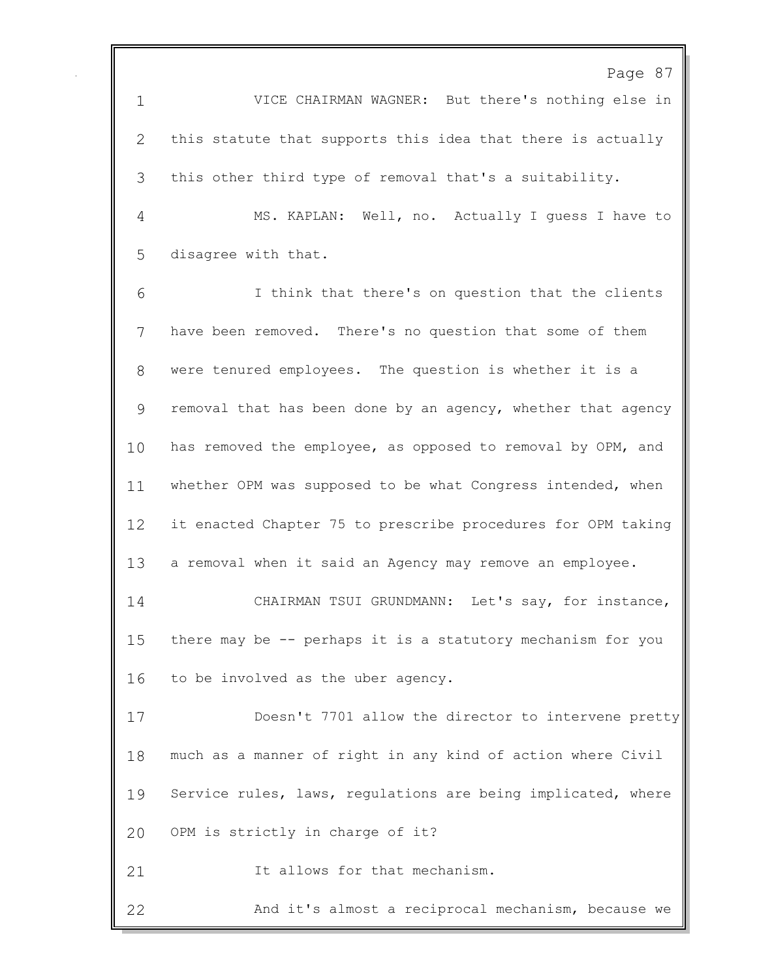Page 87 VICE CHAIRMAN WAGNER: But there's nothing else in this statute that supports this idea that there is actually this other third type of removal that's a suitability. MS. KAPLAN: Well, no. Actually I guess I have to disagree with that. I think that there's on question that the clients have been removed. There's no question that some of them were tenured employees. The question is whether it is a removal that has been done by an agency, whether that agency has removed the employee, as opposed to removal by OPM, and 11 whether OPM was supposed to be what Congress intended, when it enacted Chapter 75 to prescribe procedures for OPM taking a removal when it said an Agency may remove an employee. CHAIRMAN TSUI GRUNDMANN: Let's say, for instance, there may be -- perhaps it is a statutory mechanism for you to be involved as the uber agency. Doesn't 7701 allow the director to intervene pretty much as a manner of right in any kind of action where Civil Service rules, laws, regulations are being implicated, where OPM is strictly in charge of it? 21 The allows for that mechanism.

And it's almost a reciprocal mechanism, because we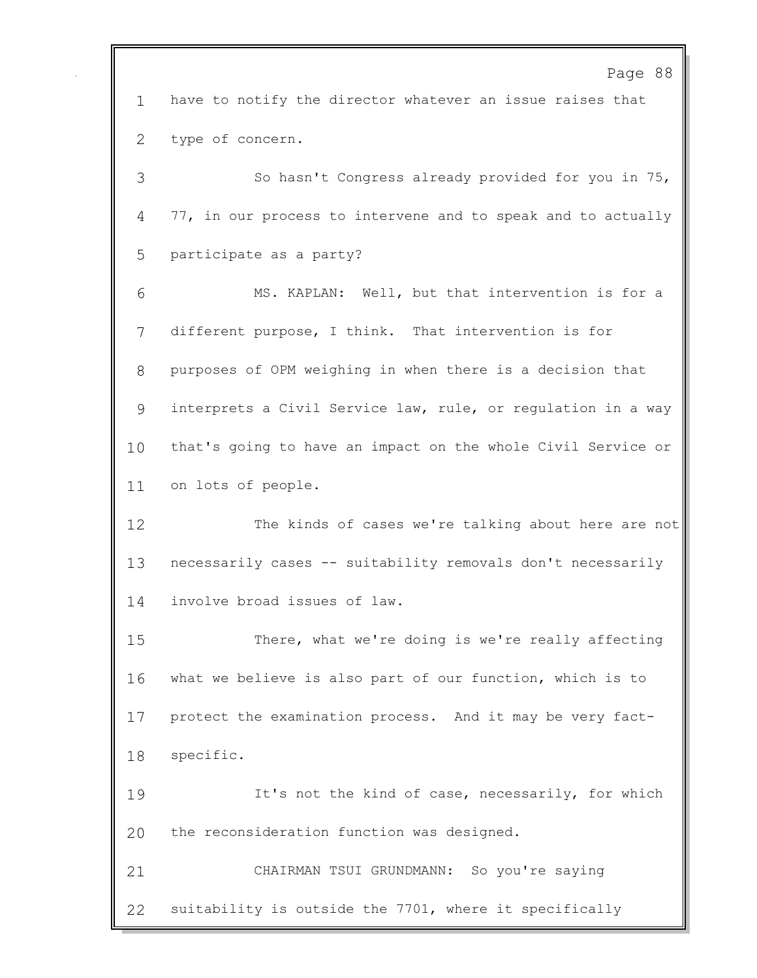Page 88 have to notify the director whatever an issue raises that type of concern. So hasn't Congress already provided for you in 75, 77, in our process to intervene and to speak and to actually participate as a party? MS. KAPLAN: Well, but that intervention is for a different purpose, I think. That intervention is for purposes of OPM weighing in when there is a decision that interprets a Civil Service law, rule, or regulation in a way that's going to have an impact on the whole Civil Service or on lots of people. The kinds of cases we're talking about here are not necessarily cases -- suitability removals don't necessarily involve broad issues of law. There, what we're doing is we're really affecting what we believe is also part of our function, which is to protect the examination process. And it may be very fact- specific. 19 It's not the kind of case, necessarily, for which the reconsideration function was designed. CHAIRMAN TSUI GRUNDMANN: So you're saying suitability is outside the 7701, where it specifically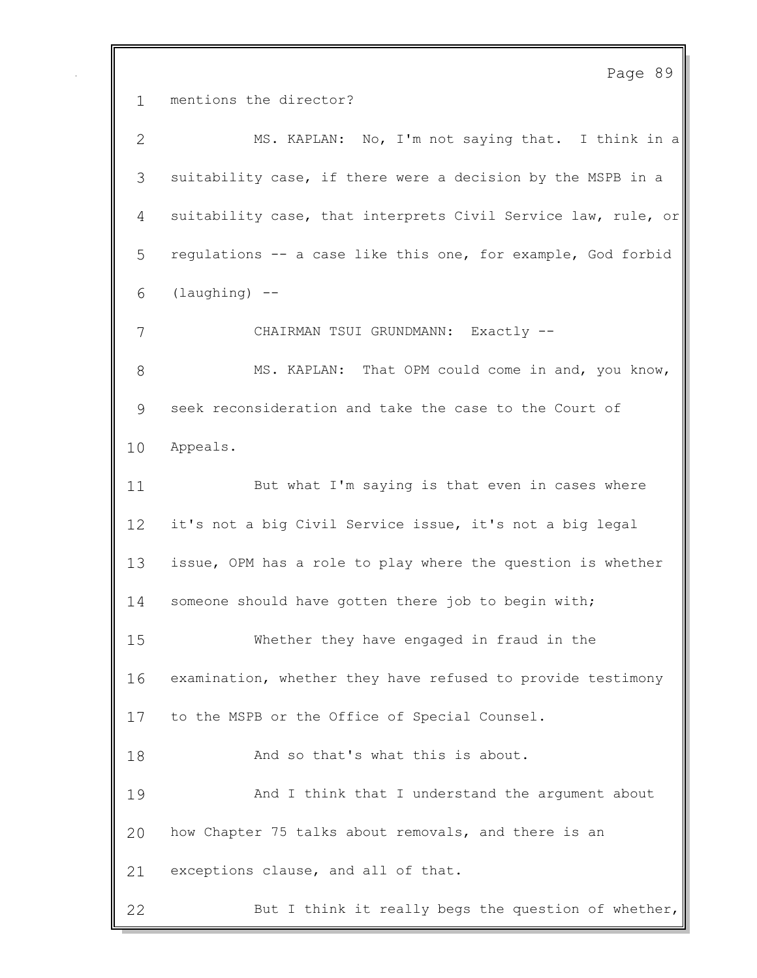Page 89 mentions the director? MS. KAPLAN: No, I'm not saying that. I think in a suitability case, if there were a decision by the MSPB in a suitability case, that interprets Civil Service law, rule, or regulations -- a case like this one, for example, God forbid (laughing)  $-$ 7 CHAIRMAN TSUI GRUNDMANN: Exactly -- MS. KAPLAN: That OPM could come in and, you know, seek reconsideration and take the case to the Court of Appeals. 11 But what I'm saying is that even in cases where it's not a big Civil Service issue, it's not a big legal issue, OPM has a role to play where the question is whether 14 someone should have gotten there job to begin with; Whether they have engaged in fraud in the examination, whether they have refused to provide testimony to the MSPB or the Office of Special Counsel. 18 And so that's what this is about. And I think that I understand the argument about how Chapter 75 talks about removals, and there is an exceptions clause, and all of that. 22 But I think it really begs the question of whether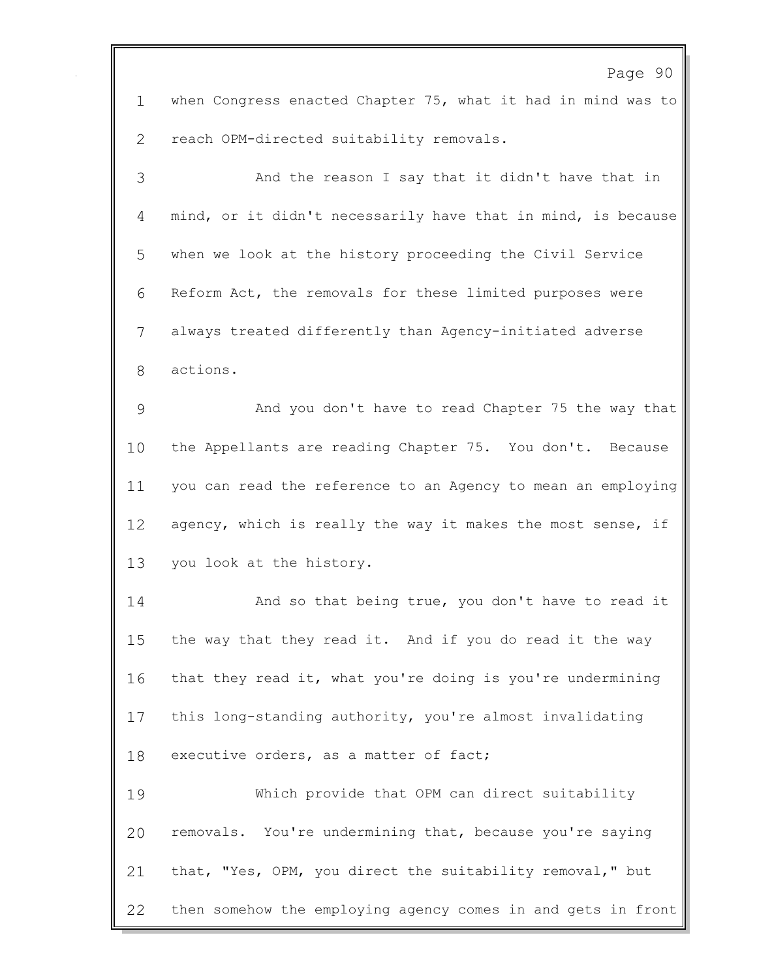when Congress enacted Chapter 75, what it had in mind was to reach OPM-directed suitability removals. And the reason I say that it didn't have that in

 mind, or it didn't necessarily have that in mind, is because when we look at the history proceeding the Civil Service Reform Act, the removals for these limited purposes were always treated differently than Agency-initiated adverse actions.

 And you don't have to read Chapter 75 the way that the Appellants are reading Chapter 75. You don't. Because you can read the reference to an Agency to mean an employing 12 agency, which is really the way it makes the most sense, if you look at the history.

**And so that being true, you don't have to read it**  the way that they read it. And if you do read it the way 16 that they read it, what you're doing is you're undermining this long-standing authority, you're almost invalidating 18 executive orders, as a matter of fact;

 Which provide that OPM can direct suitability removals. You're undermining that, because you're saying that, "Yes, OPM, you direct the suitability removal," but then somehow the employing agency comes in and gets in front

## Page 90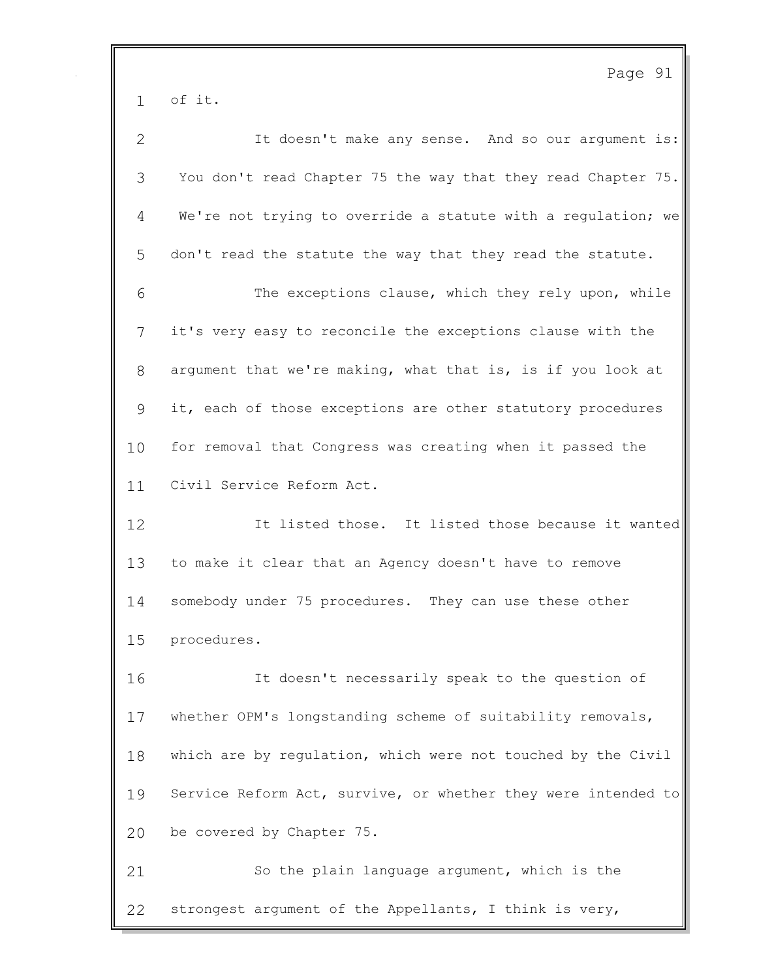Page 91 of it. It doesn't make any sense. And so our argument is: You don't read Chapter 75 the way that they read Chapter 75. We're not trying to override a statute with a regulation; we don't read the statute the way that they read the statute. The exceptions clause, which they rely upon, while it's very easy to reconcile the exceptions clause with the argument that we're making, what that is, is if you look at it, each of those exceptions are other statutory procedures for removal that Congress was creating when it passed the Civil Service Reform Act. It listed those. It listed those because it wanted to make it clear that an Agency doesn't have to remove somebody under 75 procedures. They can use these other procedures. It doesn't necessarily speak to the question of whether OPM's longstanding scheme of suitability removals, which are by regulation, which were not touched by the Civil Service Reform Act, survive, or whether they were intended to be covered by Chapter 75. So the plain language argument, which is the strongest argument of the Appellants, I think is very,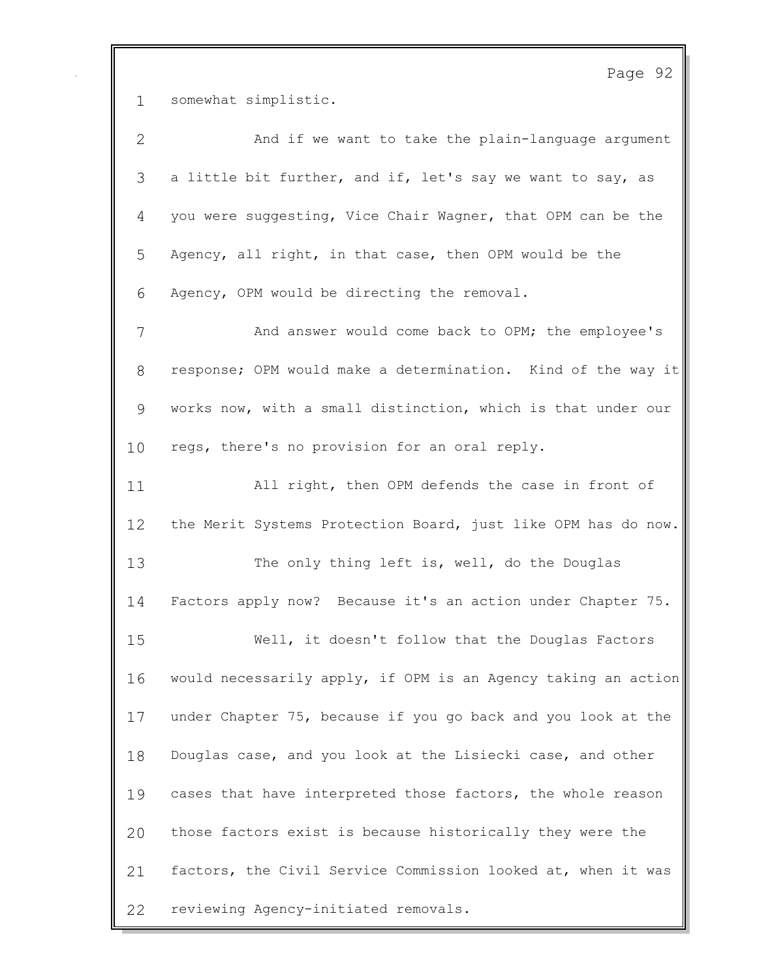somewhat simplistic.

| $\mathbf{2}$ | And if we want to take the plain-language argument            |
|--------------|---------------------------------------------------------------|
| 3            | a little bit further, and if, let's say we want to say, as    |
| 4            | you were suggesting, Vice Chair Wagner, that OPM can be the   |
| 5            | Agency, all right, in that case, then OPM would be the        |
| 6            | Agency, OPM would be directing the removal.                   |
| 7            | And answer would come back to OPM; the employee's             |
| 8            | response; OPM would make a determination. Kind of the way it  |
| 9            | works now, with a small distinction, which is that under our  |
| 10           | regs, there's no provision for an oral reply.                 |
| 11           | All right, then OPM defends the case in front of              |
| 12           | the Merit Systems Protection Board, just like OPM has do now. |
| 13           | The only thing left is, well, do the Douglas                  |
| 14           | Factors apply now? Because it's an action under Chapter 75.   |
| 15           | Well, it doesn't follow that the Douglas Factors              |
| 16           | would necessarily apply, if OPM is an Agency taking an action |
| 17           | under Chapter 75, because if you go back and you look at the  |
| 18           | Douglas case, and you look at the Lisiecki case, and other    |
| 19           | cases that have interpreted those factors, the whole reason   |
| 20           | those factors exist is because historically they were the     |
| 21           | factors, the Civil Service Commission looked at, when it was  |
| 22           | reviewing Agency-initiated removals.                          |

Page 92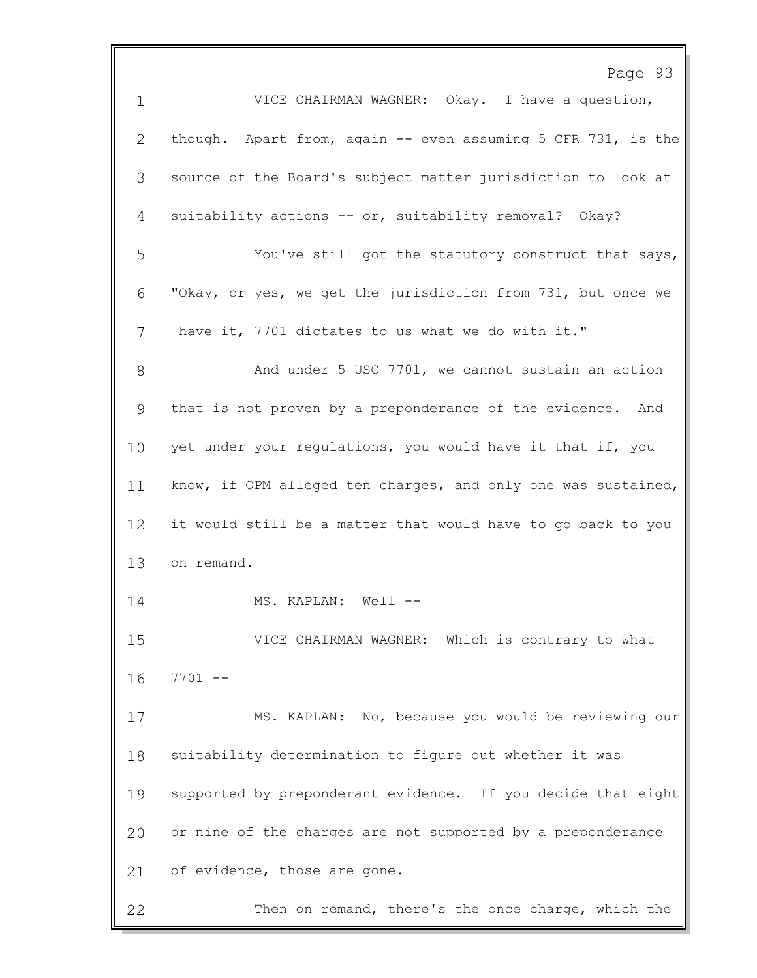Page 93 VICE CHAIRMAN WAGNER: Okay. I have a question, though. Apart from, again -- even assuming 5 CFR 731, is the source of the Board's subject matter jurisdiction to look at suitability actions -- or, suitability removal? Okay? You've still got the statutory construct that says, "Okay, or yes, we get the jurisdiction from 731, but once we have it, 7701 dictates to us what we do with it." 8 And under 5 USC 7701, we cannot sustain an action that is not proven by a preponderance of the evidence. And yet under your regulations, you would have it that if, you know, if OPM alleged ten charges, and only one was sustained, it would still be a matter that would have to go back to you on remand. 14 MS. KAPLAN: Well -- VICE CHAIRMAN WAGNER: Which is contrary to what 7701 -- MS. KAPLAN: No, because you would be reviewing our suitability determination to figure out whether it was supported by preponderant evidence. If you decide that eight or nine of the charges are not supported by a preponderance 21 of evidence, those are gone. Then on remand, there's the once charge, which the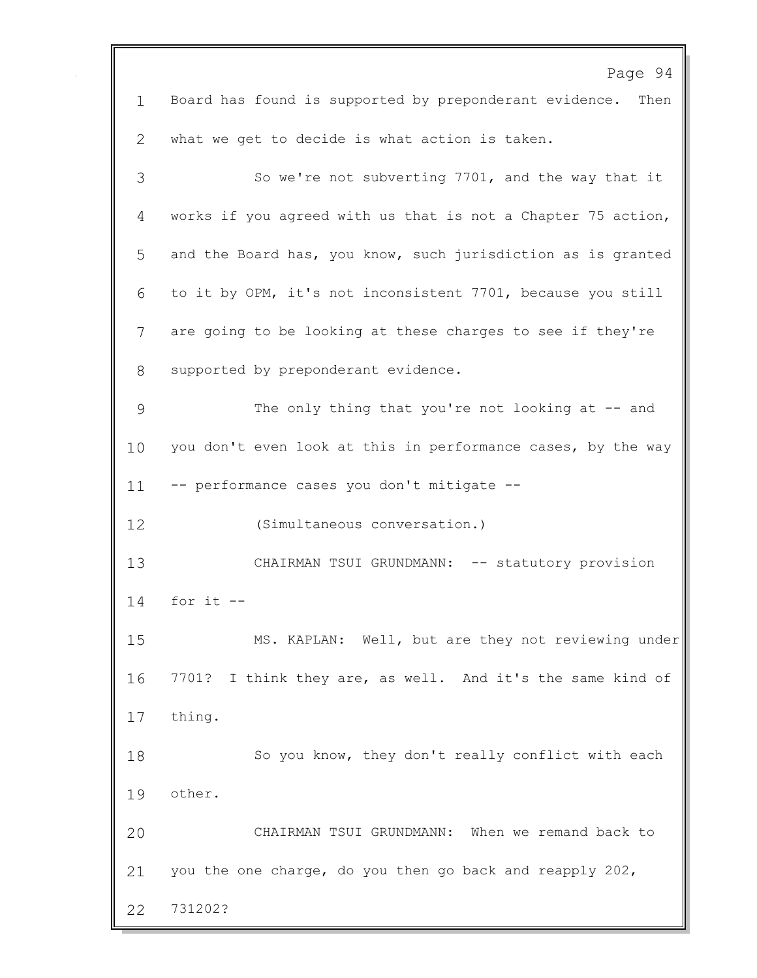|             | Page 94                                                      |
|-------------|--------------------------------------------------------------|
| $\mathbf 1$ | Board has found is supported by preponderant evidence. Then  |
| 2           | what we get to decide is what action is taken.               |
| 3           | So we're not subverting 7701, and the way that it            |
| 4           | works if you agreed with us that is not a Chapter 75 action, |
| 5           | and the Board has, you know, such jurisdiction as is granted |
| 6           | to it by OPM, it's not inconsistent 7701, because you still  |
| 7           | are going to be looking at these charges to see if they're   |
| 8           | supported by preponderant evidence.                          |
| 9           | The only thing that you're not looking at -- and             |
| 10          | you don't even look at this in performance cases, by the way |
| 11          | -- performance cases you don't mitigate --                   |
| 12          | (Simultaneous conversation.)                                 |
| 13          | CHAIRMAN TSUI GRUNDMANN: -- statutory provision              |
| 14          | for it $-$                                                   |
| 15          | MS. KAPLAN: Well, but are they not reviewing under           |
| 16          | 7701? I think they are, as well. And it's the same kind of   |
| 17          | thing.                                                       |
| 18          | So you know, they don't really conflict with each            |
| 19          | other.                                                       |
| 20          | CHAIRMAN TSUI GRUNDMANN: When we remand back to              |
| 21          | you the one charge, do you then go back and reapply 202,     |
| 22          | 731202?                                                      |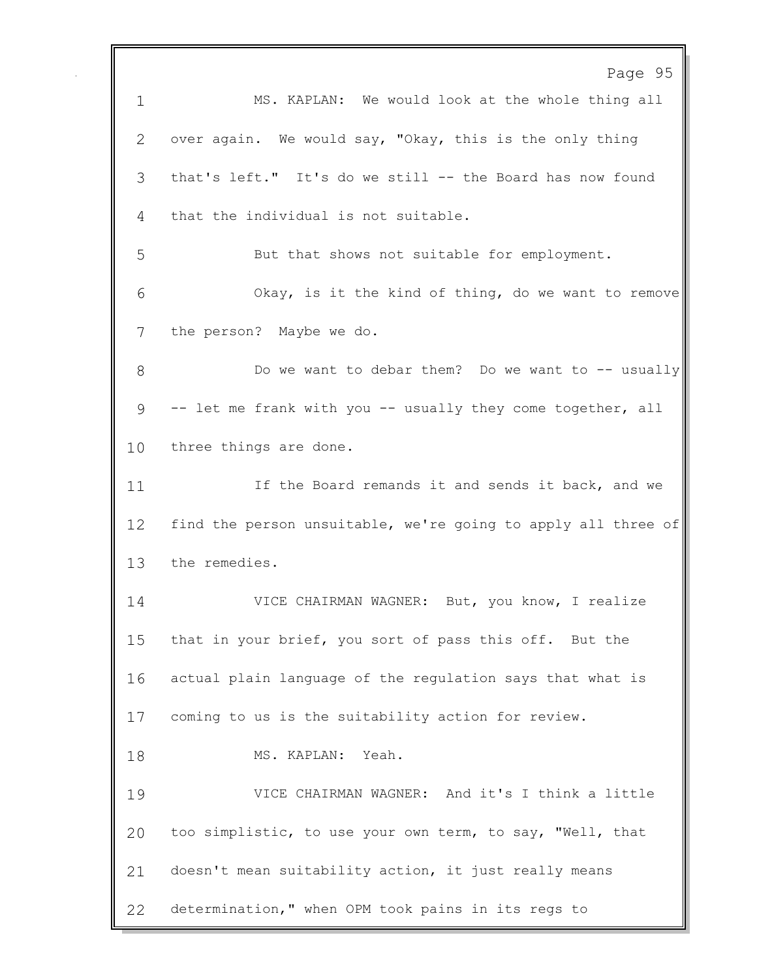Page 95 MS. KAPLAN: We would look at the whole thing all over again. We would say, "Okay, this is the only thing that's left." It's do we still -- the Board has now found that the individual is not suitable. But that shows not suitable for employment. Okay, is it the kind of thing, do we want to remove the person? Maybe we do. 8 Do we want to debar them? Do we want to -- usually -- let me frank with you -- usually they come together, all three things are done. 11 11 If the Board remands it and sends it back, and we find the person unsuitable, we're going to apply all three of the remedies. VICE CHAIRMAN WAGNER: But, you know, I realize that in your brief, you sort of pass this off. But the actual plain language of the regulation says that what is coming to us is the suitability action for review. 18 MS. KAPLAN: Yeah. VICE CHAIRMAN WAGNER: And it's I think a little too simplistic, to use your own term, to say, "Well, that doesn't mean suitability action, it just really means determination," when OPM took pains in its regs to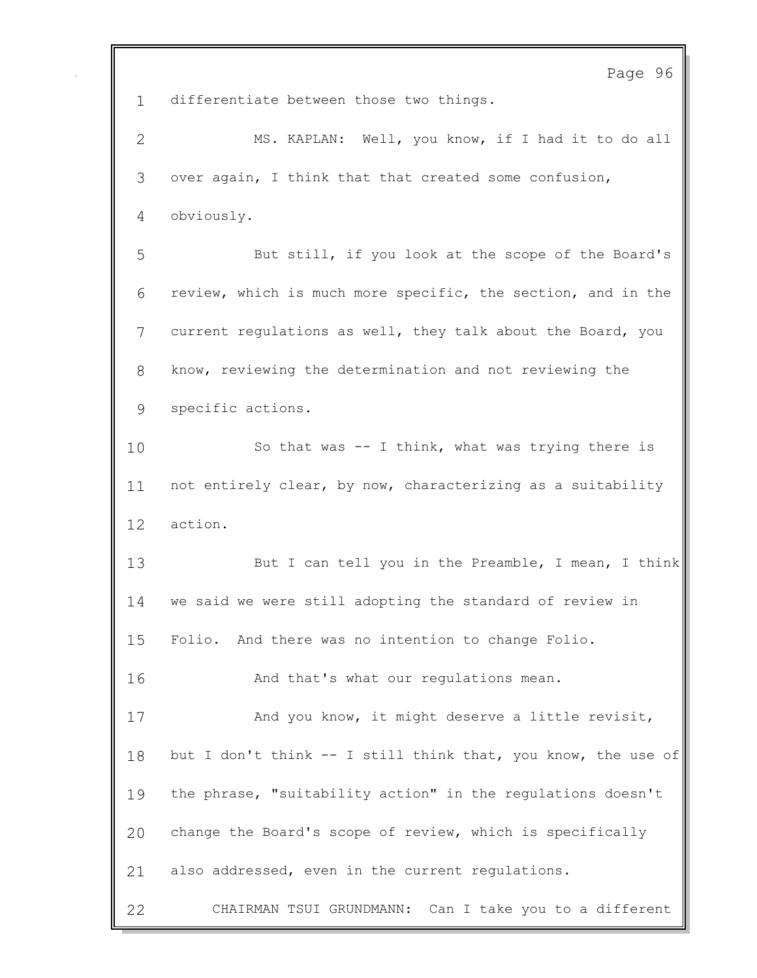Page 96 differentiate between those two things. MS. KAPLAN: Well, you know, if I had it to do all over again, I think that that created some confusion, obviously. But still, if you look at the scope of the Board's review, which is much more specific, the section, and in the current regulations as well, they talk about the Board, you know, reviewing the determination and not reviewing the specific actions. So that was -- I think, what was trying there is not entirely clear, by now, characterizing as a suitability action. 13 But I can tell you in the Preamble, I mean, I think we said we were still adopting the standard of review in Folio. And there was no intention to change Folio. And that's what our regulations mean. And you know, it might deserve a little revisit, but I don't think -- I still think that, you know, the use of the phrase, "suitability action" in the regulations doesn't change the Board's scope of review, which is specifically also addressed, even in the current regulations. CHAIRMAN TSUI GRUNDMANN: Can I take you to a different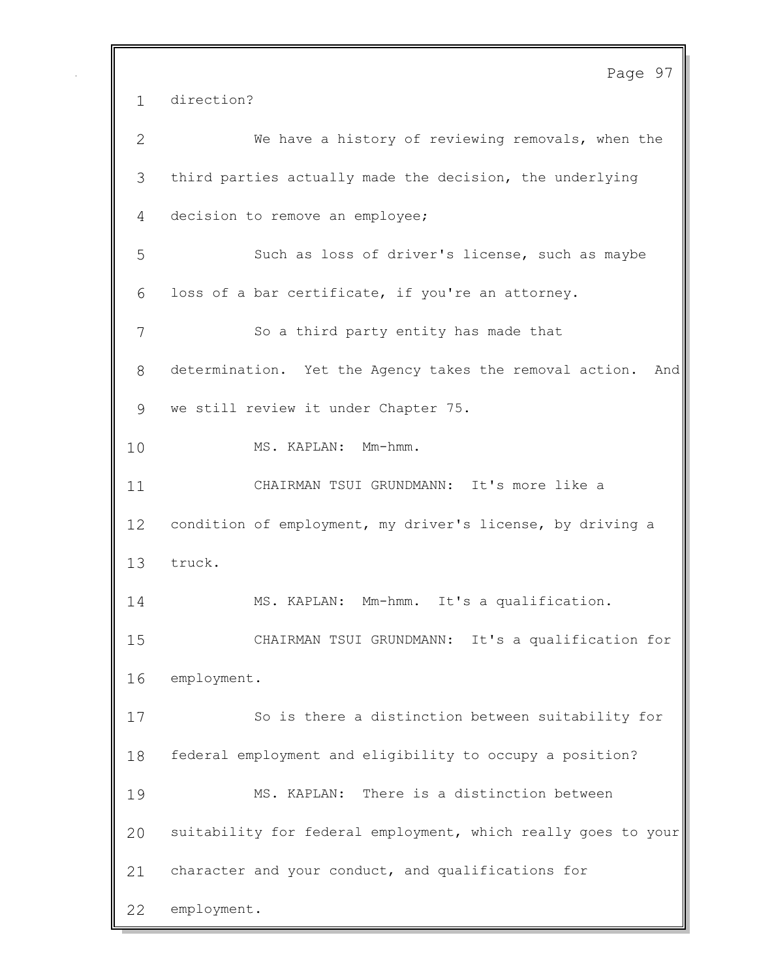Page 97 direction? We have a history of reviewing removals, when the third parties actually made the decision, the underlying decision to remove an employee; Such as loss of driver's license, such as maybe loss of a bar certificate, if you're an attorney. So a third party entity has made that determination. Yet the Agency takes the removal action. And we still review it under Chapter 75. MS. KAPLAN: Mm-hmm. CHAIRMAN TSUI GRUNDMANN: It's more like a condition of employment, my driver's license, by driving a truck. MS. KAPLAN: Mm-hmm. It's a qualification. CHAIRMAN TSUI GRUNDMANN: It's a qualification for employment. So is there a distinction between suitability for federal employment and eligibility to occupy a position? MS. KAPLAN: There is a distinction between suitability for federal employment, which really goes to your character and your conduct, and qualifications for employment.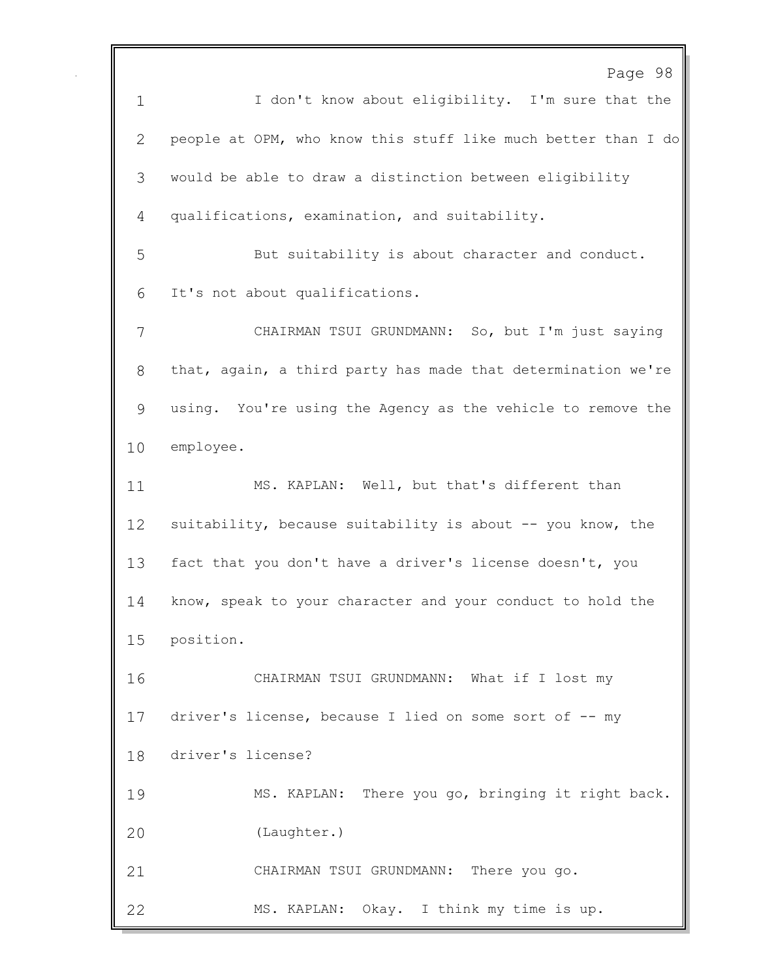Page 98 1 I don't know about eligibility. I'm sure that the people at OPM, who know this stuff like much better than I do would be able to draw a distinction between eligibility qualifications, examination, and suitability. But suitability is about character and conduct. It's not about qualifications. CHAIRMAN TSUI GRUNDMANN: So, but I'm just saying that, again, a third party has made that determination we're using. You're using the Agency as the vehicle to remove the employee. MS. KAPLAN: Well, but that's different than 12 suitability, because suitability is about -- you know, the fact that you don't have a driver's license doesn't, you know, speak to your character and your conduct to hold the position. CHAIRMAN TSUI GRUNDMANN: What if I lost my 17 driver's license, because I lied on some sort of -- my driver's license? MS. KAPLAN: There you go, bringing it right back. (Laughter.) CHAIRMAN TSUI GRUNDMANN: There you go. MS. KAPLAN: Okay. I think my time is up.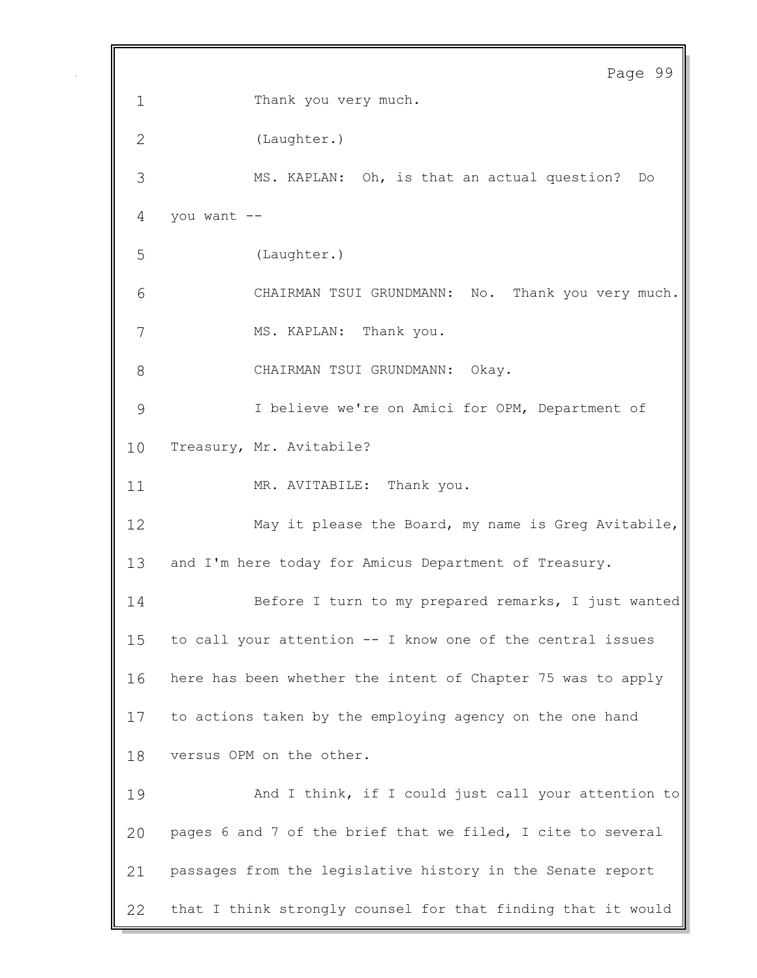```
Page 99
 1 Thank you very much. 
 2 (Laughter.) 
 3 MS. KAPLAN: Oh, is that an actual question? Do 
 4 you want -5 (Laughter.) 
 6 CHAIRMAN TSUI GRUNDMANN: No. Thank you very much. 
 7 MS. KAPLAN: Thank you.
 8 CHAIRMAN TSUI GRUNDMANN: Okay. 
 9 I believe we're on Amici for OPM, Department of 
10 Treasury, Mr. Avitabile? 
11 MR. AVITABILE: Thank you.
12 May it please the Board, my name is Greg Avitabile, 
13 and I'm here today for Amicus Department of Treasury.
14 Before I turn to my prepared remarks, I just wanted 
15 to call your attention -- I know one of the central issues 
16 here has been whether the intent of Chapter 75 was to apply 
17 to actions taken by the employing agency on the one hand 
18 versus OPM on the other. 
19 And I think, if I could just call your attention to
20 pages 6 and 7 of the brief that we filed, I cite to several 
21 passages from the legislative history in the Senate report 
22 that I think strongly counsel for that finding that it would
```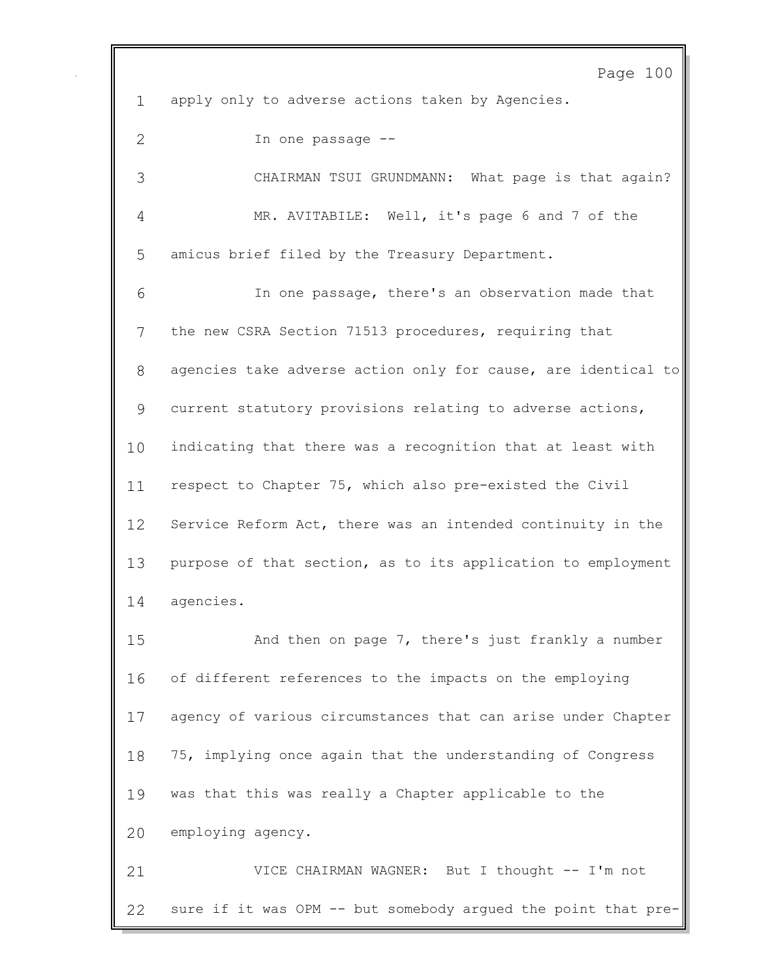apply only to adverse actions taken by Agencies.

Page 100

 In one passage -- CHAIRMAN TSUI GRUNDMANN: What page is that again? MR. AVITABILE: Well, it's page 6 and 7 of the amicus brief filed by the Treasury Department. In one passage, there's an observation made that the new CSRA Section 71513 procedures, requiring that agencies take adverse action only for cause, are identical to current statutory provisions relating to adverse actions, indicating that there was a recognition that at least with respect to Chapter 75, which also pre-existed the Civil Service Reform Act, there was an intended continuity in the purpose of that section, as to its application to employment agencies. And then on page 7, there's just frankly a number of different references to the impacts on the employing agency of various circumstances that can arise under Chapter 75, implying once again that the understanding of Congress

was that this was really a Chapter applicable to the

employing agency.

 VICE CHAIRMAN WAGNER: But I thought -- I'm not sure if it was OPM -- but somebody argued the point that pre-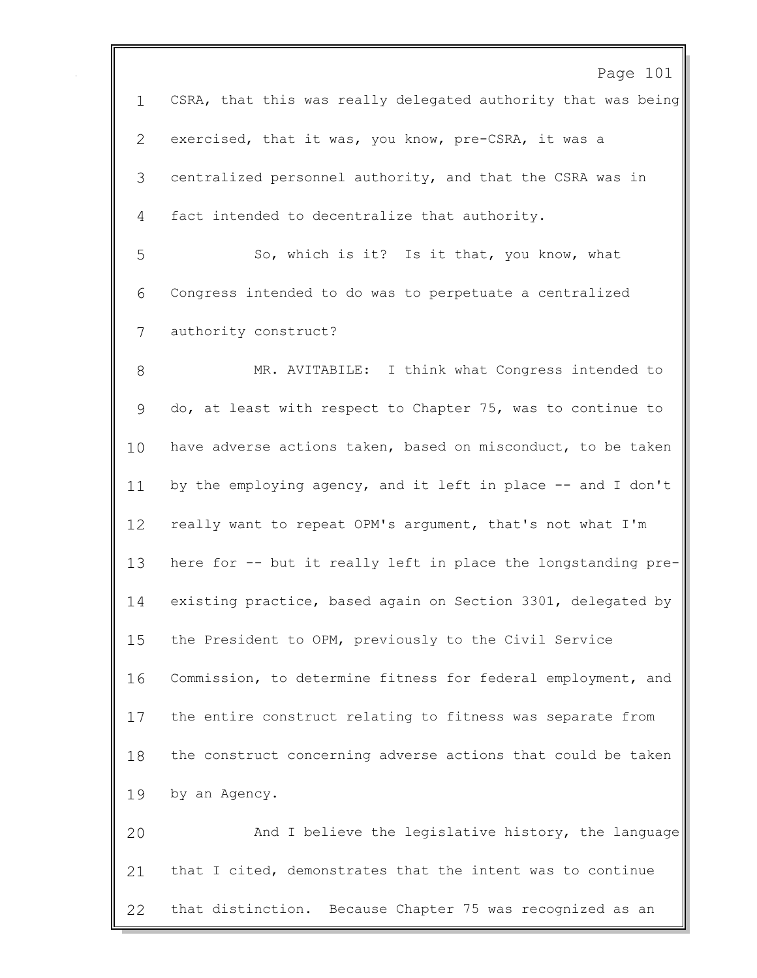Page 101 CSRA, that this was really delegated authority that was being exercised, that it was, you know, pre-CSRA, it was a centralized personnel authority, and that the CSRA was in fact intended to decentralize that authority. So, which is it? Is it that, you know, what Congress intended to do was to perpetuate a centralized authority construct? MR. AVITABILE: I think what Congress intended to do, at least with respect to Chapter 75, was to continue to have adverse actions taken, based on misconduct, to be taken 11 by the employing agency, and it left in place -- and I don't really want to repeat OPM's argument, that's not what I'm here for -- but it really left in place the longstanding pre- existing practice, based again on Section 3301, delegated by the President to OPM, previously to the Civil Service Commission, to determine fitness for federal employment, and the entire construct relating to fitness was separate from the construct concerning adverse actions that could be taken by an Agency. And I believe the legislative history, the language that I cited, demonstrates that the intent was to continue that distinction. Because Chapter 75 was recognized as an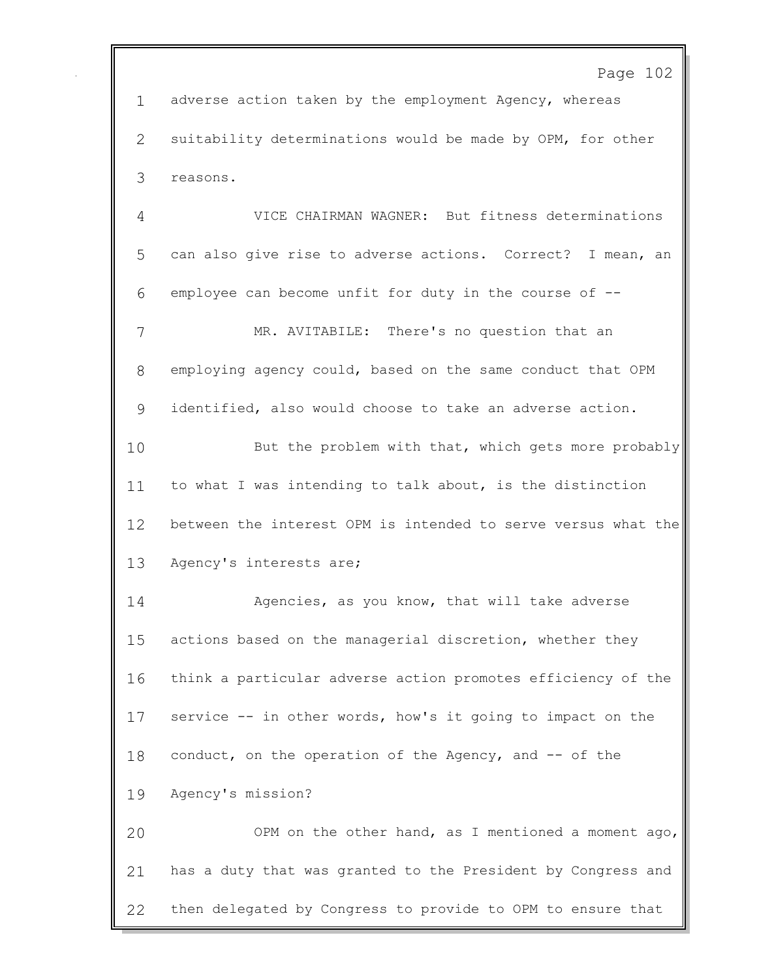Page 102

 adverse action taken by the employment Agency, whereas suitability determinations would be made by OPM, for other reasons.

 VICE CHAIRMAN WAGNER: But fitness determinations can also give rise to adverse actions. Correct? I mean, an employee can become unfit for duty in the course of -- MR. AVITABILE: There's no question that an employing agency could, based on the same conduct that OPM identified, also would choose to take an adverse action. 10 But the problem with that, which gets more probably to what I was intending to talk about, is the distinction between the interest OPM is intended to serve versus what the Agency's interests are; Agencies, as you know, that will take adverse actions based on the managerial discretion, whether they think a particular adverse action promotes efficiency of the service -- in other words, how's it going to impact on the conduct, on the operation of the Agency, and -- of the Agency's mission? OPM on the other hand, as I mentioned a moment ago, has a duty that was granted to the President by Congress and then delegated by Congress to provide to OPM to ensure that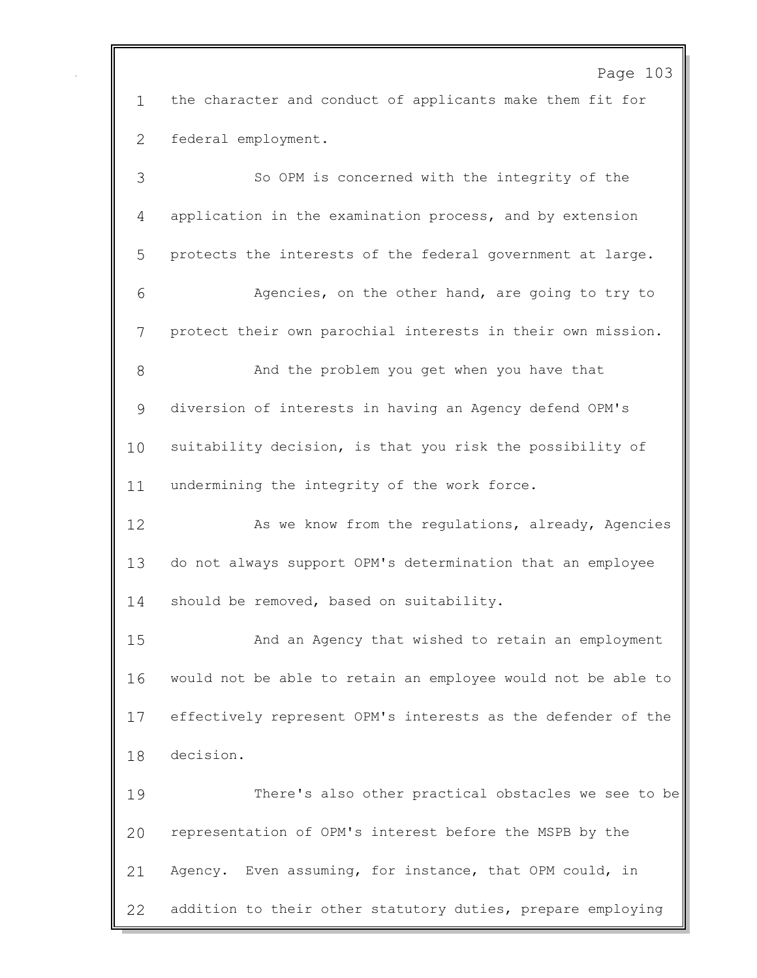Page 103

 the character and conduct of applicants make them fit for federal employment.

 So OPM is concerned with the integrity of the application in the examination process, and by extension protects the interests of the federal government at large. Agencies, on the other hand, are going to try to protect their own parochial interests in their own mission. And the problem you get when you have that diversion of interests in having an Agency defend OPM's suitability decision, is that you risk the possibility of undermining the integrity of the work force. 12 As we know from the regulations, already, Agencies do not always support OPM's determination that an employee 14 should be removed, based on suitability. And an Agency that wished to retain an employment would not be able to retain an employee would not be able to effectively represent OPM's interests as the defender of the decision. There's also other practical obstacles we see to be representation of OPM's interest before the MSPB by the Agency. Even assuming, for instance, that OPM could, in addition to their other statutory duties, prepare employing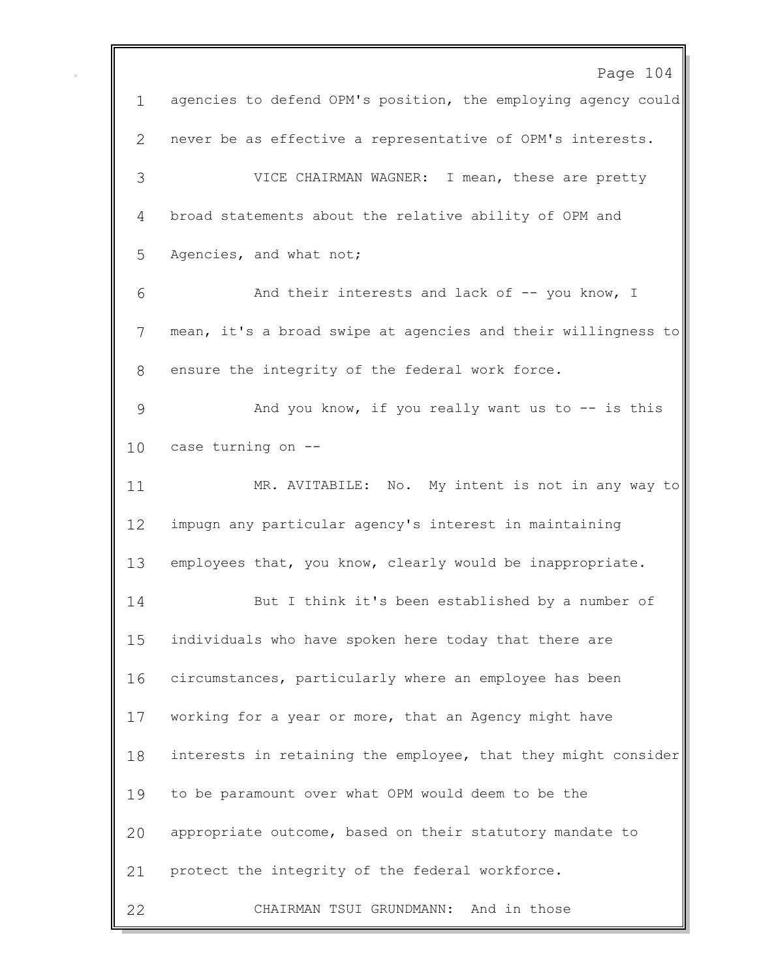Page 104 agencies to defend OPM's position, the employing agency could never be as effective a representative of OPM's interests. VICE CHAIRMAN WAGNER: I mean, these are pretty broad statements about the relative ability of OPM and Agencies, and what not; And their interests and lack of -- you know, I mean, it's a broad swipe at agencies and their willingness to ensure the integrity of the federal work force. And you know, if you really want us to -- is this case turning on -- MR. AVITABILE: No. My intent is not in any way to impugn any particular agency's interest in maintaining employees that, you know, clearly would be inappropriate. But I think it's been established by a number of individuals who have spoken here today that there are circumstances, particularly where an employee has been working for a year or more, that an Agency might have interests in retaining the employee, that they might consider to be paramount over what OPM would deem to be the appropriate outcome, based on their statutory mandate to protect the integrity of the federal workforce. CHAIRMAN TSUI GRUNDMANN: And in those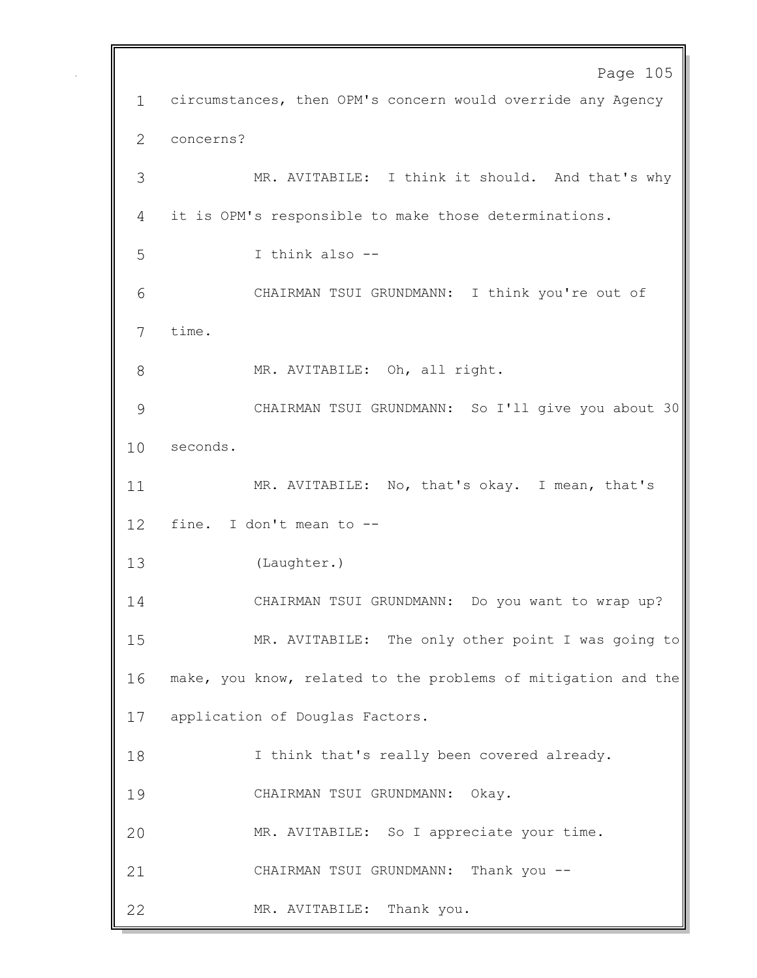Page 105 circumstances, then OPM's concern would override any Agency concerns? MR. AVITABILE: I think it should. And that's why it is OPM's responsible to make those determinations. I think also -- CHAIRMAN TSUI GRUNDMANN: I think you're out of time. 8 MR. AVITABILE: Oh, all right. CHAIRMAN TSUI GRUNDMANN: So I'll give you about 30 seconds. MR. AVITABILE: No, that's okay. I mean, that's fine. I don't mean to -- (Laughter.) CHAIRMAN TSUI GRUNDMANN: Do you want to wrap up? MR. AVITABILE: The only other point I was going to make, you know, related to the problems of mitigation and the application of Douglas Factors. I think that's really been covered already. CHAIRMAN TSUI GRUNDMANN: Okay. MR. AVITABILE: So I appreciate your time. CHAIRMAN TSUI GRUNDMANN: Thank you -- MR. AVITABILE: Thank you.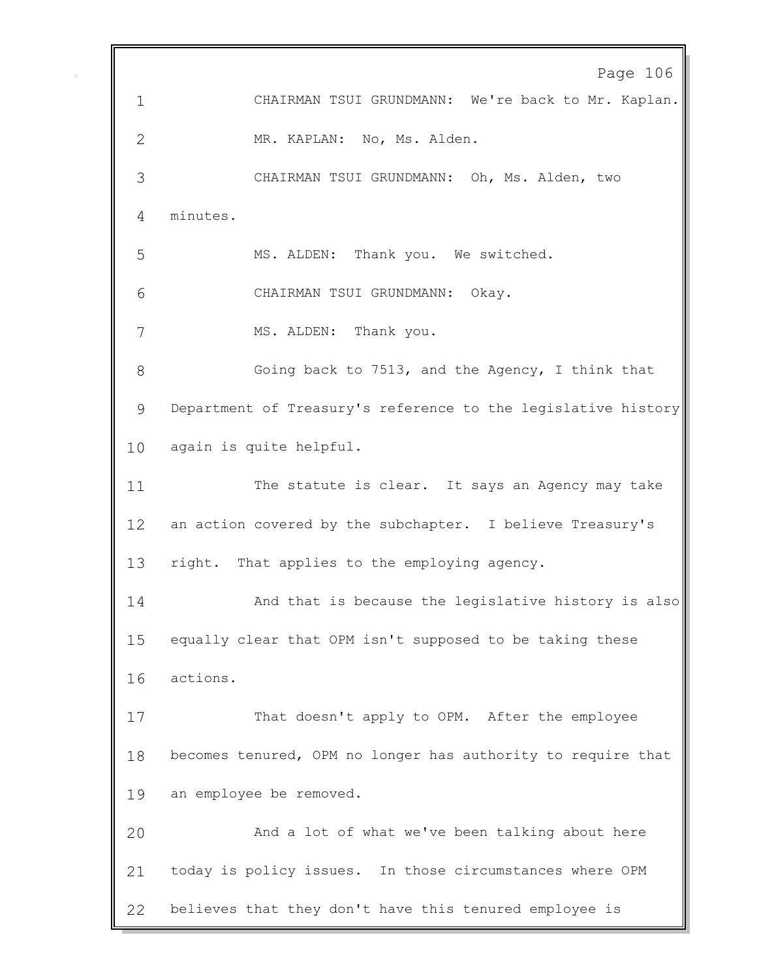Page 106 CHAIRMAN TSUI GRUNDMANN: We're back to Mr. Kaplan. MR. KAPLAN: No, Ms. Alden. CHAIRMAN TSUI GRUNDMANN: Oh, Ms. Alden, two minutes. MS. ALDEN: Thank you. We switched. CHAIRMAN TSUI GRUNDMANN: Okay. 7 MS. ALDEN: Thank you. Going back to 7513, and the Agency, I think that Department of Treasury's reference to the legislative history again is quite helpful. The statute is clear. It says an Agency may take an action covered by the subchapter. I believe Treasury's right. That applies to the employing agency. And that is because the legislative history is also equally clear that OPM isn't supposed to be taking these actions. That doesn't apply to OPM. After the employee becomes tenured, OPM no longer has authority to require that an employee be removed. And a lot of what we've been talking about here today is policy issues. In those circumstances where OPM believes that they don't have this tenured employee is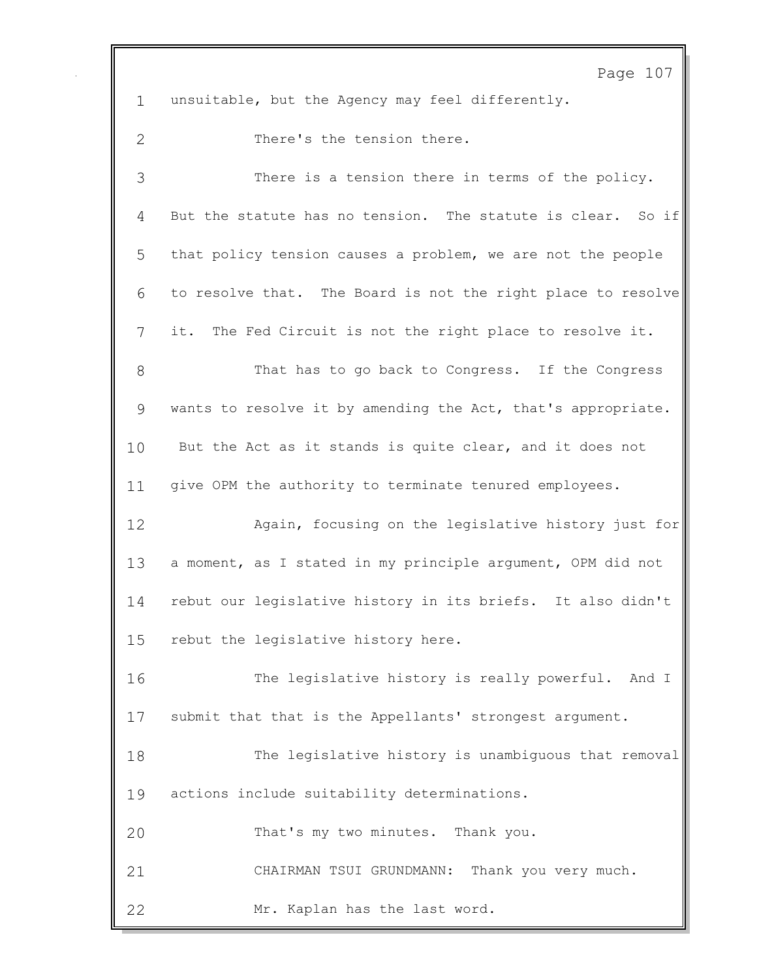Page 107 unsuitable, but the Agency may feel differently. There's the tension there. There is a tension there in terms of the policy. But the statute has no tension. The statute is clear. So if that policy tension causes a problem, we are not the people to resolve that. The Board is not the right place to resolve it. The Fed Circuit is not the right place to resolve it. That has to go back to Congress. If the Congress wants to resolve it by amending the Act, that's appropriate. But the Act as it stands is quite clear, and it does not give OPM the authority to terminate tenured employees. Again, focusing on the legislative history just for a moment, as I stated in my principle argument, OPM did not rebut our legislative history in its briefs. It also didn't rebut the legislative history here. The legislative history is really powerful. And I submit that that is the Appellants' strongest argument. The legislative history is unambiguous that removal actions include suitability determinations. That's my two minutes. Thank you. CHAIRMAN TSUI GRUNDMANN: Thank you very much. Mr. Kaplan has the last word.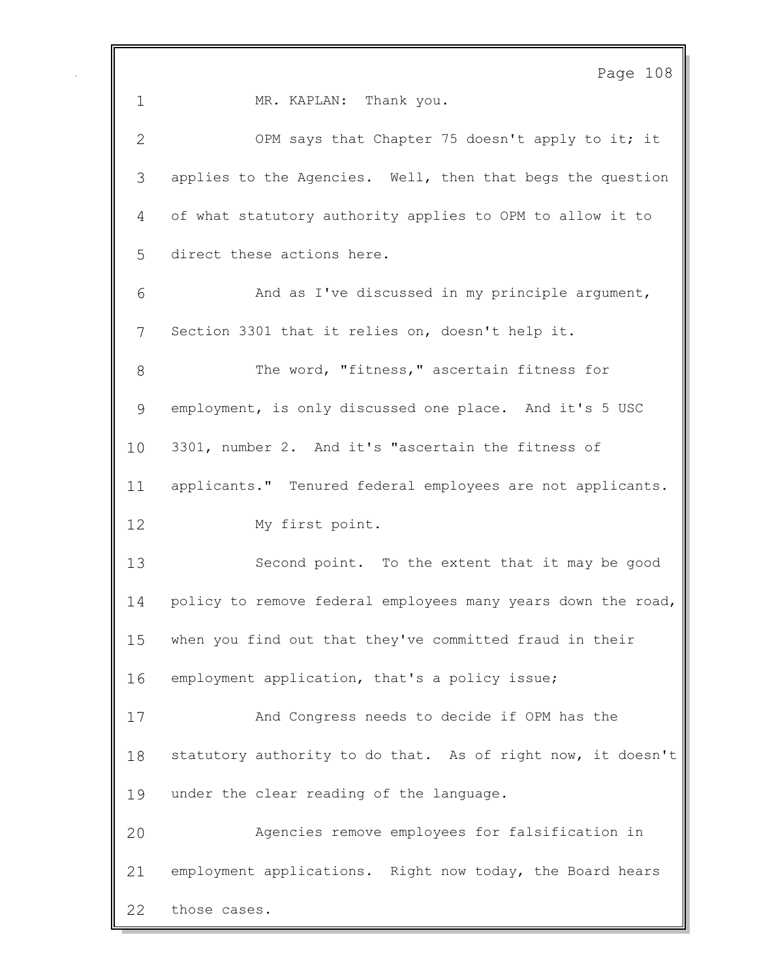Page 108 1 MR. KAPLAN: Thank you. OPM says that Chapter 75 doesn't apply to it; it applies to the Agencies. Well, then that begs the question of what statutory authority applies to OPM to allow it to direct these actions here. And as I've discussed in my principle argument, Section 3301 that it relies on, doesn't help it. 8 The word, "fitness," ascertain fitness for employment, is only discussed one place. And it's 5 USC 3301, number 2. And it's "ascertain the fitness of applicants." Tenured federal employees are not applicants. My first point. Second point. To the extent that it may be good policy to remove federal employees many years down the road, when you find out that they've committed fraud in their employment application, that's a policy issue; And Congress needs to decide if OPM has the statutory authority to do that. As of right now, it doesn't under the clear reading of the language. Agencies remove employees for falsification in employment applications. Right now today, the Board hears those cases.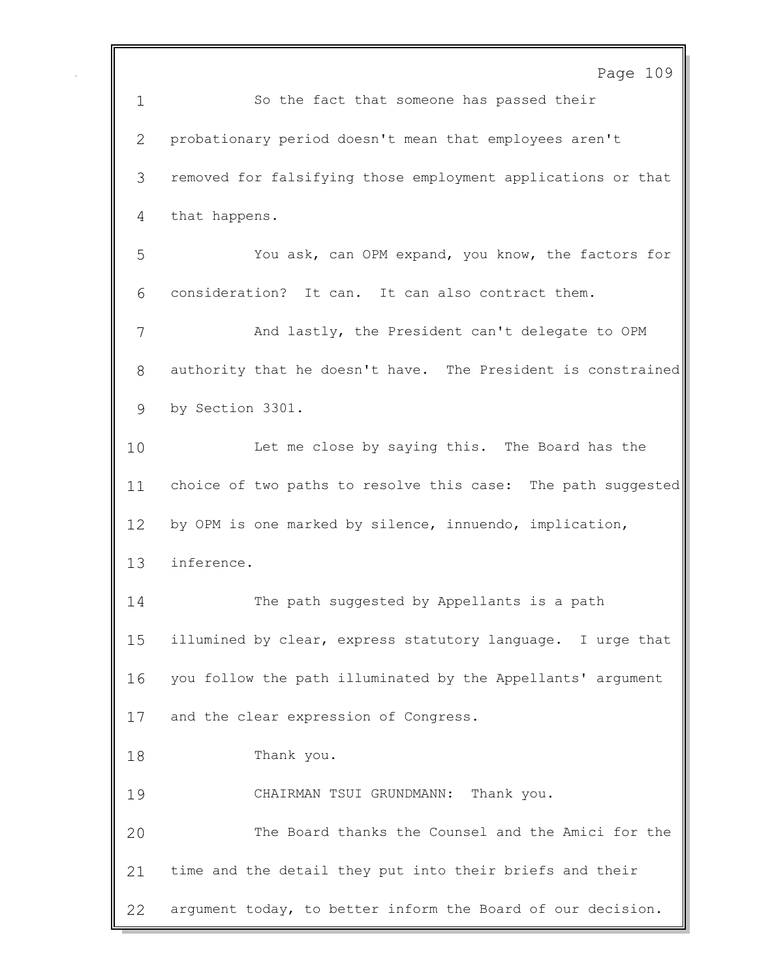Page 109 So the fact that someone has passed their probationary period doesn't mean that employees aren't removed for falsifying those employment applications or that that happens. You ask, can OPM expand, you know, the factors for consideration? It can. It can also contract them. And lastly, the President can't delegate to OPM authority that he doesn't have. The President is constrained by Section 3301. Let me close by saying this. The Board has the choice of two paths to resolve this case: The path suggested by OPM is one marked by silence, innuendo, implication, inference. The path suggested by Appellants is a path illumined by clear, express statutory language. I urge that you follow the path illuminated by the Appellants' argument and the clear expression of Congress. Thank you. CHAIRMAN TSUI GRUNDMANN: Thank you. The Board thanks the Counsel and the Amici for the time and the detail they put into their briefs and their argument today, to better inform the Board of our decision.